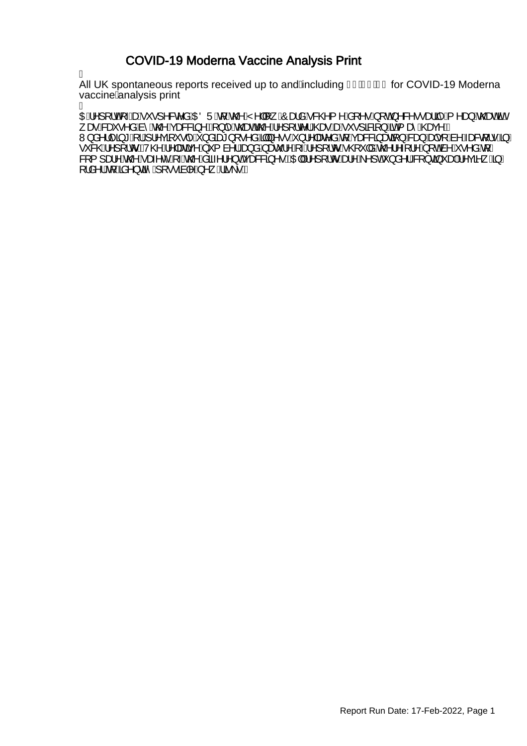## COVID-19 Moderna Vaccine Analysis Print

Á

All UK spontaneous reports received up to and Ancluding FI BEGEBG for COVID-19 Moderna vaccine Analysis print Á

OEÁ^][¦oÁ<sub>T</sub>4seÁ\*•]^&c^åÁOEÖÜÁ{ÁQQ^ÁY^||[¸ÁÔæåÁ&QQ{^ÁS{^•Á[oÁ^&^••ælãj^Á{^æ}ÁQead%en/ , æRGei•^å,Anî,An@AçæG&Zj^EA|}|^An@eeAn@A^][,Ic^|A@eeAseA`\*,•]&BZj}A5aA{æîA^@eeç^E W}å^}|^ã\*A{{A}|^çã{`•|^A}åãæ\*}[•^åAŞW}^••A}}¦^|æe^åAq{Açæ&&ã}æaã{}A&a},Aad|•[Aà^Aæ&q{|•A§/ •`&@A^][¦oEV@A^|æãr^A`{ à^¦A<del>Q</del>}åAæč¦^A^}[¦oA@`|åA@'¦^{¦^A[o&^A^•^åA[*|* &[{]æ!^^,An@^Aæ;^c^^A,~An@^,Asã-^;¦^}cAçæ&&3}^•BAQE|A|^][¦or^&a}^A^]cA`}å^¦/&Q{}c3}~aa}A^çã^\_A§/ [¦å^¦AğA‰a^}cã-̂A}[••ãa|^A,^¸Aã\•E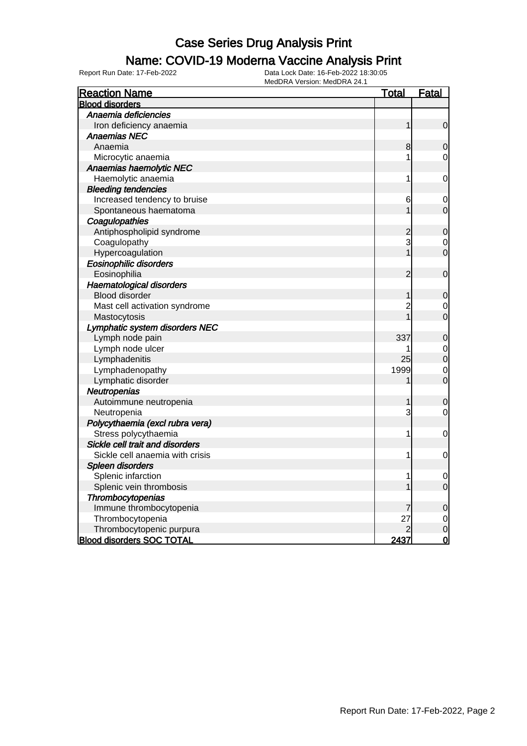## Name: COVID-19 Moderna Vaccine Analysis Print

| <b>Reaction Name</b>             | <u>Total</u>   | <b>Fatal</b>   |
|----------------------------------|----------------|----------------|
| <b>Blood disorders</b>           |                |                |
| Anaemia deficiencies             |                |                |
| Iron deficiency anaemia          | 1              | $\mathbf 0$    |
| <b>Anaemias NEC</b>              |                |                |
| Anaemia                          | 8              | 0              |
| Microcytic anaemia               | 1              | $\mathbf 0$    |
| Anaemias haemolytic NEC          |                |                |
| Haemolytic anaemia               | 1              | $\mathbf 0$    |
| <b>Bleeding tendencies</b>       |                |                |
| Increased tendency to bruise     | 6              | $\mathbf 0$    |
| Spontaneous haematoma            | 1              | $\mathbf 0$    |
| Coagulopathies                   |                |                |
| Antiphospholipid syndrome        | $\overline{c}$ | $\mathbf 0$    |
| Coagulopathy                     | 3              | $\mathbf 0$    |
| Hypercoagulation                 |                | $\overline{0}$ |
| <b>Eosinophilic disorders</b>    |                |                |
| Eosinophilia                     | $\overline{2}$ | $\mathbf 0$    |
| Haematological disorders         |                |                |
| <b>Blood disorder</b>            | 1              | $\mathbf 0$    |
| Mast cell activation syndrome    | $\overline{c}$ | 0              |
| Mastocytosis                     |                | $\mathbf 0$    |
| Lymphatic system disorders NEC   |                |                |
| Lymph node pain                  | 337            | $\mathbf 0$    |
| Lymph node ulcer                 |                | $\mathbf 0$    |
| Lymphadenitis                    | 25             | $\overline{0}$ |
| Lymphadenopathy                  | 1999           | $\mathbf 0$    |
| Lymphatic disorder               |                | $\overline{0}$ |
| Neutropenias                     |                |                |
| Autoimmune neutropenia           | 1              | $\mathbf 0$    |
| Neutropenia                      | 3              | $\mathbf 0$    |
| Polycythaemia (excl rubra vera)  |                |                |
| Stress polycythaemia             | 1              | $\mathbf 0$    |
| Sickle cell trait and disorders  |                |                |
| Sickle cell anaemia with crisis  | 1              | $\mathbf 0$    |
| Spleen disorders                 |                |                |
| Splenic infarction               | 1              | $\mathbf 0$    |
| Splenic vein thrombosis          |                | $\overline{0}$ |
| Thrombocytopenias                |                |                |
| Immune thrombocytopenia          | 7              | $\mathbf 0$    |
| Thrombocytopenia                 | 27             | $\mathbf 0$    |
| Thrombocytopenic purpura         |                | $\overline{0}$ |
| <b>Blood disorders SOC TOTAL</b> | 2437           | $\overline{0}$ |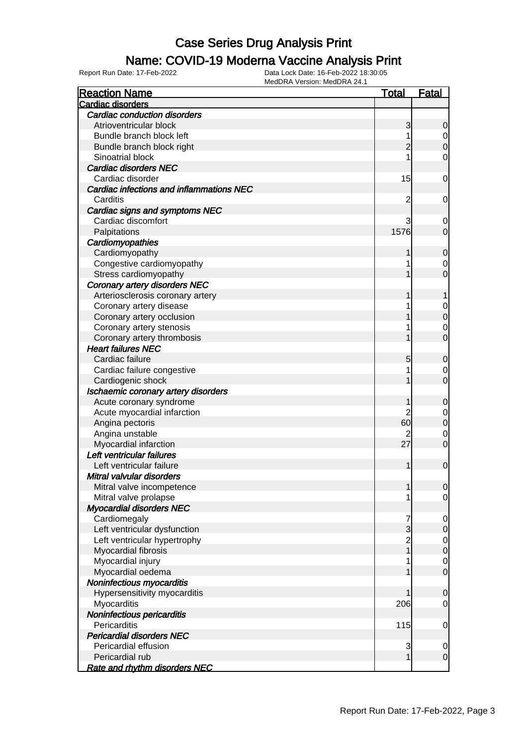## Name: COVID-19 Moderna Vaccine Analysis Print

| <b>Reaction Name</b>                     | <b>Total</b>   | <b>Fatal</b>     |
|------------------------------------------|----------------|------------------|
| Cardiac disorders                        |                |                  |
| Cardiac conduction disorders             |                |                  |
| Atrioventricular block                   | 3              | 0                |
| Bundle branch block left                 |                | $\overline{0}$   |
| Bundle branch block right                | 2              | $\boldsymbol{0}$ |
| Sinoatrial block                         |                | $\mathbf 0$      |
| <b>Cardiac disorders NEC</b>             |                |                  |
| Cardiac disorder                         | 15             | $\mathbf 0$      |
| Cardiac infections and inflammations NEC |                |                  |
| Carditis                                 | $\overline{c}$ | $\mathbf 0$      |
| Cardiac signs and symptoms NEC           |                |                  |
| Cardiac discomfort                       | 3              | 0                |
| Palpitations                             | 1576           | $\overline{0}$   |
| Cardiomyopathies                         |                |                  |
| Cardiomyopathy                           | 1              | $\mathbf 0$      |
| Congestive cardiomyopathy                |                | 0                |
| Stress cardiomyopathy                    |                | 0                |
| <b>Coronary artery disorders NEC</b>     |                |                  |
| Arteriosclerosis coronary artery         |                |                  |
| Coronary artery disease                  |                | $\mathbf 0$      |
| Coronary artery occlusion                |                | $\mathbf 0$      |
| Coronary artery stenosis                 |                | $\mathbf 0$      |
| Coronary artery thrombosis               |                | $\overline{0}$   |
| <b>Heart failures NEC</b>                |                |                  |
| Cardiac failure                          | 5              | $\mathbf 0$      |
| Cardiac failure congestive               |                | 0                |
| Cardiogenic shock                        |                | 0                |
| Ischaemic coronary artery disorders      |                |                  |
| Acute coronary syndrome                  |                | $\mathbf 0$      |
| Acute myocardial infarction              | 2              | 0                |
| Angina pectoris                          | 60             | $\mathbf 0$      |
| Angina unstable                          |                | $\mathbf 0$      |
| Myocardial infarction                    | 27             | $\mathbf 0$      |
| Left ventricular failures                |                |                  |
| Left ventricular failure                 | 1              | $\mathbf 0$      |
| Mitral valvular disorders                |                |                  |
| Mitral valve incompetence                | 1              | $\overline{0}$   |
| Mitral valve prolapse                    |                | $\overline{0}$   |
| <b>Myocardial disorders NEC</b>          |                |                  |
| Cardiomegaly                             | 7              | 0                |
| Left ventricular dysfunction             | 3              | $\mathbf 0$      |
| Left ventricular hypertrophy             | $\overline{c}$ | 0                |
| Myocardial fibrosis                      |                | $\boldsymbol{0}$ |
| Myocardial injury                        |                | 0                |
| Myocardial oedema                        |                | $\mathbf 0$      |
| Noninfectious myocarditis                |                |                  |
| Hypersensitivity myocarditis             |                | $\mathbf 0$      |
| Myocarditis                              | 206            | 0                |
| Noninfectious pericarditis               |                |                  |
| Pericarditis                             | 115            | $\mathbf 0$      |
| <b>Pericardial disorders NEC</b>         |                |                  |
| Pericardial effusion                     | 3              | $\mathbf 0$      |
| Pericardial rub                          | $\overline{1}$ | $\boldsymbol{0}$ |
| <b>Rate and rhythm disorders NEC</b>     |                |                  |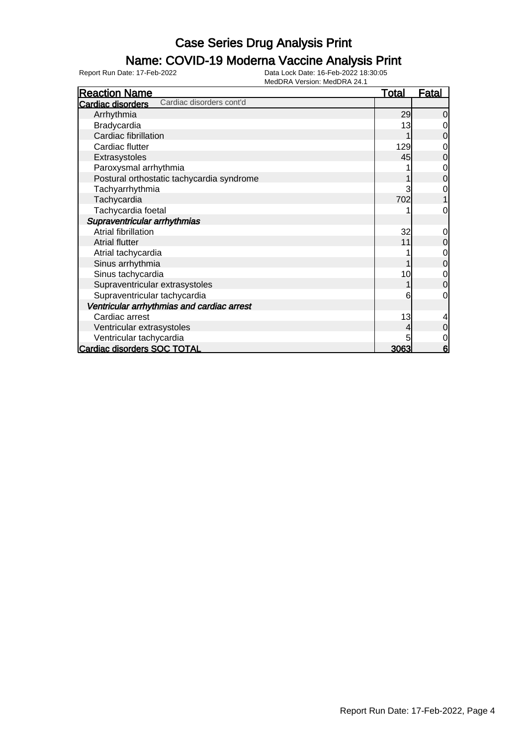## Name: COVID-19 Moderna Vaccine Analysis Print

| <b>Reaction Name</b>                          | <u>Total</u> | <u>Fatal</u> |
|-----------------------------------------------|--------------|--------------|
| Cardiac disorders cont'd<br>Cardiac disorders |              |              |
| Arrhythmia                                    | 29           | 0            |
| Bradycardia                                   | 13           |              |
| Cardiac fibrillation                          |              | 0            |
| Cardiac flutter                               | 129          | 0            |
| Extrasystoles                                 | 45           | $\mathbf 0$  |
| Paroxysmal arrhythmia                         |              | 0            |
| Postural orthostatic tachycardia syndrome     |              | $\mathbf 0$  |
| Tachyarrhythmia                               |              | 0            |
| Tachycardia                                   | 702          |              |
| Tachycardia foetal                            |              | 0            |
| Supraventricular arrhythmias                  |              |              |
| <b>Atrial fibrillation</b>                    | 32           | 0            |
| <b>Atrial flutter</b>                         | 11           | $\mathbf 0$  |
| Atrial tachycardia                            |              | $\mathbf 0$  |
| Sinus arrhythmia                              |              | $\mathbf 0$  |
| Sinus tachycardia                             | 10           | $\mathbf 0$  |
| Supraventricular extrasystoles                |              | $\mathbf 0$  |
| Supraventricular tachycardia                  | 6            | 0            |
| Ventricular arrhythmias and cardiac arrest    |              |              |
| Cardiac arrest                                | 13           | 4            |
| Ventricular extrasystoles                     |              | 0            |
| Ventricular tachycardia                       |              | 0            |
| <b>Cardiac disorders SOC TOTAL</b>            | 3063         | 6            |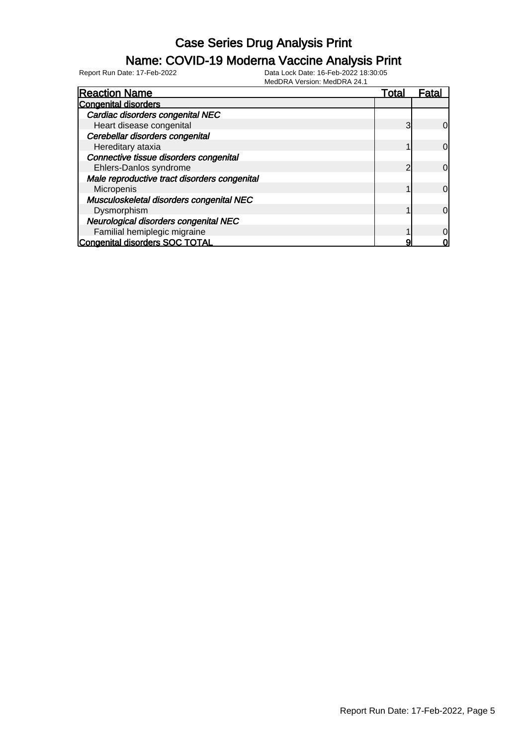### Name: COVID-19 Moderna Vaccine Analysis Print

Report Run Date: 17-Feb-2022 Data Lock Date: 16-Feb-2022 18:30:05

MedDRA Version: MedDRA 24.1

| <b>Reaction Name</b>                         | Total | Fatal          |
|----------------------------------------------|-------|----------------|
| <b>Congenital disorders</b>                  |       |                |
| Cardiac disorders congenital NEC             |       |                |
| Heart disease congenital                     | 3     | 0l             |
| Cerebellar disorders congenital              |       |                |
| Hereditary ataxia                            |       | $\overline{O}$ |
| Connective tissue disorders congenital       |       |                |
| Ehlers-Danlos syndrome                       | っ     | 0l             |
| Male reproductive tract disorders congenital |       |                |
| Micropenis                                   |       | $\Omega$       |
| Musculoskeletal disorders congenital NEC     |       |                |
| Dysmorphism                                  |       | $\Omega$       |
| Neurological disorders congenital NEC        |       |                |
| Familial hemiplegic migraine                 |       | 0              |
| <b>Congenital disorders SOC TOTAL</b>        |       |                |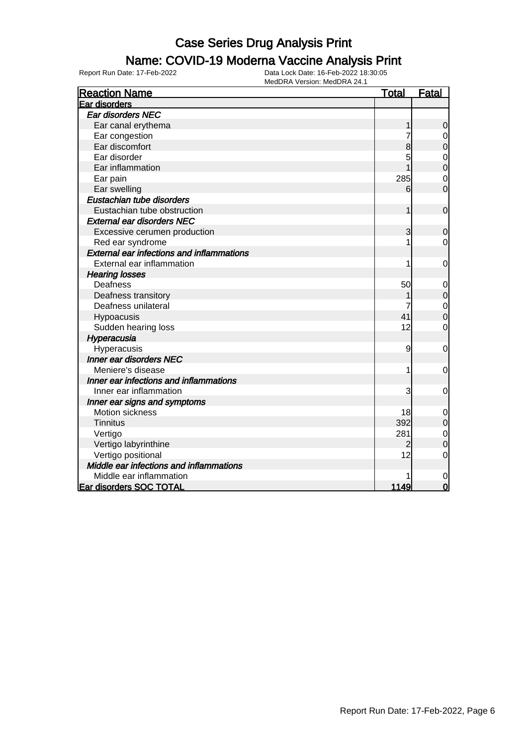## Name: COVID-19 Moderna Vaccine Analysis Print

| <b>Reaction Name</b>                             | <b>Total</b> | Fatal          |
|--------------------------------------------------|--------------|----------------|
| Ear disorders                                    |              |                |
| Ear disorders NEC                                |              |                |
| Ear canal erythema                               |              | $\mathbf 0$    |
| Ear congestion                                   | 7            | $\mathbf 0$    |
| Ear discomfort                                   | 8            | $\mathbf 0$    |
| Ear disorder                                     | 5            | $\mathbf 0$    |
| Ear inflammation                                 |              | $\overline{0}$ |
| Ear pain                                         | 285          | $\overline{0}$ |
| Ear swelling                                     | 6            | $\overline{0}$ |
| Eustachian tube disorders                        |              |                |
| Eustachian tube obstruction                      | 1            | $\mathbf 0$    |
| <b>External ear disorders NEC</b>                |              |                |
| Excessive cerumen production                     | 3            | $\mathbf 0$    |
| Red ear syndrome                                 |              | 0              |
| <b>External ear infections and inflammations</b> |              |                |
| External ear inflammation                        | 1            | 0              |
| <b>Hearing losses</b>                            |              |                |
| Deafness                                         | 50           | $\mathbf 0$    |
| Deafness transitory                              |              | $\mathbf 0$    |
| Deafness unilateral                              |              | $\mathbf 0$    |
| Hypoacusis                                       | 41           | $\overline{0}$ |
| Sudden hearing loss                              | 12           | $\mathbf 0$    |
| Hyperacusia                                      |              |                |
| Hyperacusis                                      | 9            | $\mathbf 0$    |
| Inner ear disorders NEC                          |              |                |
| Meniere's disease                                |              | 0              |
| Inner ear infections and inflammations           |              |                |
| Inner ear inflammation                           | 3            | $\overline{0}$ |
| Inner ear signs and symptoms                     |              |                |
| Motion sickness                                  | 18           | $\mathbf 0$    |
| <b>Tinnitus</b>                                  | 392          | $\mathbf 0$    |
| Vertigo                                          | 281          | $\mathbf 0$    |
| Vertigo labyrinthine                             | 2            | $\mathbf 0$    |
| Vertigo positional                               | 12           | $\mathbf 0$    |
| Middle ear infections and inflammations          |              |                |
| Middle ear inflammation                          |              | 0              |
| <b>Ear disorders SOC TOTAL</b>                   | 1149         | $\overline{0}$ |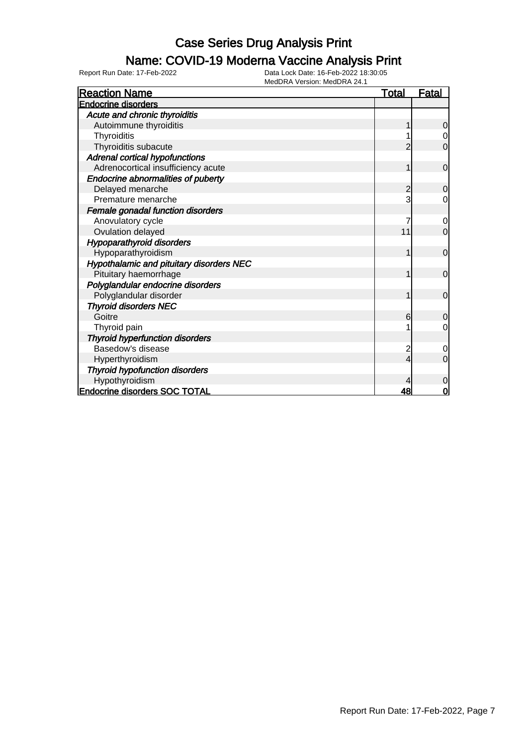## Name: COVID-19 Moderna Vaccine Analysis Print

| <b>Reaction Name</b>                            | <b>Total</b> | <u>Fatal</u>   |
|-------------------------------------------------|--------------|----------------|
| <b>Endocrine disorders</b>                      |              |                |
| Acute and chronic thyroiditis                   |              |                |
| Autoimmune thyroiditis                          |              | $\mathbf 0$    |
| Thyroiditis                                     |              | $\overline{0}$ |
| Thyroiditis subacute                            |              | $\overline{0}$ |
| <b>Adrenal cortical hypofunctions</b>           |              |                |
| Adrenocortical insufficiency acute              |              | $\mathbf 0$    |
| Endocrine abnormalities of puberty              |              |                |
| Delayed menarche                                | 2            | $\overline{0}$ |
| Premature menarche                              | 3            | 0              |
| Female gonadal function disorders               |              |                |
| Anovulatory cycle                               |              | 0              |
| Ovulation delayed                               | 11           | $\overline{0}$ |
| <b>Hypoparathyroid disorders</b>                |              |                |
| Hypoparathyroidism                              | 1            | $\overline{0}$ |
| <b>Hypothalamic and pituitary disorders NEC</b> |              |                |
| Pituitary haemorrhage                           |              | $\overline{0}$ |
| Polyglandular endocrine disorders               |              |                |
| Polyglandular disorder                          |              | $\overline{0}$ |
| <b>Thyroid disorders NEC</b>                    |              |                |
| Goitre                                          | 6            | $\mathbf 0$    |
| Thyroid pain                                    |              | $\mathbf 0$    |
| <b>Thyroid hyperfunction disorders</b>          |              |                |
| Basedow's disease                               | 2            | $\overline{0}$ |
| Hyperthyroidism                                 | 4            | $\Omega$       |
| <b>Thyroid hypofunction disorders</b>           |              |                |
| Hypothyroidism                                  |              | 0              |
| <b>Endocrine disorders SOC TOTAL</b>            | 48           | 0              |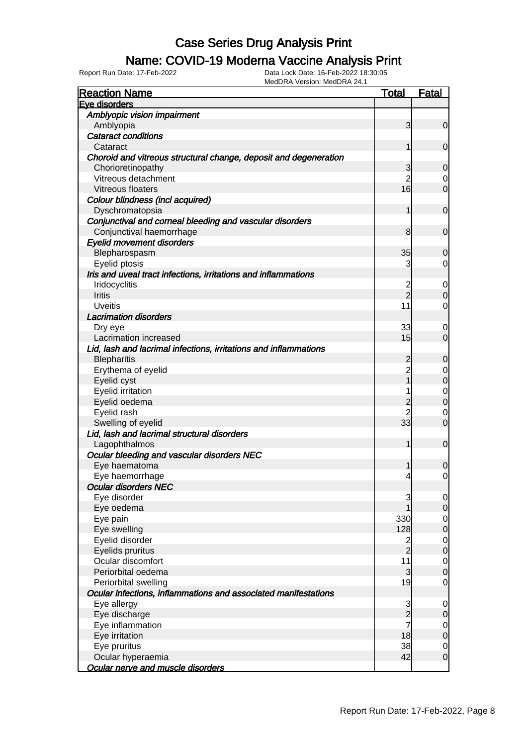## Name: COVID-19 Moderna Vaccine Analysis Print

| <b>Reaction Name</b>                                             | <b>Total</b>            | <b>Fatal</b>     |
|------------------------------------------------------------------|-------------------------|------------------|
| Eve disorders                                                    |                         |                  |
| Amblyopic vision impairment                                      |                         |                  |
| Amblyopia                                                        | 3                       | $\overline{0}$   |
| <b>Cataract conditions</b>                                       |                         |                  |
| Cataract                                                         |                         | $\overline{0}$   |
| Choroid and vitreous structural change, deposit and degeneration |                         |                  |
| Chorioretinopathy                                                | 3                       | $\mathbf 0$      |
| Vitreous detachment                                              | $\overline{2}$          | 0                |
| Vitreous floaters                                                | 16                      | $\overline{0}$   |
| Colour blindness (incl acquired)                                 |                         |                  |
| Dyschromatopsia                                                  | 1                       | $\overline{0}$   |
| Conjunctival and corneal bleeding and vascular disorders         |                         |                  |
| Conjunctival haemorrhage                                         | 8                       | $\overline{0}$   |
| <b>Eyelid movement disorders</b>                                 |                         |                  |
| Blepharospasm                                                    | 35                      | $\mathbf 0$      |
| Eyelid ptosis                                                    | 3                       | $\overline{0}$   |
| Iris and uveal tract infections, irritations and inflammations   |                         |                  |
| Iridocyclitis                                                    | $\overline{c}$          | $\overline{0}$   |
| <b>Iritis</b>                                                    | $\overline{2}$          | $\overline{0}$   |
| <b>Uveitis</b>                                                   | 11                      | $\overline{0}$   |
| <b>Lacrimation disorders</b>                                     |                         |                  |
| Dry eye                                                          | 33                      | $\mathbf 0$      |
| Lacrimation increased                                            | 15                      | $\overline{0}$   |
| Lid, lash and lacrimal infections, irritations and inflammations |                         |                  |
| <b>Blepharitis</b>                                               | $\overline{c}$          | $\boldsymbol{0}$ |
| Erythema of eyelid                                               | $\overline{c}$          | $\mathbf 0$      |
| Eyelid cyst                                                      |                         | $\mathbf 0$      |
| Eyelid irritation                                                |                         | $\overline{0}$   |
| Eyelid oedema                                                    | $\overline{c}$          | $\mathbf 0$      |
| Eyelid rash                                                      | $\overline{c}$          | $\mathbf 0$      |
| Swelling of eyelid                                               | 33                      | $\overline{0}$   |
| Lid, lash and lacrimal structural disorders                      |                         |                  |
| Lagophthalmos                                                    | 1                       | $\mathbf 0$      |
| Ocular bleeding and vascular disorders NEC                       |                         |                  |
| Eye haematoma                                                    |                         | $\mathbf 0$      |
| Eye haemorrhage                                                  | 4                       | $\overline{0}$   |
| <b>Ocular disorders NEC</b>                                      |                         |                  |
| Eye disorder                                                     | 3                       | $\overline{0}$   |
| Eye oedema                                                       |                         | $\overline{O}$   |
| Eye pain                                                         | 330                     | $\overline{0}$   |
| Eye swelling                                                     | 128                     | $\mathbf 0$      |
| Eyelid disorder                                                  | $\overline{\mathbf{c}}$ | $\overline{0}$   |
| Eyelids pruritus                                                 | $\overline{2}$          | $\mathbf 0$      |
| Ocular discomfort                                                | 11                      | $\overline{0}$   |
| Periorbital oedema                                               | 3                       | $\mathbf 0$      |
| Periorbital swelling                                             | 19                      | 0                |
| Ocular infections, inflammations and associated manifestations   |                         |                  |
| Eye allergy                                                      | 3                       | $\mathbf 0$      |
| Eye discharge                                                    | $\overline{2}$          | $\mathbf 0$      |
| Eye inflammation                                                 | 7                       | $\overline{0}$   |
| Eye irritation                                                   | 18                      | $\mathbf 0$      |
| Eye pruritus                                                     | 38                      | $\overline{0}$   |
| Ocular hyperaemia                                                | 42                      | $\overline{O}$   |
| Ocular nerve and muscle disorders                                |                         |                  |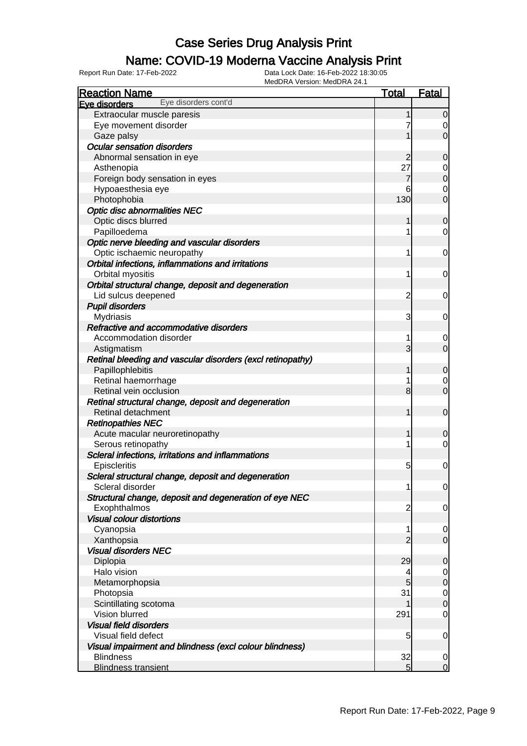## Name: COVID-19 Moderna Vaccine Analysis Print

| <b>Reaction Name</b>                                       | <b>Total</b>   | <b>Fatal</b>                     |
|------------------------------------------------------------|----------------|----------------------------------|
| Eye disorders cont'd<br>Eve disorders                      |                |                                  |
| Extraocular muscle paresis                                 |                | $\overline{0}$                   |
| Eye movement disorder                                      |                | 0                                |
| Gaze palsy                                                 |                | $\overline{0}$                   |
| <b>Ocular sensation disorders</b>                          |                |                                  |
| Abnormal sensation in eye                                  | $\overline{c}$ | $\mathbf 0$                      |
| Asthenopia                                                 | 27             | $\overline{0}$                   |
| Foreign body sensation in eyes                             | 7              | $\mathbf 0$                      |
| Hypoaesthesia eye                                          | 6              | $\overline{0}$                   |
| Photophobia                                                | 130            | $\overline{0}$                   |
| <b>Optic disc abnormalities NEC</b>                        |                |                                  |
| Optic discs blurred                                        | 1              | $\mathbf 0$                      |
| Papilloedema                                               |                | $\overline{0}$                   |
| Optic nerve bleeding and vascular disorders                |                |                                  |
| Optic ischaemic neuropathy                                 | 1              | $\overline{0}$                   |
| Orbital infections, inflammations and irritations          |                |                                  |
| Orbital myositis                                           | 1              | $\overline{0}$                   |
| Orbital structural change, deposit and degeneration        |                |                                  |
| Lid sulcus deepened                                        | $\overline{2}$ | 0                                |
| <b>Pupil disorders</b>                                     |                |                                  |
| <b>Mydriasis</b>                                           | 3              | 0                                |
| Refractive and accommodative disorders                     |                |                                  |
| Accommodation disorder                                     | 1              | $\mathbf 0$                      |
| Astigmatism                                                | 3              | $\overline{0}$                   |
| Retinal bleeding and vascular disorders (excl retinopathy) |                |                                  |
| Papillophlebitis                                           | 1              | $\mathbf 0$                      |
| Retinal haemorrhage                                        |                | 0                                |
| Retinal vein occlusion                                     | 8              | $\overline{O}$                   |
| Retinal structural change, deposit and degeneration        |                |                                  |
| Retinal detachment                                         | 1              | $\mathbf 0$                      |
| <b>Retinopathies NEC</b>                                   |                |                                  |
| Acute macular neuroretinopathy                             | 1              | $\mathbf 0$                      |
| Serous retinopathy                                         |                | $\mathbf 0$                      |
| Scleral infections, irritations and inflammations          |                |                                  |
| Episcleritis                                               | 5              | $\mathbf 0$                      |
| Scleral structural change, deposit and degeneration        |                |                                  |
| Scleral disorder                                           | 1              | $\overline{0}$                   |
| Structural change, deposit and degeneration of eye NEC     |                |                                  |
| Exophthalmos                                               | $\overline{2}$ | 0                                |
| <b>Visual colour distortions</b>                           |                |                                  |
| Cyanopsia                                                  | 1              | $\overline{0}$                   |
| Xanthopsia                                                 | $\overline{2}$ | $\overline{0}$                   |
| <b>Visual disorders NEC</b>                                |                |                                  |
| Diplopia                                                   | 29             | $\mathbf 0$                      |
| Halo vision                                                | 4              |                                  |
| Metamorphopsia                                             | 5              | $\overline{0}$<br>$\overline{O}$ |
| Photopsia                                                  | 31             |                                  |
|                                                            |                | $\overline{0}$<br>$\mathbf 0$    |
| Scintillating scotoma<br>Vision blurred                    | 291            | $\overline{0}$                   |
|                                                            |                |                                  |
| <b>Visual field disorders</b>                              |                |                                  |
| Visual field defect                                        | 5              | $\mathbf 0$                      |
| Visual impairment and blindness (excl colour blindness)    |                |                                  |
| <b>Blindness</b>                                           | 32             | $\overline{0}$                   |
| <b>Blindness transient</b>                                 | 5 <sup>1</sup> | $\overline{0}$                   |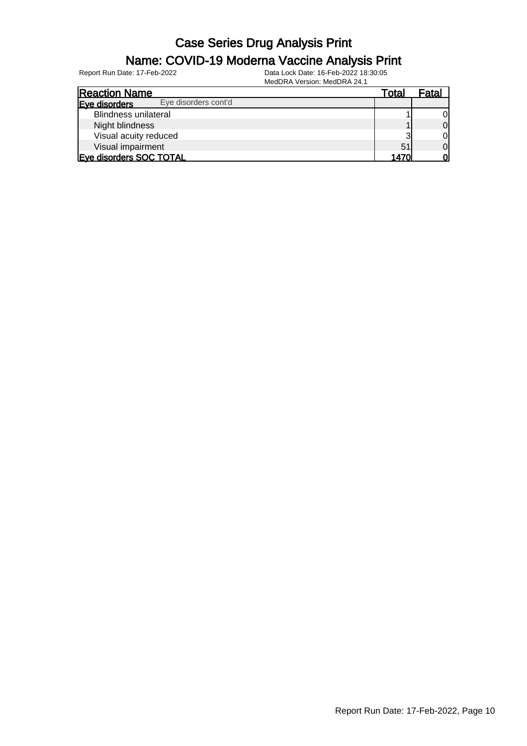#### Name: COVID-19 Moderna Vaccine Analysis Print

| <b>Reaction Name</b>                  | Total | Fatal          |
|---------------------------------------|-------|----------------|
| Eye disorders cont'd<br>Eve disorders |       |                |
| <b>Blindness unilateral</b>           |       | 0              |
| Night blindness                       |       | $\overline{0}$ |
| Visual acuity reduced                 | ≏     | $\overline{0}$ |
| Visual impairment                     | 51    | $\overline{0}$ |
| Eye disorders SOC TOTAL               | 14701 | 0l             |
|                                       |       |                |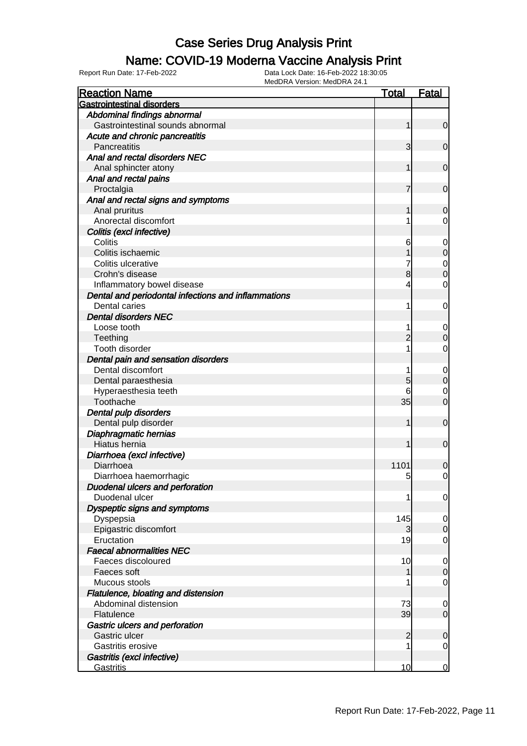### Name: COVID-19 Moderna Vaccine Analysis Print

| <b>Reaction Name</b>                                                 | <b>Total</b>   | <b>Fatal</b>                  |
|----------------------------------------------------------------------|----------------|-------------------------------|
| <b>Gastrointestinal disorders</b>                                    |                |                               |
| Abdominal findings abnormal                                          |                |                               |
| Gastrointestinal sounds abnormal                                     |                | $\overline{0}$                |
| Acute and chronic pancreatitis                                       |                |                               |
| Pancreatitis                                                         | 3              | $\overline{0}$                |
| Anal and rectal disorders NEC                                        |                |                               |
| Anal sphincter atony                                                 |                | $\mathbf 0$                   |
| Anal and rectal pains                                                |                |                               |
| Proctalgia                                                           | 7              | $\overline{0}$                |
| Anal and rectal signs and symptoms                                   |                |                               |
| Anal pruritus                                                        |                | $\mathbf 0$                   |
| Anorectal discomfort                                                 |                | 0                             |
| Colitis (excl infective)                                             |                |                               |
| Colitis                                                              |                |                               |
| Colitis ischaemic                                                    | 6              | $\mathbf 0$<br>$\overline{0}$ |
| Colitis ulcerative                                                   |                |                               |
| Crohn's disease                                                      | 8              | $\mathbf 0$<br>$\overline{0}$ |
|                                                                      |                | $\mathbf 0$                   |
| Inflammatory bowel disease                                           | 4              |                               |
| Dental and periodontal infections and inflammations<br>Dental caries |                |                               |
| <b>Dental disorders NEC</b>                                          |                | 0                             |
|                                                                      |                |                               |
| Loose tooth                                                          |                | $\mathbf 0$<br>$\mathbf 0$    |
| Teething                                                             |                |                               |
| Tooth disorder                                                       |                | $\mathbf 0$                   |
| Dental pain and sensation disorders                                  |                |                               |
| Dental discomfort                                                    |                | $\mathbf 0$                   |
| Dental paraesthesia                                                  | 5              | $\mathbf 0$                   |
| Hyperaesthesia teeth                                                 | 6              | $\mathbf 0$                   |
| Toothache                                                            | 35             | $\overline{0}$                |
| Dental pulp disorders                                                |                |                               |
| Dental pulp disorder                                                 |                | $\mathbf 0$                   |
| Diaphragmatic hernias                                                |                |                               |
| Hiatus hernia                                                        |                | $\mathbf 0$                   |
| Diarrhoea (excl infective)                                           |                |                               |
| Diarrhoea                                                            | 1101           | $\mathbf 0$                   |
| Diarrhoea haemorrhagic                                               | 5              | $\overline{0}$                |
| Duodenal ulcers and perforation                                      |                |                               |
| Duodenal ulcer                                                       |                | $\overline{0}$                |
| Dyspeptic signs and symptoms                                         |                |                               |
| Dyspepsia                                                            | 145            | $\overline{0}$                |
| Epigastric discomfort                                                | 3              | $\overline{0}$                |
| Eructation                                                           | 19             | $\overline{0}$                |
| <b>Faecal abnormalities NEC</b>                                      |                |                               |
| Faeces discoloured                                                   | 10             | $\overline{0}$                |
| Faeces soft                                                          |                | $\overline{0}$                |
| Mucous stools                                                        |                | $\overline{0}$                |
| Flatulence, bloating and distension                                  |                |                               |
| Abdominal distension                                                 | 73             | $\overline{0}$                |
| Flatulence                                                           | 39             | $\overline{0}$                |
| Gastric ulcers and perforation                                       |                |                               |
| Gastric ulcer                                                        | $\overline{2}$ | $\mathbf 0$                   |
| Gastritis erosive                                                    |                | $\overline{0}$                |
| Gastritis (excl infective)                                           |                |                               |
| Gastritis                                                            | 10             | $\overline{0}$                |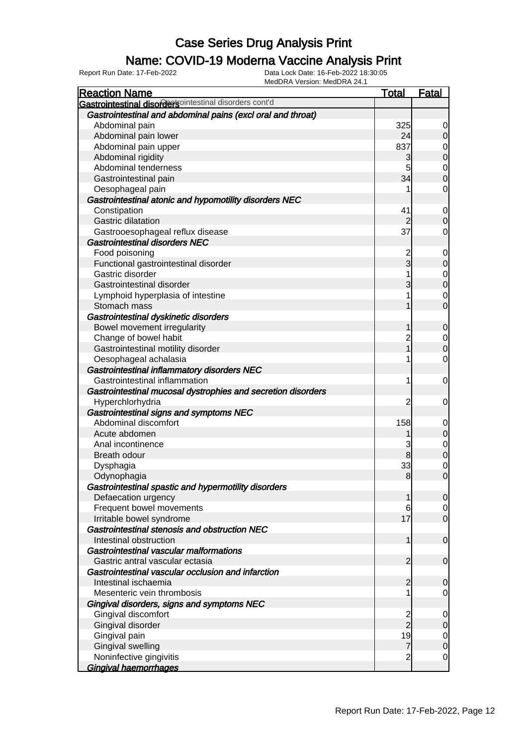## Name: COVID-19 Moderna Vaccine Analysis Print

| <b>Reaction Name</b>                                         | <b>Total</b>   | <b>Fatal</b>   |
|--------------------------------------------------------------|----------------|----------------|
| Gastrointestinal disordersointestinal disorders cont'd       |                |                |
| Gastrointestinal and abdominal pains (excl oral and throat)  |                |                |
| Abdominal pain                                               | 325            | $\overline{0}$ |
| Abdominal pain lower                                         | 24             | $\overline{0}$ |
| Abdominal pain upper                                         | 837            | 0              |
| Abdominal rigidity                                           | 3              | $\mathbf 0$    |
| Abdominal tenderness                                         | 5              | $\overline{0}$ |
| Gastrointestinal pain                                        | 34             | $\overline{0}$ |
| Oesophageal pain                                             |                | $\overline{0}$ |
| Gastrointestinal atonic and hypomotility disorders NEC       |                |                |
| Constipation                                                 | 41             | $\overline{0}$ |
| Gastric dilatation                                           | $\overline{2}$ | $\mathbf 0$    |
| Gastrooesophageal reflux disease                             | 37             | $\overline{0}$ |
| <b>Gastrointestinal disorders NEC</b>                        |                |                |
| Food poisoning                                               | $\overline{c}$ | $\mathbf 0$    |
| Functional gastrointestinal disorder                         | $\overline{3}$ | $\mathbf 0$    |
| Gastric disorder                                             |                | $\overline{0}$ |
| Gastrointestinal disorder                                    | 3              | $\mathbf 0$    |
| Lymphoid hyperplasia of intestine                            |                | $\mathbf 0$    |
| Stomach mass                                                 |                | $\mathbf 0$    |
| Gastrointestinal dyskinetic disorders                        |                |                |
| Bowel movement irregularity                                  | 1              | $\mathbf 0$    |
| Change of bowel habit                                        | $\overline{c}$ | $\overline{0}$ |
| Gastrointestinal motility disorder                           |                | $\mathbf 0$    |
| Oesophageal achalasia                                        |                | $\mathbf 0$    |
| Gastrointestinal inflammatory disorders NEC                  |                |                |
| Gastrointestinal inflammation                                | 1              | $\mathbf 0$    |
| Gastrointestinal mucosal dystrophies and secretion disorders |                |                |
| Hyperchlorhydria                                             | 2              | $\mathbf 0$    |
| Gastrointestinal signs and symptoms NEC                      |                |                |
| Abdominal discomfort                                         | 158            | $\mathbf 0$    |
| Acute abdomen                                                |                | $\mathbf 0$    |
| Anal incontinence                                            | 3              | $\mathbf 0$    |
| Breath odour                                                 | 8              | $\overline{0}$ |
| Dysphagia                                                    | 33             | $\mathbf 0$    |
| Odynophagia                                                  | 8              | $\mathbf 0$    |
| Gastrointestinal spastic and hypermotility disorders         |                |                |
| Defaecation urgency                                          | 1              | 0              |
| Frequent bowel movements                                     | 6              | $\overline{0}$ |
| Irritable bowel syndrome                                     | 17             | $\overline{0}$ |
| Gastrointestinal stenosis and obstruction NEC                |                |                |
| Intestinal obstruction                                       | 1              | $\mathbf 0$    |
| Gastrointestinal vascular malformations                      |                |                |
| Gastric antral vascular ectasia                              | $\overline{2}$ | $\mathbf 0$    |
| Gastrointestinal vascular occlusion and infarction           |                |                |
| Intestinal ischaemia                                         | $\overline{2}$ | $\mathbf 0$    |
| Mesenteric vein thrombosis                                   |                | $\mathbf 0$    |
| Gingival disorders, signs and symptoms NEC                   |                |                |
| Gingival discomfort                                          | $\frac{2}{2}$  | $\mathbf 0$    |
| Gingival disorder                                            |                | $\mathbf 0$    |
| Gingival pain                                                | 19             | $\overline{0}$ |
| Gingival swelling                                            | $\overline{7}$ | $\mathbf 0$    |
| Noninfective gingivitis                                      | $\overline{2}$ | $\overline{0}$ |
| Gingival haemorrhages                                        |                |                |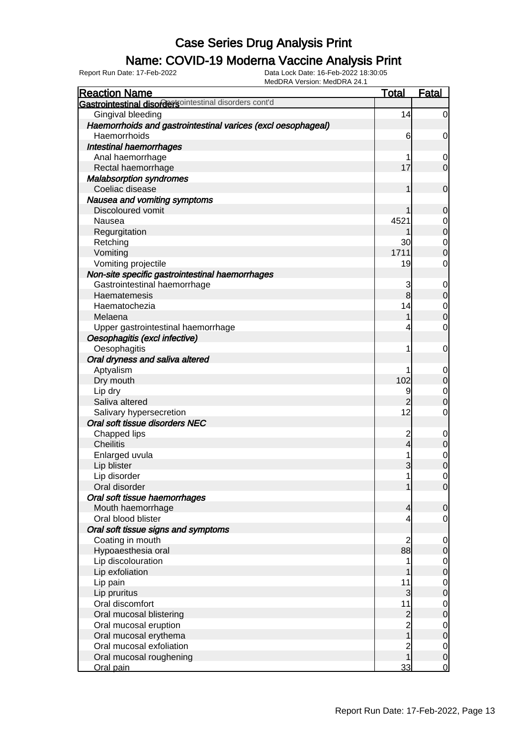### Name: COVID-19 Moderna Vaccine Analysis Print

| <b>Reaction Name</b>                                           | <u>Total</u>   | Fatal            |
|----------------------------------------------------------------|----------------|------------------|
| <b>Gastrointestinal disorders</b> ointestinal disorders cont'd |                |                  |
| Gingival bleeding                                              | 14             | $\overline{0}$   |
| Haemorrhoids and gastrointestinal varices (excl oesophageal)   |                |                  |
| Haemorrhoids                                                   | 6              | $\mathbf 0$      |
| Intestinal haemorrhages                                        |                |                  |
| Anal haemorrhage                                               |                | $\mathbf 0$      |
| Rectal haemorrhage                                             | 17             | $\overline{0}$   |
| <b>Malabsorption syndromes</b>                                 |                |                  |
| Coeliac disease                                                |                | $\mathbf 0$      |
| Nausea and vomiting symptoms                                   |                |                  |
| <b>Discoloured vomit</b>                                       |                | $\boldsymbol{0}$ |
| Nausea                                                         | 4521           | $\mathbf 0$      |
| Regurgitation                                                  |                | $\mathbf 0$      |
| Retching                                                       | 30             | $\overline{0}$   |
| Vomiting                                                       | 1711           | $\overline{0}$   |
| Vomiting projectile                                            | 19             | $\mathbf 0$      |
| Non-site specific gastrointestinal haemorrhages                |                |                  |
| Gastrointestinal haemorrhage                                   | 3              | $\mathbf 0$      |
| Haematemesis                                                   | 8              | $\mathbf 0$      |
| Haematochezia                                                  | 14             | $\mathbf 0$      |
| Melaena                                                        |                | $\overline{0}$   |
| Upper gastrointestinal haemorrhage                             | 4              | $\mathbf 0$      |
| Oesophagitis (excl infective)                                  |                |                  |
| Oesophagitis                                                   |                | $\mathbf 0$      |
| Oral dryness and saliva altered                                |                |                  |
| Aptyalism                                                      |                | $\mathbf 0$      |
| Dry mouth                                                      | 102            | $\mathbf 0$      |
| Lip dry                                                        | 9              | $\mathbf 0$      |
| Saliva altered                                                 | $\overline{2}$ | $\overline{0}$   |
| Salivary hypersecretion                                        | 12             | $\mathbf 0$      |
| Oral soft tissue disorders NEC                                 |                |                  |
| Chapped lips                                                   | $\overline{c}$ | $\mathbf 0$      |
| <b>Cheilitis</b>                                               | 4              | $\mathbf 0$      |
| Enlarged uvula                                                 |                | $\mathbf{0}$     |
| Lip blister                                                    | 3              | $\overline{0}$   |
| Lip disorder                                                   | 1              | $\mathbf 0$      |
| Oral disorder                                                  | 1              | 0                |
| Oral soft tissue haemorrhages                                  |                |                  |
| Mouth haemorrhage                                              | 4              | $\mathbf 0$      |
| Oral blood blister                                             |                | $\mathbf 0$      |
| Oral soft tissue signs and symptoms                            |                |                  |
| Coating in mouth                                               | $\overline{c}$ | $\overline{0}$   |
| Hypoaesthesia oral                                             | 88             | $\overline{O}$   |
| Lip discolouration                                             |                | $\overline{0}$   |
| Lip exfoliation                                                |                | $\overline{0}$   |
| Lip pain                                                       | 11             | $\mathbf 0$      |
| Lip pruritus                                                   | 3              | $\mathbf 0$      |
| Oral discomfort                                                | 11             | $\mathbf 0$      |
| Oral mucosal blistering                                        | $\overline{c}$ | $\mathbf 0$      |
| Oral mucosal eruption                                          | $\overline{c}$ | $\mathbf 0$      |
| Oral mucosal erythema                                          | $\overline{1}$ | $\mathbf 0$      |
| Oral mucosal exfoliation                                       | $\overline{c}$ | $\overline{0}$   |
| Oral mucosal roughening                                        | 1              | $\mathbf 0$      |
| Oral pain                                                      | 33             | $\mathbf 0$      |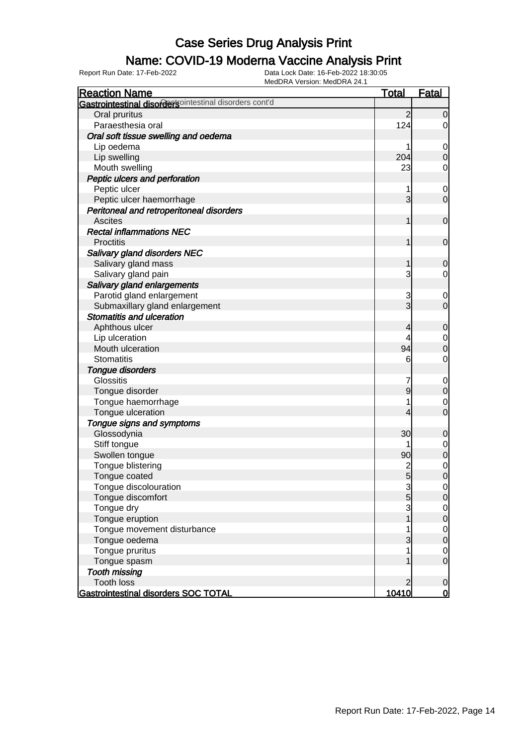## Name: COVID-19 Moderna Vaccine Analysis Print

| MEUDRA VEISIUII. MEUDRA 24.<br><b>Reaction Name</b>                | <b>Total</b>    | <b>Fatal</b>        |
|--------------------------------------------------------------------|-----------------|---------------------|
| <b>Gastrointestinal disordersointestinal disorders cont'd</b>      |                 |                     |
| Oral pruritus                                                      | 2               | 0                   |
| Paraesthesia oral                                                  | 124             | 0                   |
| Oral soft tissue swelling and oedema                               |                 |                     |
| Lip oedema                                                         |                 | 0                   |
| Lip swelling                                                       | 204             | $\Omega$            |
| Mouth swelling                                                     | 23              | 0                   |
| Peptic ulcers and perforation                                      |                 |                     |
| Peptic ulcer                                                       |                 | 0                   |
| Peptic ulcer haemorrhage                                           | 3               | $\overline{0}$      |
| Peritoneal and retroperitoneal disorders                           |                 |                     |
| <b>Ascites</b>                                                     |                 | 0                   |
| <b>Rectal inflammations NEC</b>                                    |                 |                     |
| <b>Proctitis</b>                                                   |                 | 0                   |
| Salivary gland disorders NEC                                       |                 |                     |
| Salivary gland mass                                                |                 | 0                   |
| Salivary gland pain                                                | 3               | 0                   |
| Salivary gland enlargements                                        |                 |                     |
| Parotid gland enlargement                                          |                 |                     |
|                                                                    | 3<br>3          | 0<br>$\overline{0}$ |
| Submaxillary gland enlargement<br><b>Stomatitis and ulceration</b> |                 |                     |
|                                                                    |                 |                     |
| Aphthous ulcer                                                     | 4               | 0                   |
| Lip ulceration                                                     |                 | 0                   |
| Mouth ulceration                                                   | 94              | 0                   |
| <b>Stomatitis</b>                                                  | 6               | 0                   |
| Tongue disorders                                                   |                 |                     |
| <b>Glossitis</b>                                                   |                 | 0                   |
| Tongue disorder                                                    | 9               | $\overline{0}$      |
| Tongue haemorrhage                                                 |                 | 0                   |
| Tongue ulceration                                                  | 4               | $\overline{0}$      |
| Tongue signs and symptoms                                          |                 |                     |
| Glossodynia                                                        | 30              | 0                   |
| Stiff tongue                                                       |                 | 0                   |
| Swollen tongue                                                     | 90              | $\mathbf 0$         |
| Tongue blistering                                                  | 2               | $\mathbf 0$         |
| Tongue coated                                                      | $5\overline{)}$ | $\overline{0}$      |
| Tongue discolouration                                              | 3               | 0                   |
| Tongue discomfort                                                  | 5               | $\overline{0}$      |
| Tongue dry                                                         | 3               | 0                   |
| Tongue eruption                                                    |                 | $\mathbf 0$         |
| Tongue movement disturbance                                        |                 | $\mathbf 0$         |
| Tongue oedema                                                      |                 | $\overline{0}$      |
| Tongue pruritus                                                    |                 | 0                   |
| Tongue spasm                                                       |                 | $\overline{0}$      |
| <b>Tooth missing</b>                                               |                 |                     |
| <b>Tooth loss</b>                                                  |                 | $\mathbf 0$         |
| Gastrointestinal disorders SOC TOTAL                               | 10410           | $\mathbf 0$         |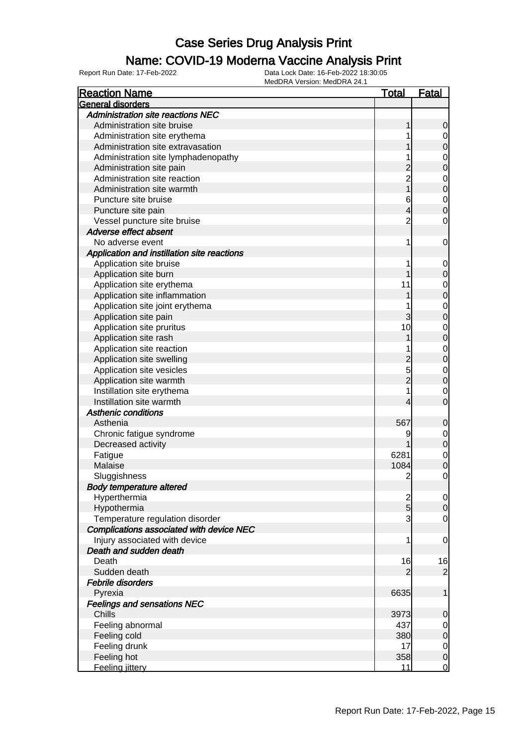## Name: COVID-19 Moderna Vaccine Analysis Print

| <b>Reaction Name</b>                        | <u>Total</u>   | <b>Fatal</b>   |
|---------------------------------------------|----------------|----------------|
| General disorders                           |                |                |
| <b>Administration site reactions NEC</b>    |                |                |
| Administration site bruise                  |                | 0              |
| Administration site erythema                |                | 0              |
| Administration site extravasation           |                | 0              |
| Administration site lymphadenopathy         |                | 0              |
| Administration site pain                    |                | 0              |
| Administration site reaction                | $\overline{c}$ | 0              |
| Administration site warmth                  |                | 0              |
| Puncture site bruise                        | 6              | $\mathbf 0$    |
| Puncture site pain                          | 4              | 0              |
| Vessel puncture site bruise                 | $\overline{2}$ | 0              |
| Adverse effect absent                       |                |                |
| No adverse event                            | 1              | 0              |
| Application and instillation site reactions |                |                |
| Application site bruise                     | 1              | $\mathbf 0$    |
| Application site burn                       |                | 0              |
| Application site erythema                   | 11             | 0              |
| Application site inflammation               |                | 0              |
| Application site joint erythema             |                | 0              |
| Application site pain                       | 3              | 0              |
| Application site pruritus                   | 10             | 0              |
| Application site rash                       |                | 0              |
| Application site reaction                   |                | 0              |
| Application site swelling                   |                | 0              |
| Application site vesicles                   | 5              | 0              |
| Application site warmth                     |                | 0              |
| Instillation site erythema                  |                | 0              |
| Instillation site warmth                    | 4              | 0              |
| <b>Asthenic conditions</b>                  |                |                |
| Asthenia                                    | 567            | 0              |
| Chronic fatigue syndrome                    | 9              | $\overline{0}$ |
| Decreased activity                          |                | 0              |
| Fatigue                                     | 6281           | $\mathbf 0$    |
| Malaise                                     | 1084           | 0              |
| Sluggishness                                | $\overline{c}$ | 0              |
| <b>Body temperature altered</b>             |                |                |
| Hyperthermia                                | $\frac{2}{5}$  | $\overline{0}$ |
| Hypothermia                                 |                | $\overline{0}$ |
| Temperature regulation disorder             | 3              | 0              |
| Complications associated with device NEC    |                |                |
| Injury associated with device               | 1              | 0              |
| Death and sudden death                      |                |                |
| Death                                       | 16             | 16             |
| Sudden death                                | 2              | $\overline{2}$ |
| Febrile disorders                           |                |                |
| Pyrexia                                     | 6635           | 1              |
| <b>Feelings and sensations NEC</b>          |                |                |
| Chills                                      | 3973           | 0              |
| Feeling abnormal                            | 437            | $\mathbf 0$    |
| Feeling cold                                | 380            | 0              |
| Feeling drunk                               | 17             | $\mathbf 0$    |
| Feeling hot                                 | 358            | $\mathbf 0$    |
| Feeling jittery                             | 11             | $\mathbf 0$    |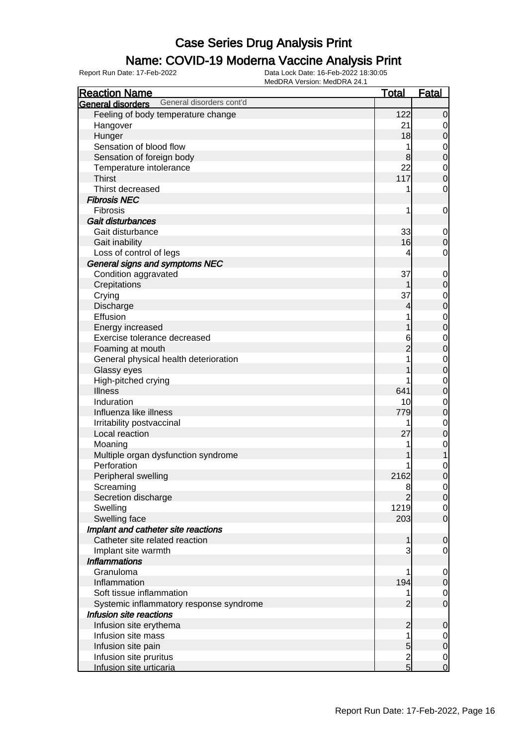### Name: COVID-19 Moderna Vaccine Analysis Print

| <b>Reaction Name</b>                          | <b>Total</b>   | <b>Fatal</b>               |
|-----------------------------------------------|----------------|----------------------------|
| General disorders cont'd<br>General disorders |                |                            |
| Feeling of body temperature change            | 122            | $\mathbf 0$                |
| Hangover                                      | 21             | 0                          |
| Hunger                                        | 18             | $\mathbf 0$                |
| Sensation of blood flow                       |                | 0                          |
| Sensation of foreign body                     | 8              | $\mathbf 0$                |
| Temperature intolerance                       | 22             | $\mathbf 0$                |
| <b>Thirst</b>                                 | 117            | $\mathbf 0$                |
| Thirst decreased                              |                | 0                          |
| <b>Fibrosis NEC</b>                           |                |                            |
| Fibrosis                                      | 1              | $\mathbf 0$                |
| Gait disturbances                             |                |                            |
| Gait disturbance                              | 33             |                            |
|                                               | 16             | $\mathbf 0$<br>$\mathbf 0$ |
| Gait inability                                |                |                            |
| Loss of control of legs                       | 4              | 0                          |
| General signs and symptoms NEC                |                |                            |
| Condition aggravated                          | 37             | $\mathbf 0$                |
| Crepitations                                  |                | $\mathbf 0$                |
| Crying                                        | 37             | $\mathbf 0$                |
| Discharge                                     | 4              | $\mathbf 0$                |
| Effusion                                      |                | $\mathbf 0$                |
| Energy increased                              |                | $\mathbf 0$                |
| Exercise tolerance decreased                  | 6              | 0                          |
| Foaming at mouth                              |                | $\mathbf 0$                |
| General physical health deterioration         |                | $\mathbf 0$                |
| Glassy eyes                                   |                | $\mathbf 0$                |
| High-pitched crying                           |                | 0                          |
| <b>Illness</b>                                | 641            | $\mathbf 0$                |
| Induration                                    | 10             | $\mathbf 0$                |
| Influenza like illness                        | 779            | $\mathbf 0$                |
| Irritability postvaccinal                     |                | $\mathbf 0$                |
| Local reaction                                | 27             | $\mathbf 0$                |
| Moaning                                       |                | $\mathbf 0$                |
| Multiple organ dysfunction syndrome           |                | 1                          |
| Perforation                                   |                | $\mathbf 0$                |
| Peripheral swelling                           | 2162           | $\overline{0}$             |
| Screaming                                     | 8              | $\overline{0}$             |
| Secretion discharge                           |                | $\overline{O}$             |
| Swelling                                      | 1219           | $\overline{0}$             |
| Swelling face                                 | 203            | $\overline{0}$             |
| Implant and catheter site reactions           |                |                            |
| Catheter site related reaction                | 1              | $\mathbf 0$                |
| Implant site warmth                           |                | 0                          |
| <b>Inflammations</b>                          |                |                            |
| Granuloma                                     |                | $\mathbf 0$                |
| Inflammation                                  | 194            | $\mathbf 0$                |
| Soft tissue inflammation                      |                | $\overline{0}$             |
| Systemic inflammatory response syndrome       | $\overline{c}$ | $\overline{0}$             |
| Infusion site reactions                       |                |                            |
| Infusion site erythema                        | 2              | $\mathbf 0$                |
| Infusion site mass                            |                | 0                          |
| Infusion site pain                            | 5              | $\mathbf 0$                |
| Infusion site pruritus                        | $\frac{2}{5}$  | $\mathbf 0$                |
| Infusion site urticaria                       |                | $\overline{0}$             |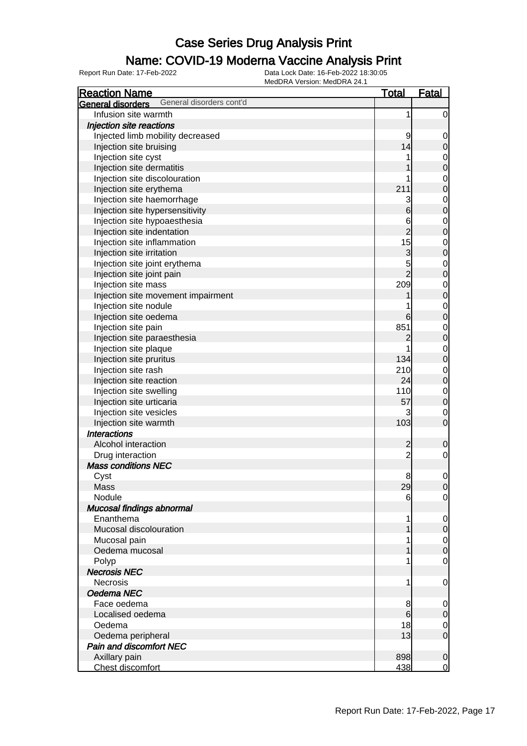### Name: COVID-19 Moderna Vaccine Analysis Print

| <b>Reaction Name</b>                          | <u>Total</u>   | <b>Fatal</b>     |
|-----------------------------------------------|----------------|------------------|
| General disorders cont'd<br>General disorders |                |                  |
| Infusion site warmth                          | 1              | $\mathbf 0$      |
| Injection site reactions                      |                |                  |
| Injected limb mobility decreased              | 9              | $\mathbf 0$      |
| Injection site bruising                       | 14             | $\mathbf 0$      |
| Injection site cyst                           |                | $\mathbf 0$      |
| Injection site dermatitis                     |                | $\mathbf 0$      |
| Injection site discolouration                 |                | $\mathbf 0$      |
| Injection site erythema                       | 211            | $\mathbf 0$      |
| Injection site haemorrhage                    | 3              | $\mathbf 0$      |
| Injection site hypersensitivity               | 6              | $\mathbf 0$      |
| Injection site hypoaesthesia                  | 6              | $\mathbf 0$      |
| Injection site indentation                    | $\overline{c}$ | $\mathbf 0$      |
| Injection site inflammation                   | 15             | $\mathbf 0$      |
| Injection site irritation                     | 3              | $\mathbf 0$      |
| Injection site joint erythema                 |                | $\mathbf 0$      |
| Injection site joint pain                     | $\frac{5}{2}$  | $\mathbf 0$      |
| Injection site mass                           | 209            |                  |
|                                               |                | $\mathbf 0$      |
| Injection site movement impairment            |                | $\mathbf 0$      |
| Injection site nodule                         |                | $\mathbf 0$      |
| Injection site oedema                         | 6              | $\overline{0}$   |
| Injection site pain                           | 851            | $\mathbf 0$      |
| Injection site paraesthesia                   | 2              | $\mathbf 0$      |
| Injection site plaque                         |                | $\mathbf 0$      |
| Injection site pruritus                       | 134            | $\mathbf 0$      |
| Injection site rash                           | 210            | $\mathbf 0$      |
| Injection site reaction                       | 24             | $\mathbf 0$      |
| Injection site swelling                       | 110            | $\mathbf 0$      |
| Injection site urticaria                      | 57             | $\mathbf 0$      |
| Injection site vesicles                       | 3              | $\mathbf 0$      |
| Injection site warmth                         | 103            | $\overline{0}$   |
| <b>Interactions</b>                           |                |                  |
| Alcohol interaction                           | $\overline{c}$ | $\mathbf 0$      |
| Drug interaction                              | $\overline{c}$ | $\mathbf 0$      |
| <b>Mass conditions NEC</b>                    |                |                  |
| Cyst                                          | 8              | 0                |
| Mass                                          | 29             | $\overline{0}$   |
| Nodule                                        | 6              | $\overline{0}$   |
| Mucosal findings abnormal                     |                |                  |
| Enanthema                                     | 1              | $\mathbf 0$      |
| Mucosal discolouration                        |                | $\mathbf 0$      |
| Mucosal pain                                  |                | $\overline{0}$   |
| Oedema mucosal                                |                | $\boldsymbol{0}$ |
| Polyp                                         |                | $\mathbf 0$      |
| <b>Necrosis NEC</b>                           |                |                  |
| <b>Necrosis</b>                               | 1              | $\mathbf 0$      |
| Oedema NEC                                    |                |                  |
| Face oedema                                   | 8              | $\mathbf 0$      |
| Localised oedema                              | $6 \,$         | $\mathbf 0$      |
| Oedema                                        | 18             | $\mathbf 0$      |
| Oedema peripheral                             | 13             | $\mathbf 0$      |
| Pain and discomfort NEC                       |                |                  |
| Axillary pain                                 | 898            | $\mathbf 0$      |
| Chest discomfort                              | 438            | $\mathbf 0$      |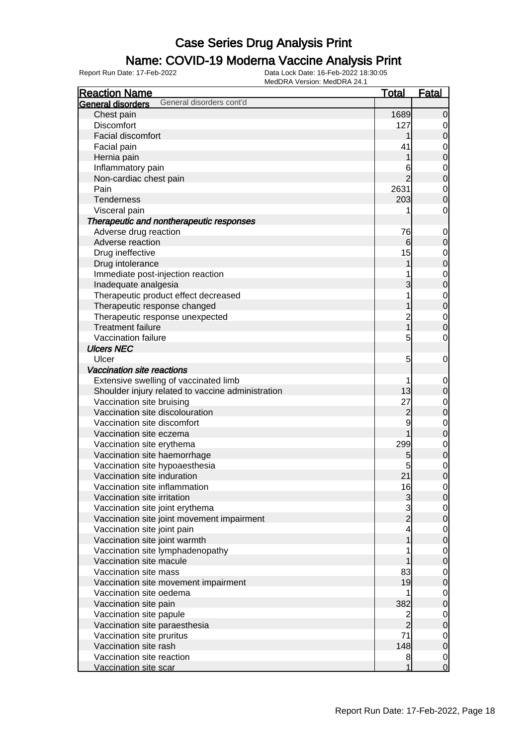#### Name: COVID-19 Moderna Vaccine Analysis Print

| <b>Reaction Name</b>                                                      | <b>Total</b>      | <b>Fatal</b>                         |
|---------------------------------------------------------------------------|-------------------|--------------------------------------|
| General disorders cont'd<br>General disorders                             |                   |                                      |
| Chest pain                                                                | 1689              | $\overline{0}$                       |
| <b>Discomfort</b>                                                         | 127               | $\overline{0}$                       |
| <b>Facial discomfort</b>                                                  |                   | $\mathbf 0$                          |
| Facial pain                                                               | 41                |                                      |
| Hernia pain                                                               |                   | $\begin{matrix}0\\0\end{matrix}$     |
| Inflammatory pain                                                         | 6                 |                                      |
| Non-cardiac chest pain                                                    | 2                 | $\begin{matrix}0\\0\end{matrix}$     |
| Pain                                                                      | 2631              |                                      |
| <b>Tenderness</b>                                                         | 203               | $\begin{matrix} 0 \\ 0 \end{matrix}$ |
| Visceral pain                                                             |                   | $\mathbf 0$                          |
| Therapeutic and nontherapeutic responses                                  |                   |                                      |
| Adverse drug reaction                                                     | 76                | $\mathbf{0}$                         |
| Adverse reaction                                                          | 6                 | $\mathbf 0$                          |
| Drug ineffective                                                          | 15                |                                      |
| Drug intolerance                                                          |                   | $\begin{matrix} 0 \\ 0 \end{matrix}$ |
| Immediate post-injection reaction                                         |                   |                                      |
| Inadequate analgesia                                                      | 3                 | $\begin{matrix} 0 \\ 0 \end{matrix}$ |
| Therapeutic product effect decreased                                      |                   |                                      |
| Therapeutic response changed                                              |                   | $\begin{matrix}0\\0\end{matrix}$     |
| Therapeutic response unexpected                                           | $\overline{c}$    |                                      |
| <b>Treatment failure</b>                                                  | $\overline{1}$    | $\begin{matrix} 0 \\ 0 \end{matrix}$ |
| Vaccination failure                                                       | 5                 | $\mathbf 0$                          |
| <b>Ulcers NEC</b>                                                         |                   |                                      |
| Ulcer                                                                     | 5                 | $\mathbf 0$                          |
| Vaccination site reactions                                                |                   |                                      |
| Extensive swelling of vaccinated limb                                     |                   |                                      |
| Shoulder injury related to vaccine administration                         | 13                | $\mathbf{0}$<br>$\pmb{0}$            |
| Vaccination site bruising                                                 | 27                |                                      |
| Vaccination site discolouration                                           | $\overline{c}$    | $0\atop 0$                           |
| Vaccination site discomfort                                               | 9                 |                                      |
| Vaccination site eczema                                                   |                   | $\begin{matrix}0\\0\end{matrix}$     |
|                                                                           | 299               |                                      |
| Vaccination site erythema                                                 |                   | $\begin{matrix}0\\0\end{matrix}$     |
| Vaccination site haemorrhage<br>Vaccination site hypoaesthesia            | 5<br>5            |                                      |
| Vaccination site induration                                               | 21                | $\begin{matrix} 0 \\ 0 \end{matrix}$ |
| Vaccination site inflammation                                             | 16                |                                      |
| Vaccination site irritation                                               |                   | $\overline{0}$                       |
|                                                                           | $\mathbf{3}$<br>3 | 0                                    |
| Vaccination site joint erythema                                           | $\overline{2}$    | $\overline{0}$                       |
| Vaccination site joint movement impairment<br>Vaccination site joint pain |                   | $\mathbf 0$                          |
| Vaccination site joint warmth                                             | 4<br>1            | $\overline{0}$                       |
|                                                                           |                   | $\overline{0}$                       |
| Vaccination site lymphadenopathy<br>Vaccination site macule               |                   | $\overline{0}$                       |
| Vaccination site mass                                                     |                   | $\pmb{0}$                            |
|                                                                           | 83                | $\overline{0}$                       |
| Vaccination site movement impairment                                      | 19                | $\pmb{0}$                            |
| Vaccination site oedema                                                   |                   | $\overline{0}$                       |
| Vaccination site pain                                                     | 382               | $\pmb{0}$                            |
| Vaccination site papule                                                   | $\overline{2}$    | $\overline{0}$                       |
| Vaccination site paraesthesia                                             | $\overline{2}$    | $\pmb{0}$                            |
| Vaccination site pruritus                                                 | 71                | $\overline{0}$                       |
| Vaccination site rash                                                     | 148               | $\mathbf 0$                          |
| Vaccination site reaction                                                 | 8                 | $\overline{0}$                       |
| Vaccination site scar                                                     | 1                 | $\overline{0}$                       |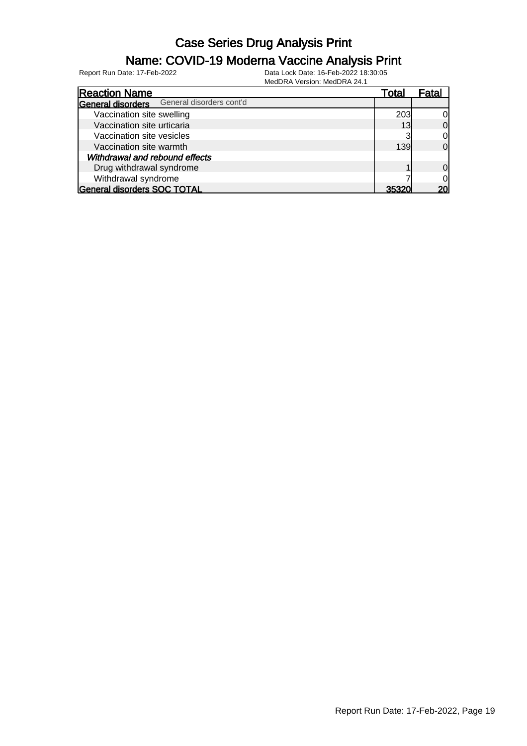## Name: COVID-19 Moderna Vaccine Analysis Print

| 1810001011 80101011.18100011812-1.                   |       |                |
|------------------------------------------------------|-------|----------------|
| <b>Reaction Name</b>                                 | Total | Fatal          |
| General disorders cont'd<br><b>General disorders</b> |       |                |
| Vaccination site swelling                            | 203   | 0l             |
| Vaccination site urticaria                           | 13    | $\Omega$       |
| Vaccination site vesicles                            | ລ     | 0              |
| Vaccination site warmth                              | 139   | $\Omega$       |
| Withdrawal and rebound effects                       |       |                |
| Drug withdrawal syndrome                             |       | $\Omega$       |
| Withdrawal syndrome                                  |       | $\overline{0}$ |
| <b>General disorders SOC TOTAL</b>                   | 35321 | <b>20l</b>     |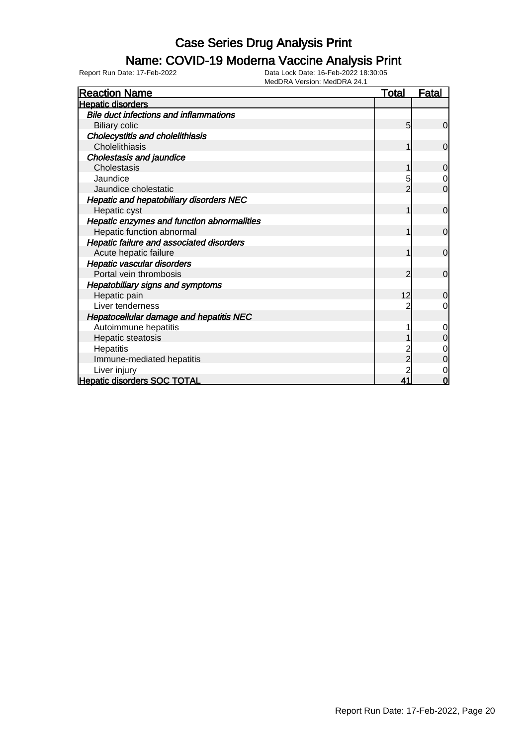### Name: COVID-19 Moderna Vaccine Analysis Print

| <b>Reaction Name</b>                           | <u>Total</u>   | <b>Fatal</b>   |
|------------------------------------------------|----------------|----------------|
| <b>Hepatic disorders</b>                       |                |                |
| <b>Bile duct infections and inflammations</b>  |                |                |
| <b>Biliary colic</b>                           | 5              | $\overline{0}$ |
| <b>Cholecystitis and cholelithiasis</b>        |                |                |
| Cholelithiasis                                 | 1              | $\overline{0}$ |
| Cholestasis and jaundice                       |                |                |
| Cholestasis                                    |                | 0              |
| Jaundice                                       | 5              | $\overline{0}$ |
| Jaundice cholestatic                           |                | $\mathbf 0$    |
| <b>Hepatic and hepatobiliary disorders NEC</b> |                |                |
| Hepatic cyst                                   | 1              | $\overline{0}$ |
| Hepatic enzymes and function abnormalities     |                |                |
| Hepatic function abnormal                      |                | $\overline{0}$ |
| Hepatic failure and associated disorders       |                |                |
| Acute hepatic failure                          |                | $\mathbf 0$    |
| Hepatic vascular disorders                     |                |                |
| Portal vein thrombosis                         | 2              | $\overline{0}$ |
| <b>Hepatobiliary signs and symptoms</b>        |                |                |
| Hepatic pain                                   | 12             | 0              |
| Liver tenderness                               |                | 0              |
| Hepatocellular damage and hepatitis NEC        |                |                |
| Autoimmune hepatitis                           |                | $\mathbf 0$    |
| Hepatic steatosis                              |                | $\mathbf 0$    |
| Hepatitis                                      |                | 0              |
| Immune-mediated hepatitis                      | $\overline{c}$ | $\mathbf 0$    |
| Liver injury                                   |                | 0              |
| <b>Hepatic disorders SOC TOTAL</b>             | 41             | 0              |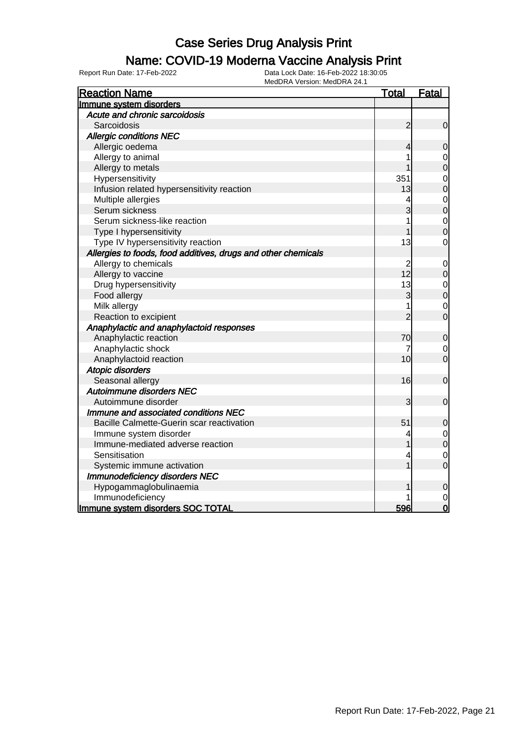### Name: COVID-19 Moderna Vaccine Analysis Print

| <b>Reaction Name</b>                                          | <u>Total</u>   | <b>Fatal</b>   |
|---------------------------------------------------------------|----------------|----------------|
| Immune system disorders                                       |                |                |
| Acute and chronic sarcoidosis                                 |                |                |
| Sarcoidosis                                                   | $\overline{c}$ | $\mathbf 0$    |
| <b>Allergic conditions NEC</b>                                |                |                |
| Allergic oedema                                               | 4              | $\mathbf 0$    |
| Allergy to animal                                             |                | 0              |
| Allergy to metals                                             |                | $\overline{0}$ |
| Hypersensitivity                                              | 351            | $\mathbf 0$    |
| Infusion related hypersensitivity reaction                    | 13             | $\overline{0}$ |
| Multiple allergies                                            |                | $\mathbf 0$    |
| Serum sickness                                                | 3              | $\overline{0}$ |
| Serum sickness-like reaction                                  |                | $\mathbf 0$    |
| Type I hypersensitivity                                       |                | $\overline{0}$ |
| Type IV hypersensitivity reaction                             | 13             | 0              |
| Allergies to foods, food additives, drugs and other chemicals |                |                |
| Allergy to chemicals                                          | $\overline{c}$ | $\mathbf 0$    |
| Allergy to vaccine                                            | 12             | $\mathbf 0$    |
| Drug hypersensitivity                                         | 13             | $\mathbf{0}$   |
| Food allergy                                                  | 3              | $\overline{0}$ |
| Milk allergy                                                  | 1              | $\overline{0}$ |
| Reaction to excipient                                         | $\overline{2}$ | $\overline{0}$ |
| Anaphylactic and anaphylactoid responses                      |                |                |
| Anaphylactic reaction                                         | 70             | $\mathbf 0$    |
| Anaphylactic shock                                            | 7              | 0              |
| Anaphylactoid reaction                                        | 10             | $\mathbf 0$    |
| <b>Atopic disorders</b>                                       |                |                |
| Seasonal allergy                                              | 16             | $\mathbf 0$    |
| <b>Autoimmune disorders NEC</b>                               |                |                |
| Autoimmune disorder                                           | 3              | $\mathbf 0$    |
| Immune and associated conditions NEC                          |                |                |
| Bacille Calmette-Guerin scar reactivation                     | 51             | $\mathbf 0$    |
| Immune system disorder                                        |                | $\mathbf 0$    |
| Immune-mediated adverse reaction                              |                | $\overline{0}$ |
| Sensitisation                                                 | 4              | $\mathbf 0$    |
| Systemic immune activation                                    |                | $\overline{0}$ |
| <b>Immunodeficiency disorders NEC</b>                         |                |                |
| Hypogammaglobulinaemia                                        |                | $\mathbf 0$    |
| Immunodeficiency                                              |                | $\mathbf 0$    |
| Immune system disorders SOC TOTAL                             | 596            | $\overline{0}$ |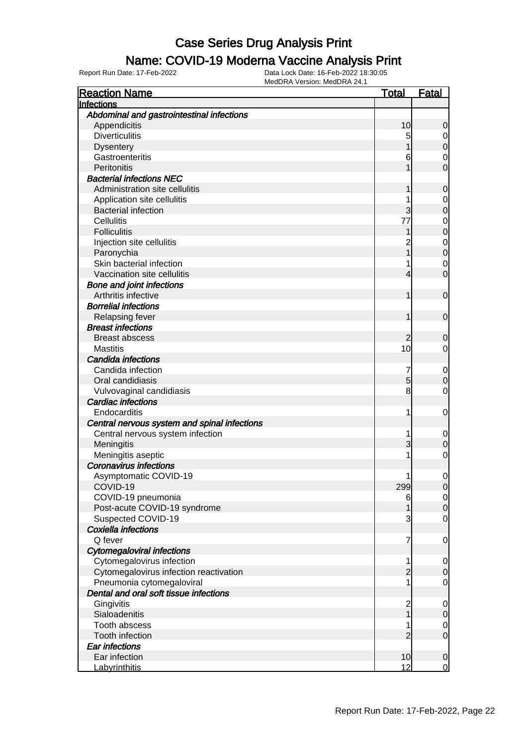#### Name: COVID-19 Moderna Vaccine Analysis Print

| <b>Reaction Name</b>                         | <u>Total</u>                          | Fatal            |
|----------------------------------------------|---------------------------------------|------------------|
| Infections                                   |                                       |                  |
| Abdominal and gastrointestinal infections    |                                       |                  |
| Appendicitis                                 | 10                                    | 0                |
| <b>Diverticulitis</b>                        | 5                                     | $\overline{0}$   |
| <b>Dysentery</b>                             |                                       | 0                |
| Gastroenteritis                              | 6                                     | 0                |
| Peritonitis                                  |                                       | 0                |
| <b>Bacterial infections NEC</b>              |                                       |                  |
| Administration site cellulitis               |                                       | 0                |
| Application site cellulitis                  | 1                                     | 0                |
| <b>Bacterial infection</b>                   | 3                                     | 0                |
| <b>Cellulitis</b>                            | 77                                    | 0                |
| <b>Folliculitis</b>                          |                                       | 0                |
| Injection site cellulitis                    |                                       | 0                |
| Paronychia                                   |                                       | 0                |
| Skin bacterial infection                     | 1                                     | 0                |
| Vaccination site cellulitis                  | 4                                     | 0                |
| <b>Bone and joint infections</b>             |                                       |                  |
| Arthritis infective                          | 1                                     | $\mathbf 0$      |
| <b>Borrelial infections</b>                  |                                       |                  |
| Relapsing fever                              | 1                                     | $\mathbf 0$      |
| <b>Breast infections</b>                     |                                       |                  |
| <b>Breast abscess</b>                        | 2                                     | 0                |
| <b>Mastitis</b>                              | 10                                    | 0                |
| Candida infections                           |                                       |                  |
| Candida infection                            | 7                                     | $\mathbf 0$      |
| Oral candidiasis                             | 5                                     | 0                |
| Vulvovaginal candidiasis                     | 8                                     | 0                |
| <b>Cardiac infections</b>                    |                                       |                  |
| Endocarditis                                 | 1                                     | 0                |
| Central nervous system and spinal infections |                                       |                  |
| Central nervous system infection             | 1                                     | $\boldsymbol{0}$ |
| Meningitis                                   | 3                                     | 0                |
| Meningitis aseptic                           | 1                                     | 0                |
| <b>Coronavirus infections</b>                |                                       |                  |
| Asymptomatic COVID-19                        | 1                                     | 0                |
| COVID-19                                     | 299                                   | $\Omega$         |
| COVID-19 pneumonia                           | 6                                     | $\overline{0}$   |
| Post-acute COVID-19 syndrome                 |                                       | $\mathbf 0$      |
| Suspected COVID-19                           | 3                                     | 0                |
| Coxiella infections                          |                                       |                  |
| Q fever                                      | 7                                     | $\mathbf 0$      |
| <b>Cytomegaloviral infections</b>            |                                       |                  |
| Cytomegalovirus infection                    | 1                                     | 0                |
| Cytomegalovirus infection reactivation       | $\overline{2}$                        | 0                |
| Pneumonia cytomegaloviral                    | 1                                     | 0                |
| Dental and oral soft tissue infections       |                                       |                  |
| Gingivitis                                   | $\begin{array}{c} 2 \\ 1 \end{array}$ | 0                |
| Sialoadenitis                                |                                       | 0                |
| <b>Tooth abscess</b>                         | 1                                     | $\mathbf 0$      |
| <b>Tooth infection</b>                       | 2                                     | $\mathbf 0$      |
| <b>Ear infections</b>                        |                                       |                  |
| Ear infection                                | 10                                    | $\mathbf 0$      |
| Labyrinthitis                                | 12                                    | $\overline{0}$   |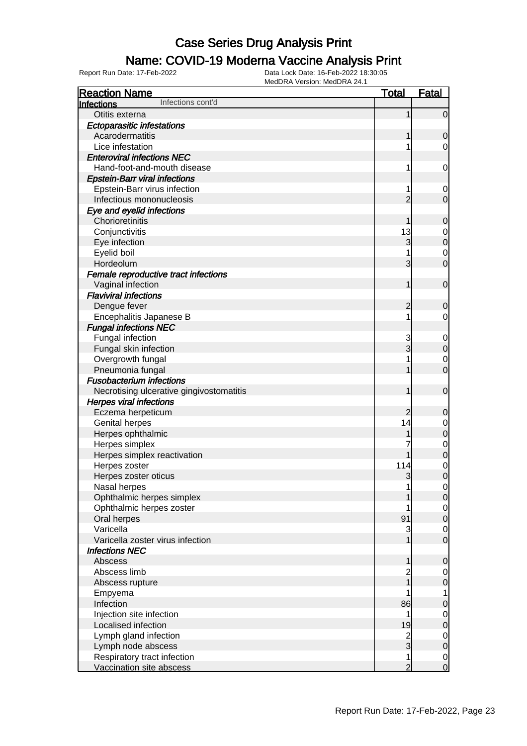### Name: COVID-19 Moderna Vaccine Analysis Print

| <b>Reaction Name</b>                                    | <b>Total</b>        | <b>Fatal</b>                  |
|---------------------------------------------------------|---------------------|-------------------------------|
| Infections cont'd<br>Infections                         |                     |                               |
| Otitis externa                                          | 1                   | $\mathbf 0$                   |
| <b>Ectoparasitic infestations</b>                       |                     |                               |
| Acarodermatitis                                         |                     | $\mathbf 0$                   |
| Lice infestation                                        |                     | 0                             |
| <b>Enteroviral infections NEC</b>                       |                     |                               |
| Hand-foot-and-mouth disease                             | 1                   | 0                             |
| <b>Epstein-Barr viral infections</b>                    |                     |                               |
| Epstein-Barr virus infection                            |                     | $\mathbf 0$                   |
| Infectious mononucleosis                                | $\overline{2}$      | $\mathbf 0$                   |
| Eye and eyelid infections                               |                     |                               |
| Chorioretinitis                                         |                     | $\mathbf 0$                   |
| Conjunctivitis                                          | 13                  | $\mathbf 0$                   |
| Eye infection                                           | 3                   | $\mathbf 0$                   |
| Eyelid boil                                             |                     | $\mathbf 0$                   |
| Hordeolum                                               | 3                   | $\mathbf 0$                   |
| Female reproductive tract infections                    |                     |                               |
| Vaginal infection                                       | 1                   | $\mathbf 0$                   |
| <b>Flaviviral infections</b>                            |                     |                               |
| Dengue fever                                            | $\overline{c}$      | 0                             |
| Encephalitis Japanese B                                 |                     | 0                             |
| <b>Fungal infections NEC</b>                            |                     |                               |
| Fungal infection                                        | 3                   | $\mathbf 0$                   |
| Fungal skin infection                                   | 3                   | $\mathbf 0$                   |
| Overgrowth fungal                                       |                     | $\mathbf 0$                   |
| Pneumonia fungal                                        |                     | $\overline{0}$                |
| <b>Fusobacterium infections</b>                         |                     |                               |
| Necrotising ulcerative gingivostomatitis                |                     | $\mathbf 0$                   |
| <b>Herpes viral infections</b>                          |                     |                               |
| Eczema herpeticum                                       | $\overline{c}$      | 0                             |
| Genital herpes                                          | 14                  | $\mathbf 0$                   |
| Herpes ophthalmic                                       |                     | $\mathbf 0$                   |
| Herpes simplex                                          |                     | $\mathbf 0$                   |
| Herpes simplex reactivation                             |                     | $\overline{0}$                |
| Herpes zoster                                           | 114                 | $\mathbf 0$                   |
| Herpes zoster oticus                                    | 3                   | $\overline{0}$                |
| Nasal herpes                                            | 1                   | $\overline{0}$                |
| Ophthalmic herpes simplex                               |                     | $\mathbf 0$                   |
| Ophthalmic herpes zoster                                |                     | $\overline{0}$                |
| Oral herpes                                             | 91                  | $\mathbf 0$                   |
| Varicella                                               | 3                   | $\overline{0}$                |
| Varicella zoster virus infection                        |                     | $\mathbf 0$                   |
| <b>Infections NEC</b>                                   |                     |                               |
| Abscess                                                 | 1                   | $\mathbf 0$                   |
| Abscess limb                                            | $\overline{c}$      | $\overline{0}$                |
| Abscess rupture                                         |                     | $\mathbf 0$                   |
| Empyema                                                 |                     | 1                             |
| Infection                                               | 86                  | $\mathbf 0$                   |
| Injection site infection                                | 1                   | $\mathbf 0$                   |
| Localised infection                                     | 19                  | $\pmb{0}$                     |
| Lymph gland infection                                   | $\frac{2}{3}$       | $\mathbf 0$                   |
| Lymph node abscess                                      |                     | $\pmb{0}$                     |
| Respiratory tract infection<br>Vaccination site abscess | 1<br>$\overline{2}$ | $\mathbf 0$<br>$\overline{0}$ |
|                                                         |                     |                               |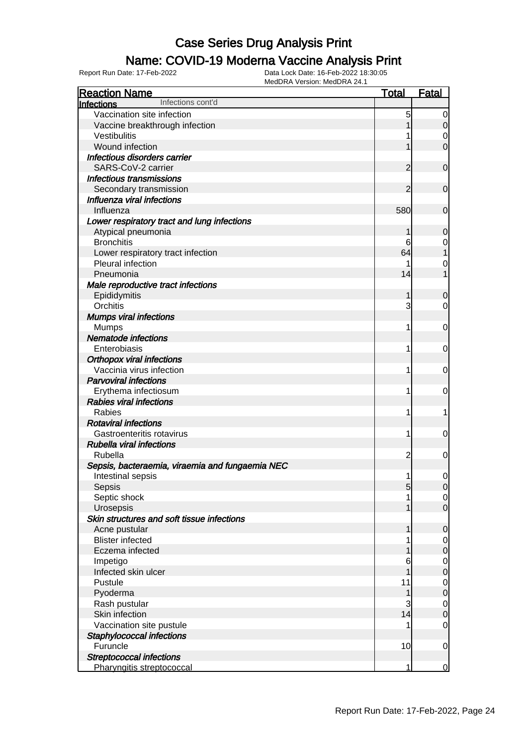### Name: COVID-19 Moderna Vaccine Analysis Print

| <b>Reaction Name</b>                            | <b>Total</b>   | <b>Fatal</b>     |
|-------------------------------------------------|----------------|------------------|
| Infections cont'd<br><b>Infections</b>          |                |                  |
| Vaccination site infection                      | 5              | 0                |
| Vaccine breakthrough infection                  |                | $\mathbf 0$      |
| Vestibulitis                                    |                | 0                |
| Wound infection                                 |                | $\overline{0}$   |
| Infectious disorders carrier                    |                |                  |
| SARS-CoV-2 carrier                              | $\overline{2}$ | $\mathbf 0$      |
| Infectious transmissions                        |                |                  |
| Secondary transmission                          | $\overline{2}$ | $\mathbf 0$      |
| Influenza viral infections                      |                |                  |
| Influenza                                       | 580            | 0                |
| Lower respiratory tract and lung infections     |                |                  |
| Atypical pneumonia                              | 1              | 0                |
| <b>Bronchitis</b>                               | 6              | 0                |
| Lower respiratory tract infection               | 64             |                  |
| Pleural infection                               |                | 0                |
| Pneumonia                                       | 14             |                  |
| Male reproductive tract infections              |                |                  |
| Epididymitis                                    | 1              | $\mathbf 0$      |
| Orchitis                                        | 3              | $\overline{0}$   |
| <b>Mumps viral infections</b>                   |                |                  |
| <b>Mumps</b>                                    | 1              | 0                |
| <b>Nematode infections</b>                      |                |                  |
| Enterobiasis                                    | 1              | 0                |
| <b>Orthopox viral infections</b>                |                |                  |
| Vaccinia virus infection                        | 1              | 0                |
| <b>Parvoviral infections</b>                    |                |                  |
| Erythema infectiosum                            | 1              | 0                |
| <b>Rabies viral infections</b>                  |                |                  |
| Rabies                                          | 1              | 1                |
| <b>Rotaviral infections</b>                     |                |                  |
| Gastroenteritis rotavirus                       | 1              | 0                |
| <b>Rubella viral infections</b>                 |                |                  |
| Rubella                                         | $\overline{c}$ | 0                |
| Sepsis, bacteraemia, viraemia and fungaemia NEC |                |                  |
| Intestinal sepsis                               | 1              | $\overline{0}$   |
| Sepsis                                          | 5              | $\overline{0}$   |
| Septic shock                                    |                | $\overline{0}$   |
| Urosepsis                                       |                | $\overline{0}$   |
| Skin structures and soft tissue infections      |                |                  |
| Acne pustular                                   | 1              | $\mathbf 0$      |
| <b>Blister infected</b>                         |                | 0                |
| Eczema infected                                 |                | $\mathbf 0$      |
| Impetigo                                        | 6              | 0                |
| Infected skin ulcer                             |                | $\mathbf 0$      |
| Pustule                                         | 11             | $\mathbf 0$      |
| Pyoderma                                        | 1              | $\boldsymbol{0}$ |
| Rash pustular                                   | 3              | $\overline{0}$   |
| Skin infection                                  | 14             | $\boldsymbol{0}$ |
| Vaccination site pustule                        |                | $\overline{0}$   |
| Staphylococcal infections                       |                |                  |
| Furuncle                                        | 10             | 0                |
| <b>Streptococcal infections</b>                 |                |                  |
| Pharyngitis streptococcal                       | 1              | $\overline{0}$   |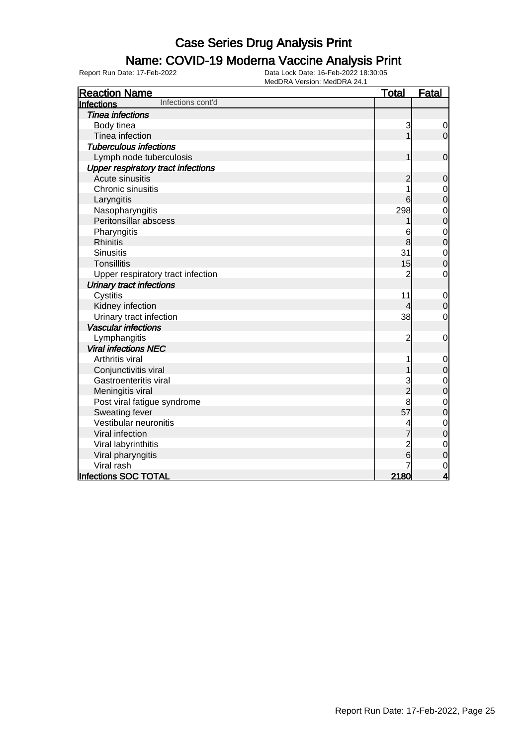### Name: COVID-19 Moderna Vaccine Analysis Print

| <b>Reaction Name</b>                      | <b>Total</b>   | <b>Fatal</b>                     |
|-------------------------------------------|----------------|----------------------------------|
| Infections cont'd<br>Infections           |                |                                  |
| <b>Tinea infections</b>                   |                |                                  |
| Body tinea                                | 3              | 0                                |
| Tinea infection                           | 1              | $\mathbf 0$                      |
| <b>Tuberculous infections</b>             |                |                                  |
| Lymph node tuberculosis                   | 1              | $\mathbf 0$                      |
| <b>Upper respiratory tract infections</b> |                |                                  |
| Acute sinusitis                           | $\overline{c}$ | $\mathbf 0$                      |
| Chronic sinusitis                         |                | $\mathbf 0$                      |
| Laryngitis                                | 6              | $\overline{0}$                   |
| Nasopharyngitis                           | 298            | $\mathbf 0$                      |
| Peritonsillar abscess                     |                | $\overline{0}$                   |
| Pharyngitis                               | 6              |                                  |
| <b>Rhinitis</b>                           | 8              | $\begin{matrix}0\\0\end{matrix}$ |
| <b>Sinusitis</b>                          | 31             | $\mathbf{0}$                     |
| <b>Tonsillitis</b>                        | 15             | $\overline{0}$                   |
| Upper respiratory tract infection         | $\overline{2}$ | $\mathbf 0$                      |
| <b>Urinary tract infections</b>           |                |                                  |
| Cystitis                                  | 11             | $\mathbf 0$                      |
| Kidney infection                          | 4              | $\mathbf 0$                      |
| Urinary tract infection                   | 38             | $\mathbf 0$                      |
| <b>Vascular infections</b>                |                |                                  |
| Lymphangitis                              | $\overline{c}$ | $\mathbf 0$                      |
| <b>Viral infections NEC</b>               |                |                                  |
| Arthritis viral                           | 1              | $\mathbf 0$                      |
| Conjunctivitis viral                      |                | $\mathbf 0$                      |
| Gastroenteritis viral                     | 3              | $\mathbf{0}$                     |
| Meningitis viral                          | $\overline{2}$ | $\overline{0}$                   |
| Post viral fatigue syndrome               | 8              | $\mathbf{0}$                     |
| Sweating fever                            | 57             | $\overline{0}$                   |
| Vestibular neuronitis                     |                | $\mathbf{0}$                     |
| Viral infection                           |                | $\overline{0}$                   |
| Viral labyrinthitis                       | $\overline{c}$ | $\mathbf 0$                      |
| Viral pharyngitis                         | 6              | $\overline{0}$                   |
| Viral rash                                |                | $\mathbf 0$                      |
| Infections SOC TOTAL                      | 2180           | $\overline{\mathbf{4}}$          |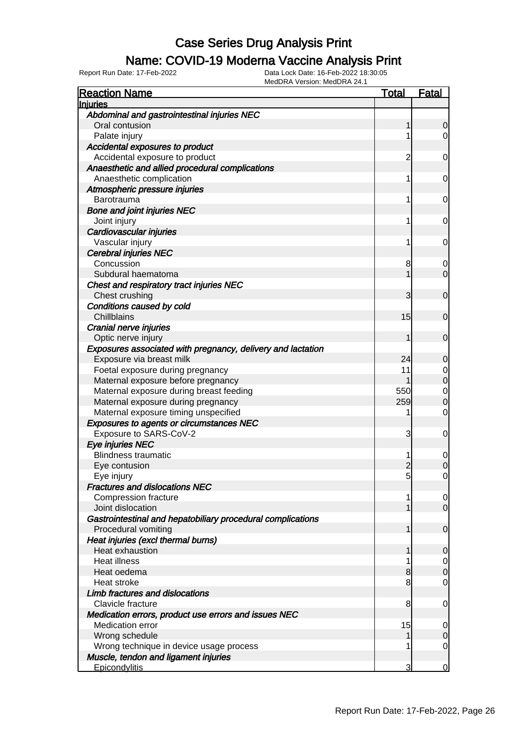#### Name: COVID-19 Moderna Vaccine Analysis Print

| <b>Reaction Name</b>                                        | Total          | <b>Fatal</b>                         |
|-------------------------------------------------------------|----------------|--------------------------------------|
| Injuries                                                    |                |                                      |
| Abdominal and gastrointestinal injuries NEC                 |                |                                      |
| Oral contusion                                              | 1              | $\overline{0}$                       |
| Palate injury                                               | 1              | $\overline{0}$                       |
| Accidental exposures to product                             |                |                                      |
| Accidental exposure to product                              | 2              | $\overline{0}$                       |
| Anaesthetic and allied procedural complications             |                |                                      |
| Anaesthetic complication                                    | 1              | $\overline{0}$                       |
| Atmospheric pressure injuries                               |                |                                      |
| Barotrauma                                                  | 1              | $\overline{0}$                       |
| <b>Bone and joint injuries NEC</b>                          |                |                                      |
| Joint injury                                                | 1              | $\overline{0}$                       |
| Cardiovascular injuries                                     |                |                                      |
| Vascular injury                                             | 1              | $\overline{0}$                       |
| <b>Cerebral injuries NEC</b>                                |                |                                      |
| Concussion                                                  | 8              | 0                                    |
| Subdural haematoma                                          |                | $\overline{0}$                       |
| Chest and respiratory tract injuries NEC                    |                |                                      |
| Chest crushing                                              | 3              | $\mathbf 0$                          |
| Conditions caused by cold                                   |                |                                      |
| Chillblains                                                 | 15             | $\mathbf 0$                          |
| Cranial nerve injuries                                      |                |                                      |
| Optic nerve injury                                          | 1              | $\mathbf 0$                          |
| Exposures associated with pregnancy, delivery and lactation |                |                                      |
| Exposure via breast milk                                    | 24             | 0                                    |
| Foetal exposure during pregnancy                            | 11             | $\begin{matrix} 0 \\ 0 \end{matrix}$ |
| Maternal exposure before pregnancy                          |                |                                      |
| Maternal exposure during breast feeding                     | 550            | $\begin{matrix}0\\0\end{matrix}$     |
| Maternal exposure during pregnancy                          | 259            |                                      |
| Maternal exposure timing unspecified                        | 1              | $\mathbf 0$                          |
| <b>Exposures to agents or circumstances NEC</b>             |                |                                      |
| Exposure to SARS-CoV-2                                      | 3              | 0                                    |
| Eye injuries NEC                                            |                |                                      |
| <b>Blindness traumatic</b>                                  | 1              | $\mathbf 0$                          |
| Eye contusion                                               | 2              | $\mathbf 0$                          |
| Eye injury                                                  | $\overline{5}$ | $\mathbf 0$                          |
| <b>Fractures and dislocations NEC</b>                       |                |                                      |
| <b>Compression fracture</b>                                 |                | $\overline{0}$                       |
| Joint dislocation                                           |                | $\overline{0}$                       |
| Gastrointestinal and hepatobiliary procedural complications |                |                                      |
| Procedural vomiting                                         | 1              | $\overline{0}$                       |
| Heat injuries (excl thermal burns)                          |                |                                      |
| Heat exhaustion                                             | 1              | $\mathbf 0$                          |
| <b>Heat illness</b>                                         |                | $\overline{0}$                       |
| Heat oedema                                                 | 8              | $\mathbf 0$                          |
| Heat stroke<br>Limb fractures and dislocations              | 8              | $\mathbf 0$                          |
|                                                             |                |                                      |
| Clavicle fracture                                           | 8              | $\mathbf 0$                          |
| Medication errors, product use errors and issues NEC        |                |                                      |
| Medication error                                            | 15             | $\overline{0}$                       |
| Wrong schedule                                              |                | $\mathbf 0$                          |
| Wrong technique in device usage process                     |                | $\overline{0}$                       |
| Muscle, tendon and ligament injuries                        | 3              |                                      |
| Epicondylitis                                               |                | $\overline{0}$                       |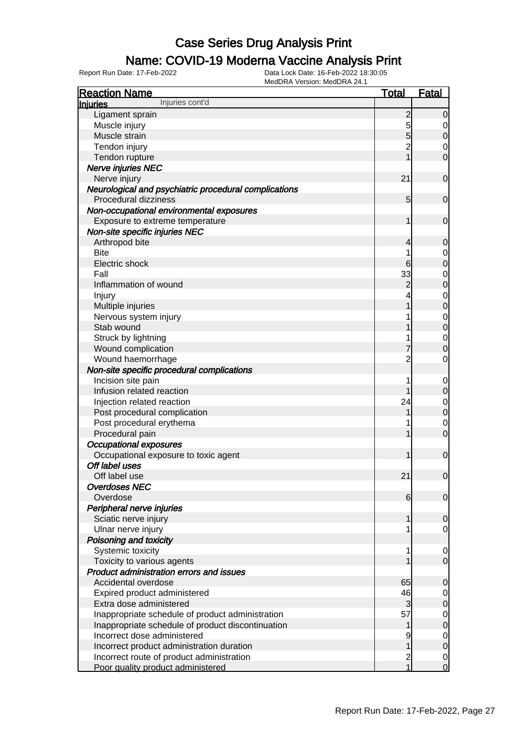### Name: COVID-19 Moderna Vaccine Analysis Print

| <b>Reaction Name</b>                                  | <b>Total</b>            | <b>Fatal</b>     |
|-------------------------------------------------------|-------------------------|------------------|
| Injuries cont'd<br>Injuries                           |                         |                  |
| Ligament sprain                                       | $\overline{c}$          | $\overline{0}$   |
| Muscle injury                                         | 5                       | 0                |
| Muscle strain                                         | 5                       | $\boldsymbol{0}$ |
| Tendon injury                                         | $\overline{2}$          | 0                |
| Tendon rupture                                        |                         | $\mathbf 0$      |
| Nerve injuries NEC                                    |                         |                  |
| Nerve injury                                          | 21                      | $\mathbf 0$      |
| Neurological and psychiatric procedural complications |                         |                  |
| Procedural dizziness                                  | 5                       | $\mathbf 0$      |
| Non-occupational environmental exposures              |                         |                  |
| Exposure to extreme temperature                       | 1                       | $\mathbf 0$      |
| Non-site specific injuries NEC                        |                         |                  |
| Arthropod bite                                        | 4                       | $\mathbf 0$      |
| <b>Bite</b>                                           | 1                       | 0                |
| Electric shock                                        | 6                       | $\mathbf 0$      |
| Fall                                                  | 33                      | $\mathbf 0$      |
| Inflammation of wound                                 | $\overline{c}$          | $\mathbf 0$      |
| Injury                                                |                         | $\mathbf 0$      |
| Multiple injuries                                     |                         | $\mathbf 0$      |
| Nervous system injury                                 |                         | $\mathbf 0$      |
| Stab wound                                            |                         | $\mathbf 0$      |
| Struck by lightning                                   |                         | $\mathbf 0$      |
| Wound complication                                    |                         | 0                |
| Wound haemorrhage                                     | $\overline{2}$          | $\mathbf 0$      |
| Non-site specific procedural complications            |                         |                  |
| Incision site pain                                    |                         | $\mathbf 0$      |
| Infusion related reaction                             |                         | $\mathbf 0$      |
| Injection related reaction                            | 24                      | $\mathbf 0$      |
| Post procedural complication                          |                         | $\mathbf 0$      |
| Post procedural erythema                              |                         | $\mathbf 0$      |
| Procedural pain                                       |                         | $\mathbf 0$      |
| <b>Occupational exposures</b>                         |                         |                  |
| Occupational exposure to toxic agent                  | 1                       | $\mathbf 0$      |
| Off label uses                                        |                         |                  |
| Off label use                                         | 21                      | $\mathbf 0$      |
| <b>Overdoses NEC</b>                                  |                         |                  |
| Overdose                                              | 6                       | $\overline{0}$   |
| Peripheral nerve injuries                             |                         |                  |
| Sciatic nerve injury                                  | 1                       | 0                |
| Ulnar nerve injury                                    |                         | $\overline{0}$   |
| Poisoning and toxicity                                |                         |                  |
| Systemic toxicity                                     | 1                       | 0                |
| Toxicity to various agents                            |                         | $\mathbf 0$      |
| <b>Product administration errors and issues</b>       |                         |                  |
| Accidental overdose                                   | 65                      | 0                |
| Expired product administered                          | 46                      | 0                |
| Extra dose administered                               | 3                       | $\mathbf 0$      |
| Inappropriate schedule of product administration      | 57                      | 0                |
| Inappropriate schedule of product discontinuation     |                         | $\mathbf 0$      |
| Incorrect dose administered                           | 9                       | 0                |
| Incorrect product administration duration             |                         | $\mathbf 0$      |
| Incorrect route of product administration             | $\overline{\mathbf{c}}$ | 0                |
| Poor quality product administered                     | $\overline{1}$          | $\overline{0}$   |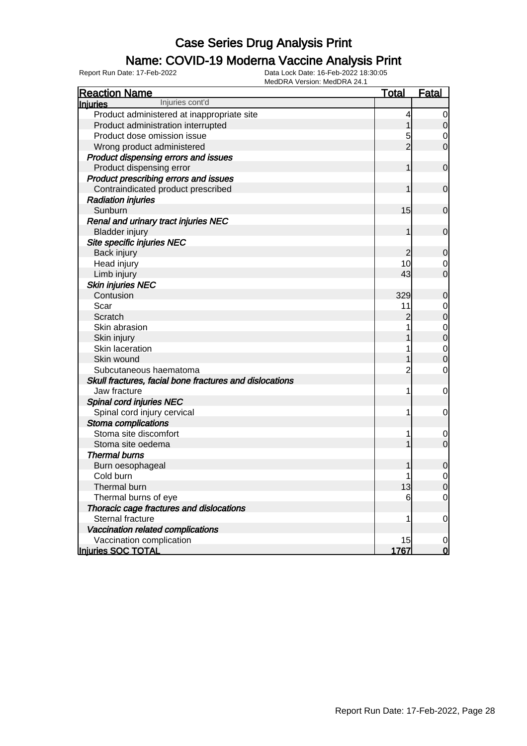### Name: COVID-19 Moderna Vaccine Analysis Print

| <b>Reaction Name</b>                                    | <b>Total</b>   | <b>Fatal</b>   |
|---------------------------------------------------------|----------------|----------------|
| Injuries cont'd<br><b>Injuries</b>                      |                |                |
| Product administered at inappropriate site              | 4              | 0              |
| Product administration interrupted                      |                | 0              |
| Product dose omission issue                             | 5              | 0              |
| Wrong product administered                              | $\overline{2}$ | 0              |
| Product dispensing errors and issues                    |                |                |
| Product dispensing error                                | 1              | $\mathbf 0$    |
| Product prescribing errors and issues                   |                |                |
| Contraindicated product prescribed                      | 1              | 0              |
| <b>Radiation injuries</b>                               |                |                |
| Sunburn                                                 | 15             | 0              |
| Renal and urinary tract injuries NEC                    |                |                |
| <b>Bladder injury</b>                                   | 1              | 0              |
| Site specific injuries NEC                              |                |                |
| Back injury                                             | 2              | 0              |
| Head injury                                             | 10             | 0              |
| Limb injury                                             | 43             | $\overline{0}$ |
| <b>Skin injuries NEC</b>                                |                |                |
| Contusion                                               | 329            | 0              |
| Scar                                                    | 11             | 0              |
| Scratch                                                 | 2              | $\mathbf 0$    |
| Skin abrasion                                           |                | $\mathbf 0$    |
| Skin injury                                             |                | $\mathbf 0$    |
| Skin laceration                                         |                | $\mathbf 0$    |
| Skin wound                                              |                | 0              |
| Subcutaneous haematoma                                  | 2              | $\mathbf 0$    |
| Skull fractures, facial bone fractures and dislocations |                |                |
| Jaw fracture                                            | 1              | 0              |
| Spinal cord injuries NEC                                |                |                |
| Spinal cord injury cervical                             | 1              | 0              |
| Stoma complications                                     |                |                |
| Stoma site discomfort                                   | 1              | 0              |
| Stoma site oedema                                       |                | $\mathbf 0$    |
| <b>Thermal burns</b>                                    |                |                |
| Burn oesophageal                                        |                | 0              |
| Cold burn                                               | 1              | 0              |
| Thermal burn                                            | 13             | $\overline{0}$ |
| Thermal burns of eye                                    | 6              | $\overline{0}$ |
| Thoracic cage fractures and dislocations                |                |                |
| Sternal fracture                                        | 1              | 0              |
| Vaccination related complications                       |                |                |
| Vaccination complication                                | 15             | $\overline{0}$ |
| Injuries SOC TOTAL                                      | 1767           | $\overline{0}$ |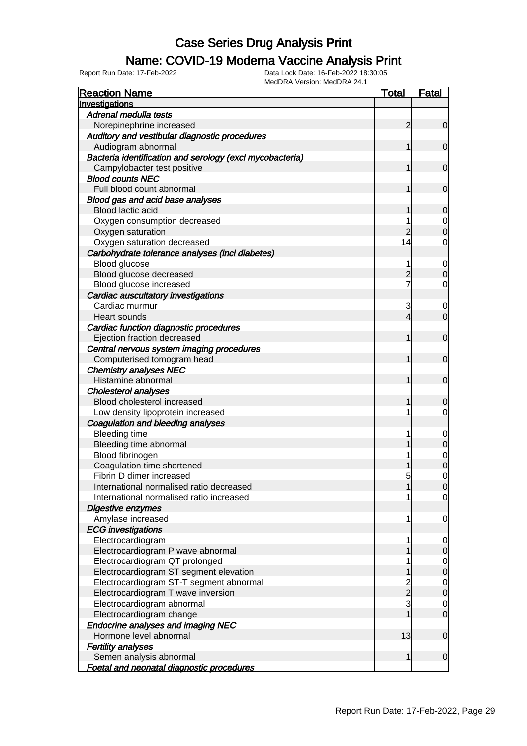## Name: COVID-19 Moderna Vaccine Analysis Print

| <b>Reaction Name</b>                                       | <b>Total</b>   | <b>Fatal</b>                  |
|------------------------------------------------------------|----------------|-------------------------------|
| Investigations                                             |                |                               |
| Adrenal medulla tests                                      |                |                               |
| Norepinephrine increased                                   | 2              | $\overline{0}$                |
| Auditory and vestibular diagnostic procedures              |                |                               |
| Audiogram abnormal                                         | 1              | $\mathbf 0$                   |
| Bacteria identification and serology (excl mycobacteria)   |                |                               |
| Campylobacter test positive                                |                | $\mathbf 0$                   |
| <b>Blood counts NEC</b>                                    |                |                               |
| Full blood count abnormal                                  |                | $\mathbf 0$                   |
| Blood gas and acid base analyses                           |                |                               |
| <b>Blood lactic acid</b>                                   |                | $\mathbf 0$                   |
| Oxygen consumption decreased                               |                | $\mathbf 0$                   |
| Oxygen saturation                                          | $\overline{c}$ | $\overline{0}$                |
| Oxygen saturation decreased                                | 14             | 0                             |
| Carbohydrate tolerance analyses (incl diabetes)            |                |                               |
| Blood glucose                                              |                | $\mathbf 0$                   |
| Blood glucose decreased                                    | $\overline{c}$ | $\mathbf 0$                   |
| Blood glucose increased                                    | 7              | 0                             |
| Cardiac auscultatory investigations                        |                |                               |
| Cardiac murmur                                             | 3              | $\mathbf 0$                   |
| Heart sounds                                               | 4              | $\mathbf 0$                   |
| Cardiac function diagnostic procedures                     |                |                               |
| Ejection fraction decreased                                | 1              | $\mathbf 0$                   |
| Central nervous system imaging procedures                  |                |                               |
| Computerised tomogram head                                 | 1              | $\mathbf 0$                   |
| <b>Chemistry analyses NEC</b>                              |                |                               |
| Histamine abnormal                                         | 1              | $\mathbf 0$                   |
|                                                            |                |                               |
| <b>Cholesterol analyses</b><br>Blood cholesterol increased |                |                               |
|                                                            |                | $\mathbf 0$<br>$\overline{0}$ |
| Low density lipoprotein increased                          |                |                               |
| Coagulation and bleeding analyses                          |                |                               |
| <b>Bleeding time</b>                                       |                | $\mathbf 0$                   |
| Bleeding time abnormal                                     |                | $\mathbf 0$                   |
| Blood fibrinogen                                           |                | $\mathbf{0}$                  |
| Coagulation time shortened                                 |                | $\mathbf 0$                   |
| Fibrin D dimer increased                                   | 5              | $\mathbf 0$                   |
| International normalised ratio decreased                   |                | 0                             |
| International normalised ratio increased                   |                | $\overline{0}$                |
| Digestive enzymes                                          |                |                               |
| Amylase increased                                          | 1              | $\mathbf 0$                   |
| <b>ECG</b> investigations                                  |                |                               |
| Electrocardiogram                                          | 1              | $\mathbf 0$                   |
| Electrocardiogram P wave abnormal                          |                | $\pmb{0}$                     |
| Electrocardiogram QT prolonged                             |                | $\boldsymbol{0}$              |
| Electrocardiogram ST segment elevation                     |                | $\boldsymbol{0}$              |
| Electrocardiogram ST-T segment abnormal                    | $\overline{c}$ | $\mathbf 0$                   |
| Electrocardiogram T wave inversion                         | $\overline{2}$ | $\pmb{0}$                     |
| Electrocardiogram abnormal                                 | 3              | $\mathbf 0$                   |
| Electrocardiogram change                                   |                | $\mathbf 0$                   |
| <b>Endocrine analyses and imaging NEC</b>                  |                |                               |
| Hormone level abnormal                                     | 13             | $\mathbf 0$                   |
| <b>Fertility analyses</b>                                  |                |                               |
| Semen analysis abnormal                                    | 1              | $\boldsymbol{0}$              |
| Foetal and neonatal diagnostic procedures                  |                |                               |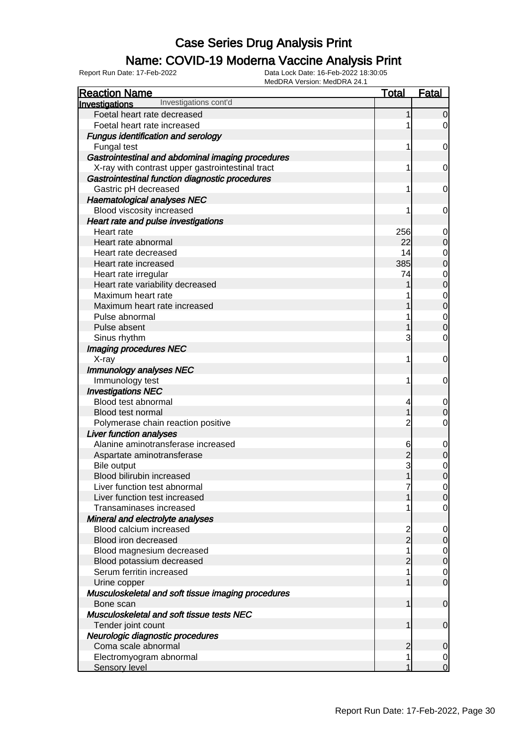## Name: COVID-19 Moderna Vaccine Analysis Print

| <b>Reaction Name</b>                                            | <b>Total</b>   | Fatal                            |
|-----------------------------------------------------------------|----------------|----------------------------------|
| Investigations cont'd<br>Investigations                         |                |                                  |
| Foetal heart rate decreased                                     |                | $\overline{0}$                   |
| Foetal heart rate increased                                     |                | 0                                |
| <b>Fungus identification and serology</b>                       |                |                                  |
| Fungal test                                                     | 1              | $\mathbf 0$                      |
| Gastrointestinal and abdominal imaging procedures               |                |                                  |
| X-ray with contrast upper gastrointestinal tract                | 1              | 0                                |
| Gastrointestinal function diagnostic procedures                 |                |                                  |
| Gastric pH decreased                                            | 1              | 0                                |
| <b>Haematological analyses NEC</b>                              |                |                                  |
| Blood viscosity increased                                       | 1              | 0                                |
| Heart rate and pulse investigations                             |                |                                  |
| Heart rate                                                      | 256            | 0                                |
| Heart rate abnormal                                             | 22             | $\mathbf 0$                      |
| Heart rate decreased                                            | 14             | 0                                |
| Heart rate increased                                            | 385            | $\overline{0}$                   |
| Heart rate irregular                                            | 74             | 0                                |
| Heart rate variability decreased                                |                | $\mathbf 0$                      |
| Maximum heart rate                                              |                | 0                                |
| Maximum heart rate increased                                    |                | $\mathbf 0$                      |
| Pulse abnormal                                                  |                | 0                                |
| Pulse absent                                                    |                | $\overline{0}$                   |
| Sinus rhythm                                                    | 3              | 0                                |
| Imaging procedures NEC                                          |                |                                  |
| X-ray                                                           | 1              | $\mathbf 0$                      |
| Immunology analyses NEC                                         |                |                                  |
| Immunology test                                                 | 1              | $\mathbf 0$                      |
| <b>Investigations NEC</b>                                       |                |                                  |
| Blood test abnormal                                             | 4              | $\mathbf 0$                      |
| <b>Blood test normal</b>                                        |                | $\mathbf 0$                      |
| Polymerase chain reaction positive                              | $\overline{c}$ | 0                                |
| <b>Liver function analyses</b>                                  |                |                                  |
| Alanine aminotransferase increased                              | 6              | $\mathbf 0$                      |
| Aspartate aminotransferase                                      |                | $\mathbf 0$                      |
| Bile output                                                     | 3              | 0                                |
| Blood bilirubin increased                                       | 1              | $\overline{0}$                   |
| Liver function test abnormal                                    | 7              | $\overline{0}$                   |
| Liver function test increased                                   |                | $\overline{0}$                   |
| Transaminases increased                                         |                | 0                                |
| Mineral and electrolyte analyses                                |                |                                  |
| Blood calcium increased                                         | 2<br>2         | $\overline{0}$                   |
| Blood iron decreased                                            |                | $\mathbf 0$                      |
| Blood magnesium decreased                                       |                | $\overline{0}$                   |
| Blood potassium decreased                                       | $\overline{2}$ | $\mathbf 0$                      |
| Serum ferritin increased                                        |                | $\overline{0}$<br>$\overline{0}$ |
| Urine copper                                                    |                |                                  |
| Musculoskeletal and soft tissue imaging procedures<br>Bone scan | 1              | $\overline{0}$                   |
| Musculoskeletal and soft tissue tests NEC                       |                |                                  |
| Tender joint count                                              | 1              | $\mathbf 0$                      |
| Neurologic diagnostic procedures                                |                |                                  |
| Coma scale abnormal                                             | 2              | $\mathbf 0$                      |
| Electromyogram abnormal                                         |                | 0                                |
| <b>Sensory level</b>                                            |                | $\overline{0}$                   |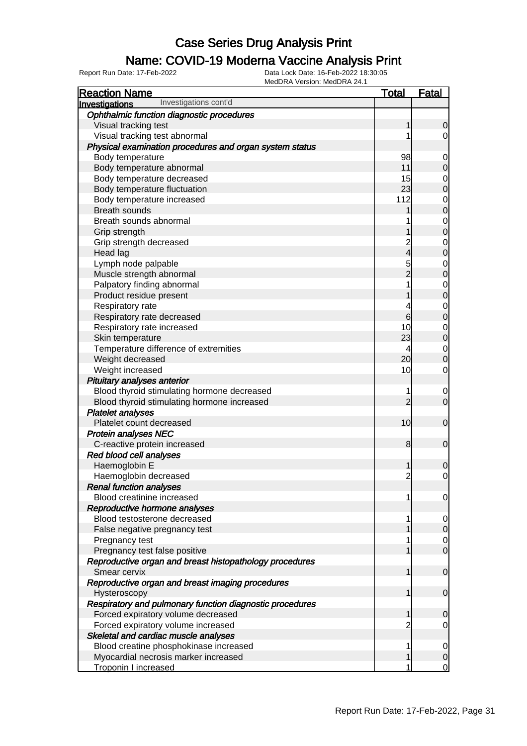## Name: COVID-19 Moderna Vaccine Analysis Print

| <b>Reaction Name</b>                                     | <u>Total</u>    | <u>Fatal</u>                         |
|----------------------------------------------------------|-----------------|--------------------------------------|
| Investigations cont'd<br>Investigations                  |                 |                                      |
| Ophthalmic function diagnostic procedures                |                 |                                      |
| Visual tracking test                                     | 1               | 0                                    |
| Visual tracking test abnormal                            | 1               | $\overline{0}$                       |
| Physical examination procedures and organ system status  |                 |                                      |
| Body temperature                                         | 98              | $\boldsymbol{0}$                     |
| Body temperature abnormal                                | 11              | $\mathbf 0$                          |
| Body temperature decreased                               | 15              | $\mathbf{0}$                         |
| Body temperature fluctuation                             | 23              | $\overline{0}$                       |
| Body temperature increased                               | 112             | $\begin{matrix} 0 \\ 0 \end{matrix}$ |
| <b>Breath sounds</b>                                     | 1               |                                      |
| Breath sounds abnormal                                   | 1               | $\begin{matrix} 0 \\ 0 \end{matrix}$ |
| Grip strength                                            | 1               |                                      |
| Grip strength decreased                                  | $\overline{c}$  | $\begin{matrix}0\\0\end{matrix}$     |
| Head lag                                                 | $\overline{4}$  |                                      |
| Lymph node palpable                                      | 5<br>2          | $\begin{matrix}0\\0\end{matrix}$     |
| Muscle strength abnormal                                 |                 |                                      |
| Palpatory finding abnormal                               | $\overline{1}$  | $\begin{matrix}0\\0\end{matrix}$     |
| Product residue present                                  | 1               |                                      |
| Respiratory rate                                         | 4               | $\begin{matrix}0\\0\end{matrix}$     |
| Respiratory rate decreased                               | $6\overline{6}$ |                                      |
| Respiratory rate increased                               | 10              | $\begin{matrix} 0 \\ 0 \end{matrix}$ |
| Skin temperature                                         | 23              |                                      |
| Temperature difference of extremities                    | 4               | $\begin{matrix}0\\0\end{matrix}$     |
| Weight decreased                                         | 20              |                                      |
| Weight increased                                         | 10              | $\mathbf 0$                          |
| Pituitary analyses anterior                              |                 |                                      |
| Blood thyroid stimulating hormone decreased              | 1               | $\mathbf 0$                          |
| Blood thyroid stimulating hormone increased              | $\overline{2}$  | $\mathbf 0$                          |
| <b>Platelet analyses</b>                                 |                 |                                      |
| Platelet count decreased                                 | 10              | $\boldsymbol{0}$                     |
| <b>Protein analyses NEC</b>                              |                 |                                      |
| C-reactive protein increased                             | 8               | $\mathbf 0$                          |
| Red blood cell analyses                                  |                 |                                      |
| Haemoglobin E                                            | 1               | 0                                    |
| Haemoglobin decreased                                    | $\overline{2}$  | $\mathbf 0$                          |
| <b>Renal function analyses</b>                           |                 |                                      |
| Blood creatinine increased                               | 1               | $\overline{0}$                       |
| Reproductive hormone analyses                            |                 |                                      |
| Blood testosterone decreased                             | 1               | $\overline{0}$                       |
| False negative pregnancy test                            | 1               | $\mathbf 0$                          |
| Pregnancy test                                           | 1               | $\begin{matrix} 0 \\ 0 \end{matrix}$ |
| Pregnancy test false positive                            | $\mathbf{1}$    |                                      |
| Reproductive organ and breast histopathology procedures  |                 |                                      |
| Smear cervix                                             | $\mathbf{1}$    | $\boldsymbol{0}$                     |
| Reproductive organ and breast imaging procedures         |                 |                                      |
| Hysteroscopy                                             | $\mathbf{1}$    | $\boldsymbol{0}$                     |
| Respiratory and pulmonary function diagnostic procedures |                 |                                      |
| Forced expiratory volume decreased                       | 1               | $\mathbf 0$                          |
| Forced expiratory volume increased                       | $\overline{2}$  | $\mathbf 0$                          |
| Skeletal and cardiac muscle analyses                     |                 |                                      |
| Blood creatine phosphokinase increased                   | 1               | $\mathbf 0$                          |
| Myocardial necrosis marker increased                     | $\mathbf{1}$    | $\mathbf 0$                          |
| <b>Troponin I increased</b>                              | 1               | $\overline{0}$                       |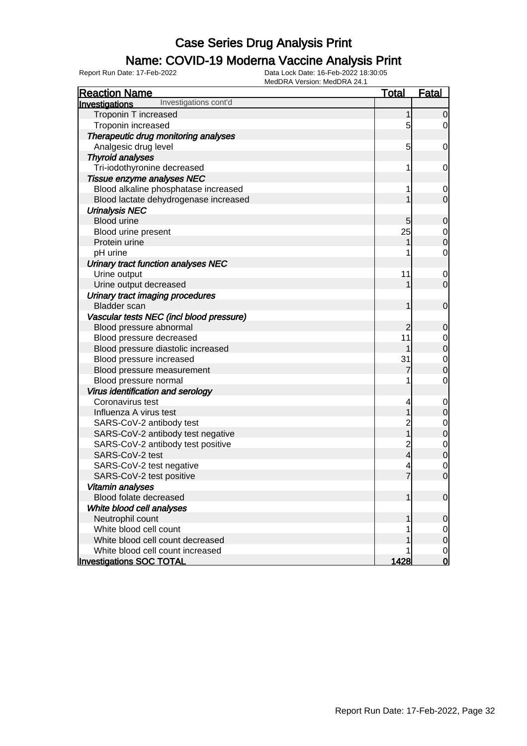### Name: COVID-19 Moderna Vaccine Analysis Print

| MEUDRA VEISIUII. MEUDRA 24.<br><b>Reaction Name</b> | <b>Total</b>   | <b>Fatal</b>   |
|-----------------------------------------------------|----------------|----------------|
| Investigations cont'd<br><b>Investigations</b>      |                |                |
| Troponin T increased                                |                | $\Omega$       |
| Troponin increased                                  | 5              | 0              |
| Therapeutic drug monitoring analyses                |                |                |
| Analgesic drug level                                | 5              | 0              |
| <b>Thyroid analyses</b>                             |                |                |
| Tri-iodothyronine decreased                         |                | 0              |
| Tissue enzyme analyses NEC                          |                |                |
| Blood alkaline phosphatase increased                |                | 0              |
| Blood lactate dehydrogenase increased               |                | $\overline{0}$ |
| <b>Urinalysis NEC</b>                               |                |                |
| <b>Blood urine</b>                                  | 5              | 0              |
| Blood urine present                                 | 25             | 0              |
| Protein urine                                       |                | $\overline{0}$ |
| pH urine                                            |                | 0              |
| Urinary tract function analyses NEC                 |                |                |
| Urine output                                        | 11             | 0              |
| Urine output decreased                              |                | $\overline{0}$ |
| Urinary tract imaging procedures                    |                |                |
| <b>Bladder</b> scan                                 | 1              | $\mathbf 0$    |
| Vascular tests NEC (incl blood pressure)            |                |                |
| Blood pressure abnormal                             | 2              | 0              |
| Blood pressure decreased                            | 11             | 0              |
| Blood pressure diastolic increased                  |                | $\overline{0}$ |
| Blood pressure increased                            | 31             | $\mathbf 0$    |
| Blood pressure measurement                          |                | $\mathbf 0$    |
| Blood pressure normal                               |                | 0              |
| Virus identification and serology                   |                |                |
| Coronavirus test                                    |                | 0              |
| Influenza A virus test                              |                | $\Omega$       |
| SARS-CoV-2 antibody test                            | 2              | 0              |
| SARS-CoV-2 antibody test negative                   |                | $\mathbf 0$    |
| SARS-CoV-2 antibody test positive                   |                | $\mathbf 0$    |
| SARS-CoV-2 test                                     | 2<br>4         | $\mathbf 0$    |
| SARS-CoV-2 test negative                            | 4              | 0              |
| SARS-CoV-2 test positive                            | $\overline{7}$ | $\overline{0}$ |
| Vitamin analyses                                    |                |                |
| Blood folate decreased                              |                | $\overline{0}$ |
| White blood cell analyses                           |                |                |
| Neutrophil count                                    |                | 0              |
| White blood cell count                              |                | 0              |
| White blood cell count decreased                    |                | $\mathbf 0$    |
| White blood cell count increased                    |                | 0              |
| <b>Investigations SOC TOTAL</b>                     | 1428           | 0              |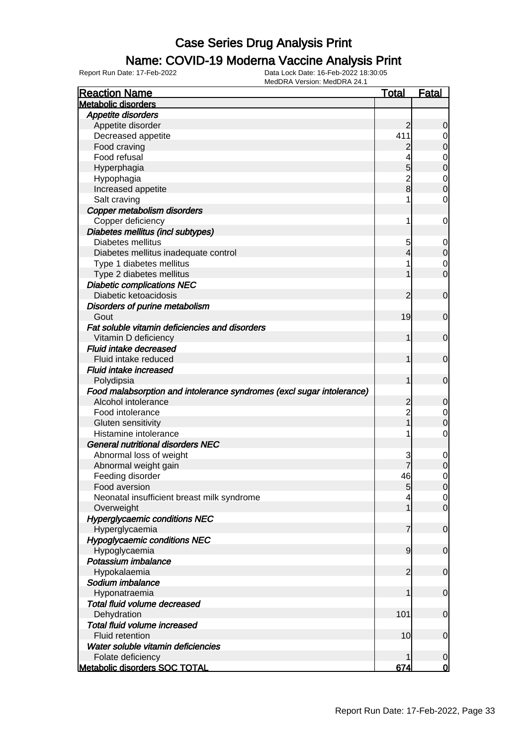## Name: COVID-19 Moderna Vaccine Analysis Print

| <b>Reaction Name</b>                                                  | <u>Total</u>   | <b>Fatal</b>   |
|-----------------------------------------------------------------------|----------------|----------------|
| <b>Metabolic disorders</b>                                            |                |                |
| <b>Appetite disorders</b>                                             |                |                |
| Appetite disorder                                                     | 2              | 0              |
| Decreased appetite                                                    | 411            | 0              |
| Food craving                                                          | 2              | $\mathbf 0$    |
| Food refusal                                                          |                | 0              |
| Hyperphagia                                                           | 5              | $\mathbf 0$    |
| Hypophagia                                                            | $\overline{c}$ | $\mathbf 0$    |
| Increased appetite                                                    | $\overline{8}$ | 0              |
| Salt craving                                                          | 1              | 0              |
| Copper metabolism disorders                                           |                |                |
| Copper deficiency                                                     | 1              | 0              |
| Diabetes mellitus (incl subtypes)                                     |                |                |
| Diabetes mellitus                                                     | 5              | 0              |
| Diabetes mellitus inadequate control                                  | 4              | $\mathbf 0$    |
| Type 1 diabetes mellitus                                              | 1              | 0              |
| Type 2 diabetes mellitus                                              |                | $\mathbf 0$    |
| <b>Diabetic complications NEC</b>                                     |                |                |
| Diabetic ketoacidosis                                                 | 2              | $\mathbf 0$    |
| Disorders of purine metabolism                                        |                |                |
| Gout                                                                  | 19             | 0              |
| Fat soluble vitamin deficiencies and disorders                        |                |                |
| Vitamin D deficiency                                                  | 1              | $\mathbf 0$    |
|                                                                       |                |                |
| Fluid intake decreased                                                |                |                |
| Fluid intake reduced                                                  | 1              | $\mathbf 0$    |
| <b>Fluid intake increased</b>                                         |                |                |
| Polydipsia                                                            | 1              | $\mathbf 0$    |
| Food malabsorption and intolerance syndromes (excl sugar intolerance) |                |                |
| Alcohol intolerance                                                   | $\overline{c}$ | 0              |
| Food intolerance                                                      | $\overline{2}$ | 0              |
| Gluten sensitivity                                                    | $\overline{1}$ | 0              |
| Histamine intolerance                                                 | 1              | $\mathbf 0$    |
| <b>General nutritional disorders NEC</b>                              |                |                |
| Abnormal loss of weight                                               | 3              | 0              |
| Abnormal weight gain                                                  |                | 0              |
| Feeding disorder                                                      | 46             | 0              |
| Food aversion                                                         | 5              | $\overline{0}$ |
| Neonatal insufficient breast milk syndrome                            | 4              | $\overline{0}$ |
| Overweight                                                            | 1              | $\mathbf 0$    |
| <b>Hyperglycaemic conditions NEC</b>                                  |                |                |
| Hyperglycaemia                                                        | 7              | $\mathbf 0$    |
| <b>Hypoglycaemic conditions NEC</b>                                   |                |                |
| Hypoglycaemia                                                         | $\overline{9}$ | $\mathbf 0$    |
| Potassium imbalance                                                   |                |                |
| Hypokalaemia                                                          | $\overline{2}$ | $\mathbf 0$    |
| Sodium imbalance                                                      |                |                |
| Hyponatraemia                                                         | 1              | $\mathbf 0$    |
| Total fluid volume decreased                                          |                |                |
| Dehydration                                                           | 101            | $\mathbf 0$    |
| Total fluid volume increased                                          |                |                |
| Fluid retention                                                       | 10             | $\mathbf 0$    |
| Water soluble vitamin deficiencies                                    |                |                |
| Folate deficiency                                                     | 1              | 0              |
| <b>Metabolic disorders SOC TOTAL</b>                                  | 674            | 0              |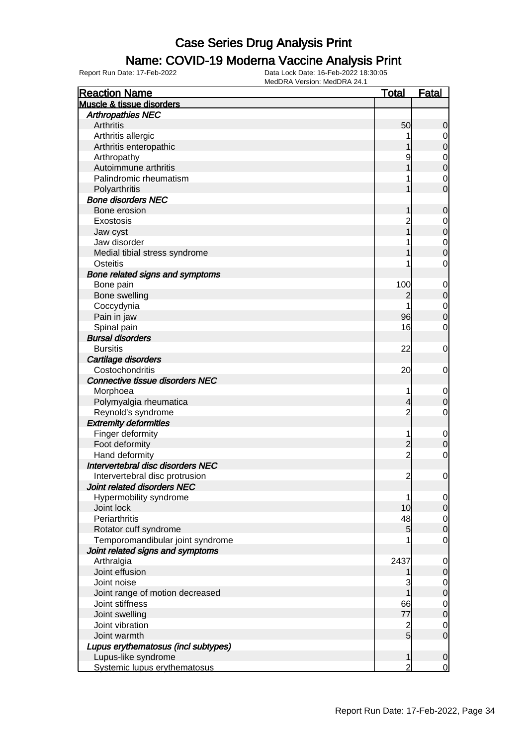### Name: COVID-19 Moderna Vaccine Analysis Print

| <b>Reaction Name</b>                | <u>Total</u>   | <b>Fatal</b>     |
|-------------------------------------|----------------|------------------|
| Muscle & tissue disorders           |                |                  |
| <b>Arthropathies NEC</b>            |                |                  |
| Arthritis                           | 50             | 0                |
| Arthritis allergic                  |                | $\mathbf 0$      |
| Arthritis enteropathic              |                | $\overline{0}$   |
| Arthropathy                         | 9              | $\mathbf{0}$     |
| Autoimmune arthritis                |                | $\overline{0}$   |
| Palindromic rheumatism              |                | $\mathbf 0$      |
| Polyarthritis                       |                | $\overline{0}$   |
| <b>Bone disorders NEC</b>           |                |                  |
| Bone erosion                        |                | 0                |
| Exostosis                           |                | $\mathbf 0$      |
| Jaw cyst                            |                | $\overline{0}$   |
| Jaw disorder                        |                | $\mathbf{0}$     |
| Medial tibial stress syndrome       |                | $\overline{0}$   |
| Osteitis                            |                | $\mathbf 0$      |
| Bone related signs and symptoms     |                |                  |
| Bone pain                           | 100            | $\mathbf 0$      |
| Bone swelling                       | 2              | $\mathbf 0$      |
| Coccydynia                          |                | $\mathbf{0}$     |
| Pain in jaw                         | 96             | $\mathbf 0$      |
| Spinal pain                         | 16             | $\mathbf 0$      |
| <b>Bursal disorders</b>             |                |                  |
| <b>Bursitis</b>                     | 22             | $\mathbf 0$      |
| Cartilage disorders                 |                |                  |
| Costochondritis                     | 20             | $\mathbf 0$      |
| Connective tissue disorders NEC     |                |                  |
| Morphoea                            | 1              | $\mathbf 0$      |
| Polymyalgia rheumatica              | 4              | $\boldsymbol{0}$ |
| Reynold's syndrome                  | $\overline{2}$ | $\mathbf 0$      |
| <b>Extremity deformities</b>        |                |                  |
| Finger deformity                    | 1              | $\mathbf 0$      |
| Foot deformity                      | $\overline{c}$ | $\boldsymbol{0}$ |
| Hand deformity                      | $\overline{2}$ | $\mathbf 0$      |
| Intervertebral disc disorders NEC   |                |                  |
| Intervertebral disc protrusion      | $\overline{c}$ | 0                |
| Joint related disorders NEC         |                |                  |
| Hypermobility syndrome              | 1              | $\overline{0}$   |
| Joint lock                          | 10             | $\mathbf 0$      |
| Periarthritis                       | 48             | $\overline{0}$   |
| Rotator cuff syndrome               | 5              | $\mathbf 0$      |
| Temporomandibular joint syndrome    |                | $\mathbf 0$      |
| Joint related signs and symptoms    |                |                  |
| Arthralgia                          | 2437           | $\mathbf 0$      |
| Joint effusion                      |                | $\boldsymbol{0}$ |
| Joint noise                         | 3              | $\overline{0}$   |
| Joint range of motion decreased     |                | $\mathbf 0$      |
| Joint stiffness                     | 66             | $\mathbf 0$      |
| Joint swelling                      | 77             | $\mathbf 0$      |
| Joint vibration                     | $\overline{c}$ | $\mathbf 0$      |
| Joint warmth                        | 5              | $\mathbf 0$      |
| Lupus erythematosus (incl subtypes) |                |                  |
| Lupus-like syndrome                 | 1              | 0                |
| Systemic lupus erythematosus        | $\overline{2}$ | 0                |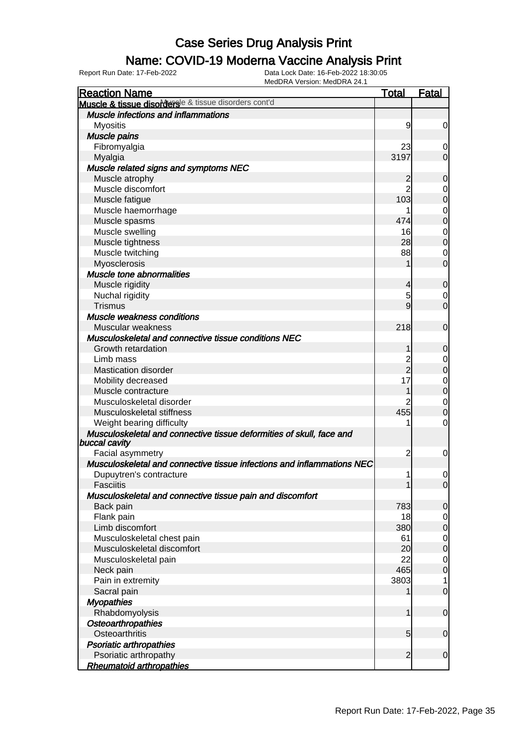#### Name: COVID-19 Moderna Vaccine Analysis Print

| <b>Reaction Name</b>                                                   | <b>Total</b>    | <b>Fatal</b>     |
|------------------------------------------------------------------------|-----------------|------------------|
| Muscle & tissue disordersle & tissue disorders cont'd                  |                 |                  |
| <b>Muscle infections and inflammations</b>                             |                 |                  |
| <b>Myositis</b>                                                        | 9               | 0                |
| <b>Muscle pains</b>                                                    |                 |                  |
| Fibromyalgia                                                           | 23              | 0                |
| Myalgia                                                                | 3197            | $\mathbf 0$      |
| Muscle related signs and symptoms NEC                                  |                 |                  |
| Muscle atrophy                                                         | $\overline{c}$  | $\mathbf 0$      |
| Muscle discomfort                                                      | $\overline{2}$  | 0                |
| Muscle fatigue                                                         | 103             | $\boldsymbol{0}$ |
| Muscle haemorrhage                                                     |                 | 0                |
| Muscle spasms                                                          | 474             | $\boldsymbol{0}$ |
| Muscle swelling                                                        | 16              | 0                |
| Muscle tightness                                                       | 28              | $\boldsymbol{0}$ |
| Muscle twitching                                                       | 88              | 0                |
| Myosclerosis                                                           |                 | $\overline{0}$   |
| <b>Muscle tone abnormalities</b>                                       |                 |                  |
| Muscle rigidity                                                        | 4               | $\mathbf 0$      |
| Nuchal rigidity                                                        | 5               | 0                |
| <b>Trismus</b>                                                         | 9               | $\overline{0}$   |
| Muscle weakness conditions                                             |                 |                  |
| Muscular weakness                                                      | 218             | $\mathbf 0$      |
| Musculoskeletal and connective tissue conditions NEC                   |                 |                  |
| Growth retardation                                                     | 1               | 0                |
| Limb mass                                                              | $\overline{c}$  | 0                |
| <b>Mastication disorder</b>                                            | $\overline{2}$  | $\boldsymbol{0}$ |
| Mobility decreased                                                     | 17              | 0                |
| Muscle contracture                                                     | 1               | $\boldsymbol{0}$ |
| Musculoskeletal disorder                                               | 2               | 0                |
| Musculoskeletal stiffness                                              | 455             | $\mathbf 0$      |
| Weight bearing difficulty                                              |                 | 0                |
| Musculoskeletal and connective tissue deformities of skull, face and   |                 |                  |
| buccal cavity                                                          |                 |                  |
| Facial asymmetry                                                       | $\overline{c}$  | $\mathbf 0$      |
| Musculoskeletal and connective tissue infections and inflammations NEC |                 |                  |
| Dupuytren's contracture                                                | 1               | 0                |
| <b>Fasciitis</b>                                                       | 1               | $\Omega$         |
| Musculoskeletal and connective tissue pain and discomfort              |                 |                  |
| Back pain                                                              | 783             | 0                |
| Flank pain                                                             | 18              | 0                |
| Limb discomfort                                                        | 380             | 0                |
| Musculoskeletal chest pain                                             | 61              | 0                |
| Musculoskeletal discomfort                                             | 20              | $\mathbf 0$      |
| Musculoskeletal pain                                                   | 22              | $\mathbf 0$      |
| Neck pain                                                              | 465             | $\mathbf 0$      |
| Pain in extremity                                                      | 3803            | 1                |
| Sacral pain                                                            |                 | $\mathbf 0$      |
| <b>Myopathies</b>                                                      |                 |                  |
| Rhabdomyolysis                                                         | 1               | $\mathbf 0$      |
| Osteoarthropathies                                                     |                 |                  |
| Osteoarthritis                                                         | $5\overline{)}$ | $\mathbf 0$      |
| <b>Psoriatic arthropathies</b>                                         |                 |                  |
| Psoriatic arthropathy                                                  | $\overline{2}$  | $\mathbf 0$      |
| <b>Rheumatoid arthropathies</b>                                        |                 |                  |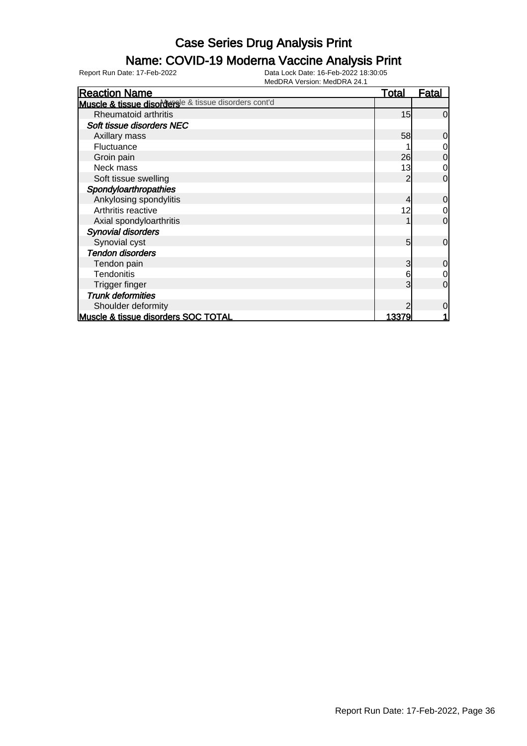## Name: COVID-19 Moderna Vaccine Analysis Print

| <b>Reaction Name</b>                                  | <b>Total</b> | <u>Fatal</u> |
|-------------------------------------------------------|--------------|--------------|
| Muscle & tissue disordersle & tissue disorders cont'd |              |              |
| Rheumatoid arthritis                                  | 15           | $\Omega$     |
| Soft tissue disorders NEC                             |              |              |
| Axillary mass                                         | 58           | 0            |
| Fluctuance                                            |              |              |
| Groin pain                                            | 26           | 0            |
| Neck mass                                             | 13           | 0            |
| Soft tissue swelling                                  |              | $\Omega$     |
| Spondyloarthropathies                                 |              |              |
| Ankylosing spondylitis                                |              | $\mathbf 0$  |
| Arthritis reactive                                    | 12           | 0            |
| Axial spondyloarthritis                               |              | $\mathbf 0$  |
| <b>Synovial disorders</b>                             |              |              |
| Synovial cyst                                         | 5            | $\mathbf 0$  |
| <b>Tendon disorders</b>                               |              |              |
| Tendon pain                                           | 3            | 0            |
| <b>Tendonitis</b>                                     | 6            | $\mathbf 0$  |
| Trigger finger                                        | 3            | 0            |
| <b>Trunk deformities</b>                              |              |              |
| Shoulder deformity                                    |              | $\Omega$     |
| Muscle & tissue disorders SOC TOTAL                   | 13379        |              |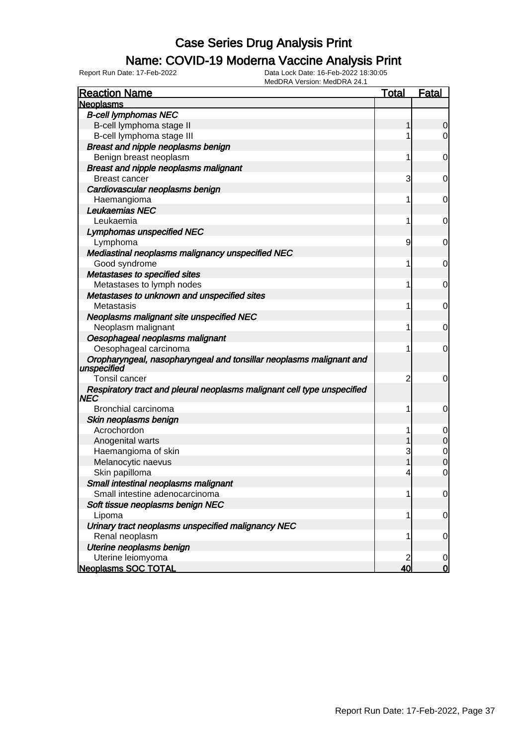## Name: COVID-19 Moderna Vaccine Analysis Print

| <b>Reaction Name</b>                                                               | <b>Total</b> | <b>Fatal</b>        |
|------------------------------------------------------------------------------------|--------------|---------------------|
| <b>Neoplasms</b>                                                                   |              |                     |
| <b>B-cell lymphomas NEC</b>                                                        |              |                     |
| B-cell lymphoma stage II                                                           | 1            | 0                   |
| B-cell lymphoma stage III                                                          | 1            | 0                   |
| Breast and nipple neoplasms benign                                                 |              |                     |
| Benign breast neoplasm                                                             | 1            | 0                   |
| <b>Breast and nipple neoplasms malignant</b>                                       |              |                     |
| <b>Breast cancer</b>                                                               | 3            | 0                   |
| Cardiovascular neoplasms benign                                                    |              |                     |
| Haemangioma                                                                        | 1            | 0                   |
| Leukaemias NEC                                                                     |              |                     |
| Leukaemia                                                                          | 1            | 0                   |
| <b>Lymphomas unspecified NEC</b>                                                   |              |                     |
| Lymphoma                                                                           | 9            | 0                   |
| Mediastinal neoplasms malignancy unspecified NEC                                   |              |                     |
| Good syndrome                                                                      | 1            | 0                   |
| Metastases to specified sites                                                      |              |                     |
| Metastases to lymph nodes                                                          | 1            | 0                   |
| Metastases to unknown and unspecified sites                                        |              |                     |
| Metastasis                                                                         | 1            | 0                   |
| Neoplasms malignant site unspecified NEC                                           |              |                     |
| Neoplasm malignant                                                                 | 1            | 0                   |
| Oesophageal neoplasms malignant                                                    |              |                     |
| Oesophageal carcinoma                                                              | 1            | 0                   |
| Oropharyngeal, nasopharyngeal and tonsillar neoplasms malignant and<br>unspecified |              |                     |
| Tonsil cancer                                                                      | 2            | 0                   |
| Respiratory tract and pleural neoplasms malignant cell type unspecified<br>NEC     |              |                     |
| Bronchial carcinoma                                                                | 1            | 0                   |
| Skin neoplasms benign                                                              |              |                     |
| Acrochordon                                                                        |              | $\mathbf 0$         |
| Anogenital warts                                                                   |              | $\overline{0}$      |
| Haemangioma of skin                                                                | 3            | $\mathbf 0$         |
| Melanocytic naevus                                                                 |              | $\mathsf{O}\xspace$ |
| Skin papilloma                                                                     | 4            | 0                   |
| Small intestinal neoplasms malignant                                               |              |                     |
| Small intestine adenocarcinoma                                                     | 1            | $\overline{0}$      |
| Soft tissue neoplasms benign NEC                                                   |              |                     |
| Lipoma                                                                             | 1            | $\overline{0}$      |
| Urinary tract neoplasms unspecified malignancy NEC                                 |              |                     |
| Renal neoplasm                                                                     | 1            | $\overline{0}$      |
| Uterine neoplasms benign                                                           |              |                     |
| Uterine leiomyoma                                                                  |              | 0                   |
| <b>Neoplasms SOC TOTAL</b>                                                         | 40           | $\mathbf 0$         |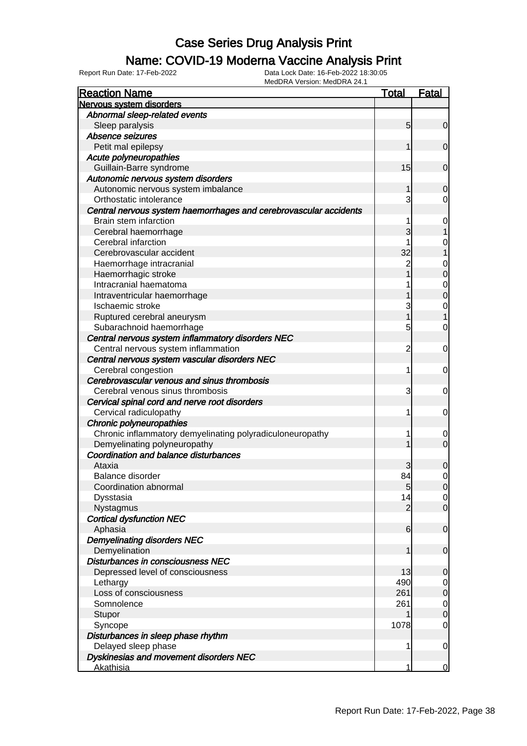### Name: COVID-19 Moderna Vaccine Analysis Print

| <b>Reaction Name</b>                                              | <b>Total</b>    | <b>Fatal</b>     |
|-------------------------------------------------------------------|-----------------|------------------|
| Nervous system disorders                                          |                 |                  |
| Abnormal sleep-related events                                     |                 |                  |
| Sleep paralysis                                                   | $5\overline{)}$ | $\mathbf 0$      |
| Absence seizures                                                  |                 |                  |
| Petit mal epilepsy                                                | 1               | $\mathbf 0$      |
| Acute polyneuropathies                                            |                 |                  |
| Guillain-Barre syndrome                                           | 15              | $\mathbf 0$      |
| Autonomic nervous system disorders                                |                 |                  |
| Autonomic nervous system imbalance                                | 1               | 0                |
| Orthostatic intolerance                                           | 3               | 0                |
| Central nervous system haemorrhages and cerebrovascular accidents |                 |                  |
| Brain stem infarction                                             | 1               | $\mathbf 0$      |
| Cerebral haemorrhage                                              | 3               | 1                |
| Cerebral infarction                                               |                 | $\mathbf{0}$     |
| Cerebrovascular accident                                          | 32              | $\overline{1}$   |
| Haemorrhage intracranial                                          | $\overline{2}$  | $\mathbf{0}$     |
| Haemorrhagic stroke                                               | 1               | $\overline{0}$   |
| Intracranial haematoma                                            | 1               | $\mathbf{0}$     |
| Intraventricular haemorrhage                                      | 1               | $\overline{0}$   |
| Ischaemic stroke                                                  | 3               | $\mathbf{0}$     |
| Ruptured cerebral aneurysm                                        | 1               | $\overline{1}$   |
| Subarachnoid haemorrhage                                          | 5               | $\overline{0}$   |
| Central nervous system inflammatory disorders NEC                 |                 |                  |
| Central nervous system inflammation                               | $\overline{2}$  | 0                |
| Central nervous system vascular disorders NEC                     |                 |                  |
| Cerebral congestion                                               | 1               | 0                |
| Cerebrovascular venous and sinus thrombosis                       |                 |                  |
| Cerebral venous sinus thrombosis                                  | 3               | 0                |
| Cervical spinal cord and nerve root disorders                     |                 |                  |
| Cervical radiculopathy                                            | 1               | 0                |
| Chronic polyneuropathies                                          |                 |                  |
| Chronic inflammatory demyelinating polyradiculoneuropathy         | 1               | 0                |
| Demyelinating polyneuropathy                                      | 1               | $\overline{0}$   |
| Coordination and balance disturbances                             |                 |                  |
| Ataxia                                                            | 3               | 0                |
| Balance disorder                                                  | 84              | 0                |
| Coordination abnormal                                             | 5 <sub>5</sub>  | 0                |
| Dysstasia                                                         | 14              | $\overline{O}$   |
| Nystagmus                                                         | $\overline{2}$  | $\overline{0}$   |
| <b>Cortical dysfunction NEC</b>                                   |                 |                  |
| Aphasia                                                           | 6               | $\mathbf 0$      |
| <b>Demyelinating disorders NEC</b>                                |                 |                  |
| Demyelination                                                     | 1               | $\boldsymbol{0}$ |
| Disturbances in consciousness NEC                                 |                 |                  |
| Depressed level of consciousness                                  | 13              | $\mathbf 0$      |
| Lethargy                                                          | 490             | $\mathbf 0$      |
| Loss of consciousness                                             | 261             | $\overline{0}$   |
| Somnolence                                                        | 261             | $\mathbf 0$      |
| Stupor                                                            | 1               | $\overline{0}$   |
| Syncope                                                           | 1078            | 0                |
| Disturbances in sleep phase rhythm                                |                 |                  |
| Delayed sleep phase                                               | 1               | $\mathbf 0$      |
| Dyskinesias and movement disorders NEC                            |                 |                  |
| <b>Akathisia</b>                                                  | 1               | $\overline{0}$   |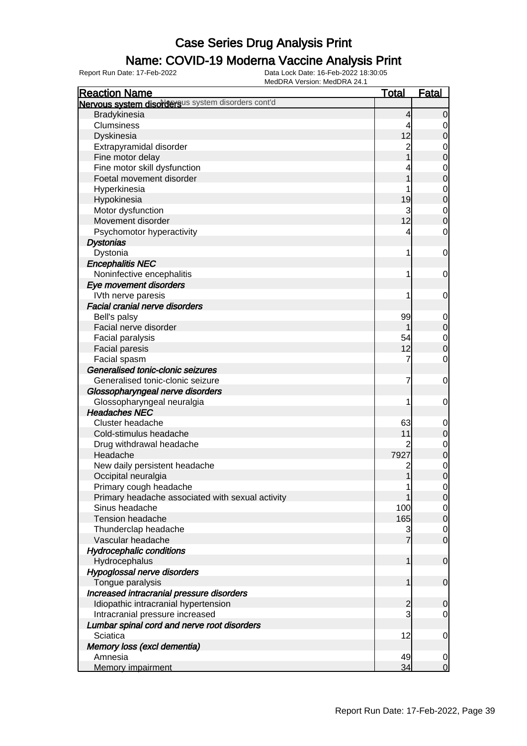### Name: COVID-19 Moderna Vaccine Analysis Print

| <b>Reaction Name</b>                               | <u>Total</u>   | <b>Fatal</b>   |
|----------------------------------------------------|----------------|----------------|
| Nervous system disordersus system disorders cont'd |                |                |
| Bradykinesia                                       | 4              | $\overline{0}$ |
| Clumsiness                                         | 4              | 0              |
| Dyskinesia                                         | 12             | $\mathbf 0$    |
| Extrapyramidal disorder                            | $\overline{c}$ | 0              |
| Fine motor delay                                   |                | $\mathbf 0$    |
| Fine motor skill dysfunction                       |                | $\mathbf 0$    |
| Foetal movement disorder                           |                | $\mathbf 0$    |
| Hyperkinesia                                       |                | $\mathbf 0$    |
| Hypokinesia                                        | 19             | $\mathbf 0$    |
| Motor dysfunction                                  | 3              | $\mathbf 0$    |
| Movement disorder                                  | 12             | $\mathbf 0$    |
| Psychomotor hyperactivity                          | 4              | $\mathbf 0$    |
| <b>Dystonias</b>                                   |                |                |
| Dystonia                                           | 1              | $\mathbf 0$    |
| <b>Encephalitis NEC</b>                            |                |                |
| Noninfective encephalitis                          | 1              | $\mathbf 0$    |
| Eye movement disorders                             |                |                |
| IVth nerve paresis                                 | 1              | $\mathbf 0$    |
| <b>Facial cranial nerve disorders</b>              |                |                |
| Bell's palsy                                       | 99             | 0              |
| Facial nerve disorder                              |                | $\mathbf 0$    |
| Facial paralysis                                   | 54             | $\mathbf 0$    |
| <b>Facial paresis</b>                              | 12             | $\mathbf 0$    |
| Facial spasm                                       | 7              | $\mathbf 0$    |
| Generalised tonic-clonic seizures                  |                |                |
| Generalised tonic-clonic seizure                   | 7              | $\mathbf 0$    |
| Glossopharyngeal nerve disorders                   |                |                |
| Glossopharyngeal neuralgia                         | 1              | $\mathbf 0$    |
| <b>Headaches NEC</b>                               |                |                |
| Cluster headache                                   | 63             | $\mathbf 0$    |
| Cold-stimulus headache                             | 11             | $\mathbf 0$    |
| Drug withdrawal headache                           |                | $\mathbf 0$    |
| Headache                                           | 7927           | $\mathbf 0$    |
| New daily persistent headache                      | $\overline{c}$ | $\mathbf 0$    |
| Occipital neuralgia                                | 1              | $\overline{0}$ |
| Primary cough headache                             | 1              | $\overline{0}$ |
| Primary headache associated with sexual activity   |                | $\mathbf 0$    |
| Sinus headache                                     | 100            | $\overline{0}$ |
| <b>Tension headache</b>                            | 165            | $\mathbf 0$    |
| Thunderclap headache                               | 3              | $\overline{0}$ |
| Vascular headache                                  |                | $\mathbf 0$    |
| <b>Hydrocephalic conditions</b>                    |                |                |
| Hydrocephalus                                      | 1              | $\mathbf 0$    |
| Hypoglossal nerve disorders                        |                |                |
| Tongue paralysis                                   | 1              | $\mathbf 0$    |
| Increased intracranial pressure disorders          |                |                |
| Idiopathic intracranial hypertension               | $\overline{c}$ | $\mathbf 0$    |
| Intracranial pressure increased                    | 3              | $\overline{0}$ |
| Lumbar spinal cord and nerve root disorders        |                |                |
| Sciatica                                           | 12             | $\mathbf 0$    |
| Memory loss (excl dementia)                        |                |                |
| Amnesia                                            | 49             | $\mathbf 0$    |
| Memory impairment                                  | 34             | $\overline{0}$ |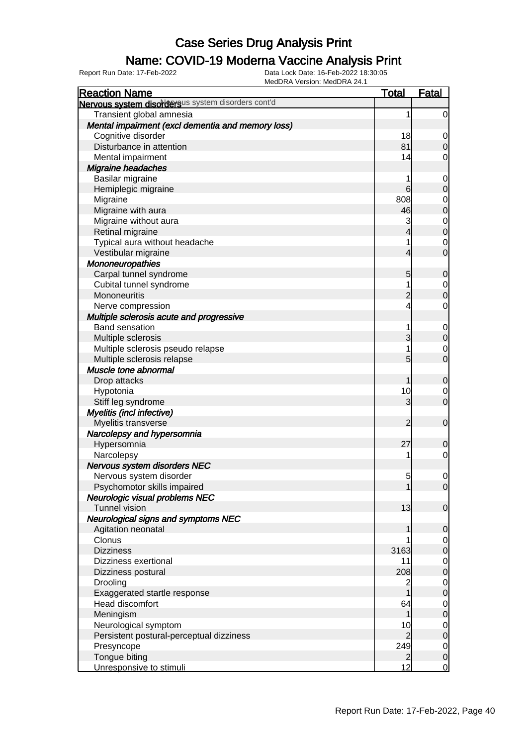## Name: COVID-19 Moderna Vaccine Analysis Print

| <b>Reaction Name</b>                               | <b>Total</b>   | <b>Fatal</b>                         |
|----------------------------------------------------|----------------|--------------------------------------|
| Nervous system disordersus system disorders cont'd |                |                                      |
| Transient global amnesia                           | 1              | $\overline{0}$                       |
| Mental impairment (excl dementia and memory loss)  |                |                                      |
| Cognitive disorder                                 | 18             | $\overline{0}$                       |
| Disturbance in attention                           | 81             | $\boldsymbol{0}$                     |
| Mental impairment                                  | 14             | $\overline{0}$                       |
| Migraine headaches                                 |                |                                      |
| Basilar migraine                                   | 1              | $\mathbf 0$                          |
| Hemiplegic migraine                                | 6              | $\boldsymbol{0}$                     |
| Migraine                                           | 808            |                                      |
| Migraine with aura                                 | 46             | $\begin{matrix} 0 \\ 0 \end{matrix}$ |
| Migraine without aura                              | 3              |                                      |
| Retinal migraine                                   | 4              | $\begin{matrix}0\\0\end{matrix}$     |
| Typical aura without headache                      | 1              | $\mathbf{0}$                         |
| Vestibular migraine                                | $\overline{4}$ | $\overline{0}$                       |
| Mononeuropathies                                   |                |                                      |
| Carpal tunnel syndrome                             | 5              | $\mathbf 0$                          |
| Cubital tunnel syndrome                            |                |                                      |
| Mononeuritis                                       | $\overline{c}$ | $\begin{matrix} 0 \\ 0 \end{matrix}$ |
| Nerve compression                                  | 4              | $\mathbf 0$                          |
| Multiple sclerosis acute and progressive           |                |                                      |
| <b>Band sensation</b>                              | 1              | $\mathbf{0}$                         |
| Multiple sclerosis                                 | 3              | $\mathbf 0$                          |
| Multiple sclerosis pseudo relapse                  | 1              |                                      |
| Multiple sclerosis relapse                         | 5              | $\begin{matrix} 0 \\ 0 \end{matrix}$ |
| Muscle tone abnormal                               |                |                                      |
| Drop attacks                                       | 1              | $\mathbf 0$                          |
| Hypotonia                                          | 10             | $\boldsymbol{0}$                     |
| Stiff leg syndrome                                 | 3              | $\overline{0}$                       |
| Myelitis (incl infective)                          |                |                                      |
| Myelitis transverse                                | 2              | $\mathbf 0$                          |
| Narcolepsy and hypersomnia                         |                |                                      |
| Hypersomnia                                        | 27             | $\mathbf 0$                          |
| Narcolepsy                                         | 1              | $\overline{0}$                       |
| Nervous system disorders NEC                       |                |                                      |
| Nervous system disorder                            | 5              | $\mathbf 0$                          |
| Psychomotor skills impaired                        | 1              | 0                                    |
| Neurologic visual problems NEC                     |                |                                      |
| <b>Tunnel vision</b>                               | 13             | $\mathbf 0$                          |
| <b>Neurological signs and symptoms NEC</b>         |                |                                      |
| Agitation neonatal                                 |                | $\mathbf 0$                          |
| Clonus                                             |                | $\overline{0}$                       |
| <b>Dizziness</b>                                   | 3163           | $\pmb{0}$                            |
| Dizziness exertional                               | 11             | $\overline{0}$                       |
| Dizziness postural                                 | 208            | $\pmb{0}$                            |
| Drooling                                           | 2              | $\overline{0}$                       |
| Exaggerated startle response                       | 1              | $\pmb{0}$                            |
| Head discomfort                                    | 64             | $\overline{0}$                       |
| Meningism                                          | 1              | $\pmb{0}$                            |
| Neurological symptom                               | 10             | $\overline{0}$                       |
| Persistent postural-perceptual dizziness           | $\overline{2}$ | $\pmb{0}$                            |
| Presyncope                                         | 249            | $\overline{0}$                       |
| Tongue biting                                      | $\mathbf{2}$   | $\pmb{0}$                            |
| Unresponsive to stimuli                            | 12             | $\overline{0}$                       |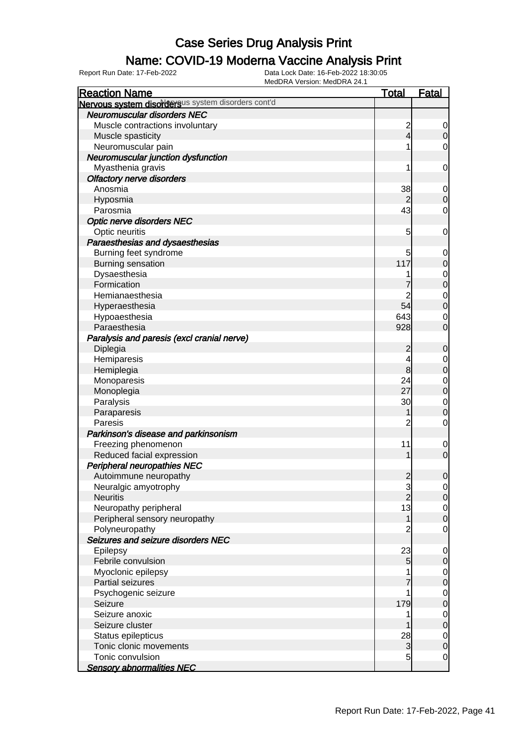#### Name: COVID-19 Moderna Vaccine Analysis Print

| <b>Reaction Name</b>                               | <u>Total</u>            | <b>Fatal</b>     |
|----------------------------------------------------|-------------------------|------------------|
| Nervous system disordersus system disorders cont'd |                         |                  |
| <b>Neuromuscular disorders NEC</b>                 |                         |                  |
| Muscle contractions involuntary                    | $\overline{\mathbf{c}}$ | 0                |
| Muscle spasticity                                  | $\overline{4}$          | $\overline{0}$   |
| Neuromuscular pain                                 |                         | 0                |
| Neuromuscular junction dysfunction                 |                         |                  |
| Myasthenia gravis                                  | 1                       | 0                |
| <b>Olfactory nerve disorders</b>                   |                         |                  |
| Anosmia                                            | 38                      | $\mathbf 0$      |
| Hyposmia                                           | $\overline{2}$          | $\boldsymbol{0}$ |
| Parosmia                                           | 43                      | 0                |
| <b>Optic nerve disorders NEC</b>                   |                         |                  |
| Optic neuritis                                     | 5                       | 0                |
| Paraesthesias and dysaesthesias                    |                         |                  |
| Burning feet syndrome                              |                         |                  |
|                                                    | 5<br>117                | 0                |
| <b>Burning sensation</b>                           |                         | $\boldsymbol{0}$ |
| Dysaesthesia                                       |                         | $\mathbf 0$      |
| Formication                                        |                         | $\mathbf 0$      |
| Hemianaesthesia                                    | 2                       | $\mathbf 0$      |
| Hyperaesthesia                                     | 54                      | $\mathbf 0$      |
| Hypoaesthesia                                      | 643                     | 0                |
| Paraesthesia                                       | 928                     | $\mathbf 0$      |
| Paralysis and paresis (excl cranial nerve)         |                         |                  |
| Diplegia                                           | $\overline{c}$          | $\mathbf 0$      |
| Hemiparesis                                        | 4                       | $\mathbf 0$      |
| Hemiplegia                                         | 8                       | $\boldsymbol{0}$ |
| Monoparesis                                        | 24                      | $\mathbf 0$      |
| Monoplegia                                         | 27                      | $\mathbf 0$      |
| Paralysis                                          | 30                      | $\mathbf 0$      |
| Paraparesis                                        |                         | $\boldsymbol{0}$ |
| Paresis                                            | $\overline{c}$          | $\mathbf 0$      |
| Parkinson's disease and parkinsonism               |                         |                  |
| Freezing phenomenon                                | 11                      | $\mathbf 0$      |
| Reduced facial expression                          |                         | $\mathbf 0$      |
| <b>Peripheral neuropathies NEC</b>                 |                         |                  |
| Autoimmune neuropathy                              | $\overline{2}$          | $\mathbf 0$      |
| Neuralgic amyotrophy                               | $\frac{3}{2}$           | $\overline{0}$   |
| <b>Neuritis</b>                                    |                         | $\overline{0}$   |
| Neuropathy peripheral                              | 13                      | $\overline{0}$   |
| Peripheral sensory neuropathy                      | 1                       | $\mathbf 0$      |
| Polyneuropathy                                     | $\overline{c}$          | $\mathbf 0$      |
| Seizures and seizure disorders NEC                 |                         |                  |
| Epilepsy                                           | 23                      | $\mathbf 0$      |
| Febrile convulsion                                 | $\overline{5}$          | $\mathbf 0$      |
| Myoclonic epilepsy                                 |                         | $\overline{0}$   |
| <b>Partial seizures</b>                            |                         | $\pmb{0}$        |
| Psychogenic seizure                                | 1                       | $\overline{0}$   |
| Seizure                                            | 179                     | $\pmb{0}$        |
| Seizure anoxic                                     |                         | $\overline{0}$   |
| Seizure cluster                                    |                         | $\pmb{0}$        |
| Status epilepticus                                 | 28                      | $\overline{0}$   |
| Tonic clonic movements                             | 3                       | $\mathbf 0$      |
| Tonic convulsion                                   | 5                       | $\mathbf 0$      |
| <b>Sensory abnormalities NEC</b>                   |                         |                  |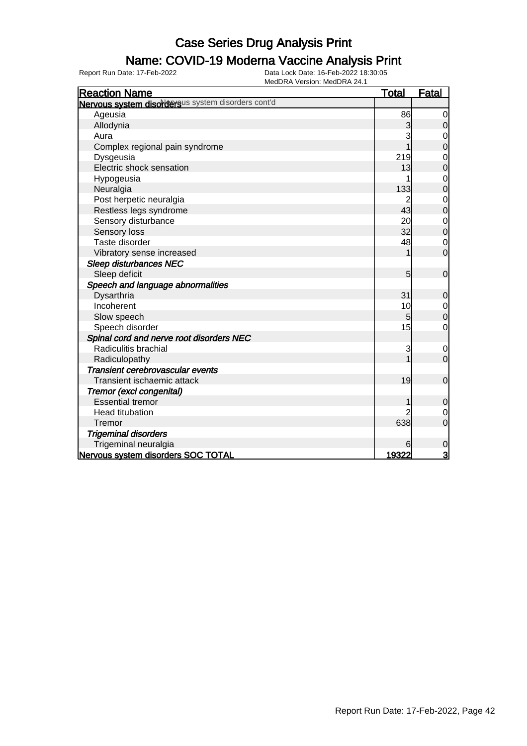## Name: COVID-19 Moderna Vaccine Analysis Print

| <b>Reaction Name</b>                               | <b>Total</b> | <b>Fatal</b>   |
|----------------------------------------------------|--------------|----------------|
| Nervous system disordersus system disorders cont'd |              |                |
| Ageusia                                            | 86           | 0              |
| Allodynia                                          | 3            | $\mathbf 0$    |
| Aura                                               |              | 0              |
| Complex regional pain syndrome                     |              | 0              |
| Dysgeusia                                          | 219          | 0              |
| Electric shock sensation                           | 13           | $\mathbf{0}$   |
| Hypogeusia                                         |              | $\mathbf 0$    |
| Neuralgia                                          | 133          | $\mathbf 0$    |
| Post herpetic neuralgia                            |              | $\mathbf 0$    |
| Restless legs syndrome                             | 43           | $\overline{0}$ |
| Sensory disturbance                                | 20           | $\mathbf 0$    |
| Sensory loss                                       | 32           | $\overline{0}$ |
| Taste disorder                                     | 48           | $\mathbf 0$    |
| Vibratory sense increased                          |              | $\overline{0}$ |
| <b>Sleep disturbances NEC</b>                      |              |                |
| Sleep deficit                                      | 5            | $\mathbf 0$    |
| Speech and language abnormalities                  |              |                |
| Dysarthria                                         | 31           | $\mathbf 0$    |
| Incoherent                                         | 10           | $\mathbf 0$    |
| Slow speech                                        | 5            | $\overline{0}$ |
| Speech disorder                                    | 15           | 0              |
| Spinal cord and nerve root disorders NEC           |              |                |
| Radiculitis brachial                               | 3            | 0              |
| Radiculopathy                                      |              | $\overline{0}$ |
| Transient cerebrovascular events                   |              |                |
| Transient ischaemic attack                         | 19           | $\overline{0}$ |
| Tremor (excl congenital)                           |              |                |
| <b>Essential tremor</b>                            |              | $\mathbf 0$    |
| Head titubation                                    |              | $\mathbf 0$    |
| Tremor                                             | 638          | $\overline{0}$ |
| <b>Trigeminal disorders</b>                        |              |                |
| Trigeminal neuralgia                               | 6            | 0              |
| Nervous system disorders SOC TOTAL                 | 19322        | 3              |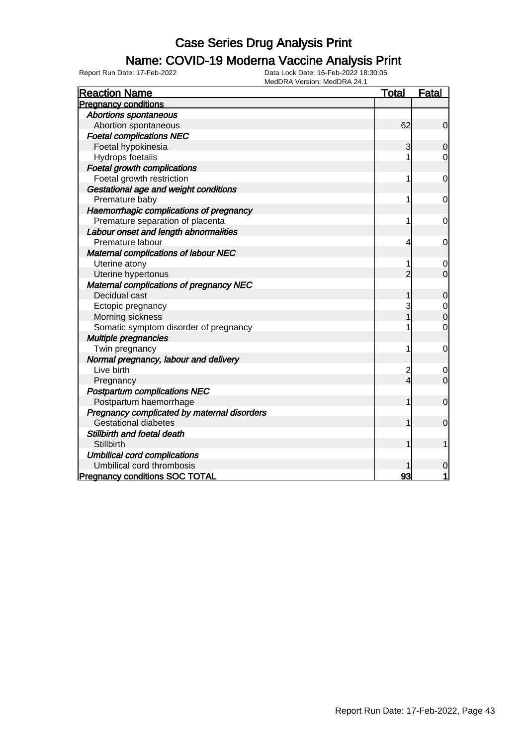## Name: COVID-19 Moderna Vaccine Analysis Print

| <b>Reaction Name</b>                        | <b>Total</b>            | <b>Fatal</b>   |
|---------------------------------------------|-------------------------|----------------|
| <b>Pregnancy conditions</b>                 |                         |                |
| <b>Abortions spontaneous</b>                |                         |                |
| Abortion spontaneous                        | 62                      | $\mathbf 0$    |
| <b>Foetal complications NEC</b>             |                         |                |
| Foetal hypokinesia                          | 3                       | $\mathbf 0$    |
| Hydrops foetalis                            |                         | $\mathbf 0$    |
| <b>Foetal growth complications</b>          |                         |                |
| Foetal growth restriction                   | 1                       | $\mathbf 0$    |
| Gestational age and weight conditions       |                         |                |
| Premature baby                              | 1                       | 0              |
| Haemorrhagic complications of pregnancy     |                         |                |
| Premature separation of placenta            | 1                       | 0              |
| Labour onset and length abnormalities       |                         |                |
| Premature labour                            | 4                       | 0              |
| Maternal complications of labour NEC        |                         |                |
| Uterine atony                               | 1                       | $\mathbf 0$    |
| Uterine hypertonus                          | $\overline{2}$          | $\overline{0}$ |
| Maternal complications of pregnancy NEC     |                         |                |
| Decidual cast                               | 1                       | $\mathbf 0$    |
| Ectopic pregnancy                           | 3                       | $\mathbf{0}$   |
| Morning sickness                            |                         | $\mathbf 0$    |
| Somatic symptom disorder of pregnancy       | 1                       | $\mathbf 0$    |
| <b>Multiple pregnancies</b>                 |                         |                |
| Twin pregnancy                              | 1                       | $\mathbf 0$    |
| Normal pregnancy, labour and delivery       |                         |                |
| Live birth                                  | $\overline{\mathbf{c}}$ | $\mathbf 0$    |
| Pregnancy                                   | 4                       | $\mathbf 0$    |
| <b>Postpartum complications NEC</b>         |                         |                |
| Postpartum haemorrhage                      | 1                       | $\mathbf 0$    |
| Pregnancy complicated by maternal disorders |                         |                |
| <b>Gestational diabetes</b>                 | 1                       | $\mathbf 0$    |
| Stillbirth and foetal death                 |                         |                |
| Stillbirth                                  | 1                       | 1              |
| <b>Umbilical cord complications</b>         |                         |                |
| Umbilical cord thrombosis                   |                         | 0              |
| <b>Pregnancy conditions SOC TOTAL</b>       | 93                      |                |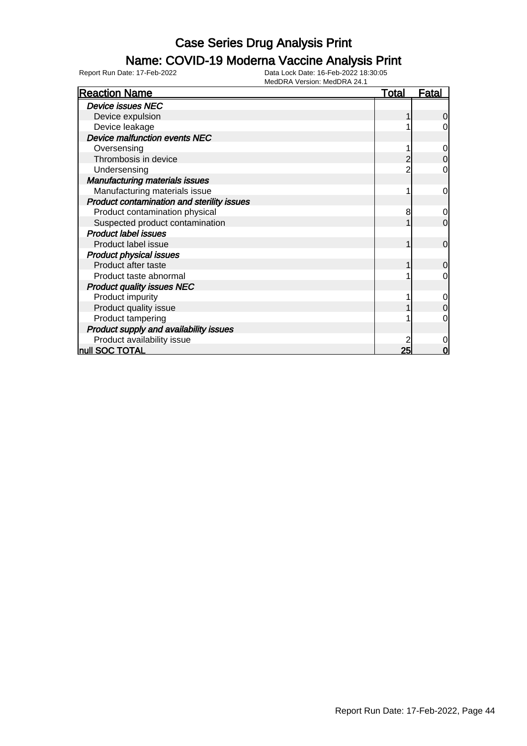## Name: COVID-19 Moderna Vaccine Analysis Print

| <b>Reaction Name</b>                       | <u>Total</u> | Fatal          |
|--------------------------------------------|--------------|----------------|
| <b>Device issues NEC</b>                   |              |                |
| Device expulsion                           |              | 0              |
| Device leakage                             |              | 0              |
| <b>Device malfunction events NEC</b>       |              |                |
| Oversensing                                |              | $\mathbf 0$    |
| Thrombosis in device                       |              | $\mathbf 0$    |
| Undersensing                               |              | $\mathbf 0$    |
| <b>Manufacturing materials issues</b>      |              |                |
| Manufacturing materials issue              |              | 0              |
| Product contamination and sterility issues |              |                |
| Product contamination physical             | 8            | $\mathbf 0$    |
| Suspected product contamination            |              | $\overline{0}$ |
| <b>Product label issues</b>                |              |                |
| Product label issue                        |              | $\mathbf 0$    |
| <b>Product physical issues</b>             |              |                |
| Product after taste                        |              | $\overline{0}$ |
| Product taste abnormal                     |              | 0              |
| <b>Product quality issues NEC</b>          |              |                |
| Product impurity                           |              | $\mathbf 0$    |
| Product quality issue                      |              | $\mathbf 0$    |
| Product tampering                          |              | 0              |
| Product supply and availability issues     |              |                |
| Product availability issue                 |              | 0              |
| <b>null SOC TOTAL</b>                      | 25           | 0              |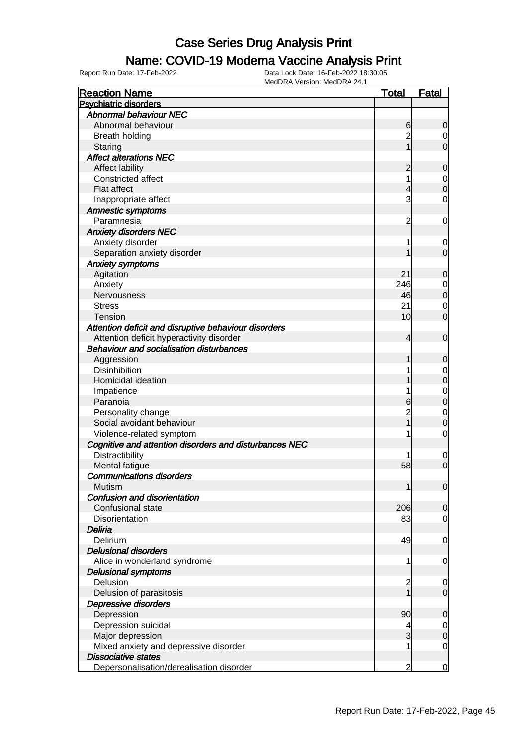### Name: COVID-19 Moderna Vaccine Analysis Print

| <b>Psychiatric disorders</b><br><b>Abnormal behaviour NEC</b><br>Abnormal behaviour<br>6<br>$\overline{0}$<br>$\overline{2}$<br><b>Breath holding</b><br>$\overline{0}$<br>$\overline{0}$<br>Staring<br><b>Affect alterations NEC</b><br>Affect lability<br>2<br>0<br>1<br>Constricted affect<br>$\begin{matrix} 0 \\ 0 \end{matrix}$<br>Flat affect<br>4<br>3<br>$\mathbf 0$<br>Inappropriate affect<br><b>Amnestic symptoms</b><br>Paramnesia<br>$\overline{c}$<br>$\mathbf 0$<br><b>Anxiety disorders NEC</b><br>Anxiety disorder<br>$\mathbf 0$<br>1<br>$\overline{0}$<br>Separation anxiety disorder<br><b>Anxiety symptoms</b><br>Agitation<br>21<br>0<br>Anxiety<br>246<br>$\begin{matrix} 0 \\ 0 \end{matrix}$<br>Nervousness<br>46<br>21<br>$\mathbf 0$<br><b>Stress</b><br>$\overline{0}$<br>10<br><b>Tension</b><br>Attention deficit and disruptive behaviour disorders<br>Attention deficit hyperactivity disorder<br>$\mathbf 0$<br>4<br><b>Behaviour and socialisation disturbances</b><br>Aggression<br>0<br><b>Disinhibition</b><br>$\begin{matrix} 0 \\ 0 \end{matrix}$<br>Homicidal ideation<br>$\begin{matrix}0\\0\end{matrix}$<br>Impatience<br>Paranoia<br>6<br>Personality change<br>$\overline{2}$<br>$\mathbf{0}$<br>$\overline{0}$<br>Social avoidant behaviour<br>Violence-related symptom<br>$\mathbf 0$<br>1<br>Cognitive and attention disorders and disturbances NEC<br>Distractibility<br>$\mathbf 0$<br>$\mathbf 0$<br>Mental fatigue<br>58<br><b>Communications disorders</b><br>Mutism<br> 0 <br>1<br><b>Confusion and disorientation</b><br>Confusional state<br>206<br>$\overline{0}$<br>83<br>Disorientation<br>$\overline{0}$<br>Deliria<br>49<br>Delirium<br>0<br><b>Delusional disorders</b><br>Alice in wonderland syndrome<br>1<br>0<br><b>Delusional symptoms</b><br>Delusion<br>2<br>$\mathbf 0$<br>Delusion of parasitosis<br>$\overline{0}$ | <b>Reaction Name</b> | <u>Total</u> | <u>Fatal</u> |
|--------------------------------------------------------------------------------------------------------------------------------------------------------------------------------------------------------------------------------------------------------------------------------------------------------------------------------------------------------------------------------------------------------------------------------------------------------------------------------------------------------------------------------------------------------------------------------------------------------------------------------------------------------------------------------------------------------------------------------------------------------------------------------------------------------------------------------------------------------------------------------------------------------------------------------------------------------------------------------------------------------------------------------------------------------------------------------------------------------------------------------------------------------------------------------------------------------------------------------------------------------------------------------------------------------------------------------------------------------------------------------------------------------------------------------------------------------------------------------------------------------------------------------------------------------------------------------------------------------------------------------------------------------------------------------------------------------------------------------------------------------------------------------------------------------------------------------------------------------------------------------------------|----------------------|--------------|--------------|
|                                                                                                                                                                                                                                                                                                                                                                                                                                                                                                                                                                                                                                                                                                                                                                                                                                                                                                                                                                                                                                                                                                                                                                                                                                                                                                                                                                                                                                                                                                                                                                                                                                                                                                                                                                                                                                                                                            |                      |              |              |
|                                                                                                                                                                                                                                                                                                                                                                                                                                                                                                                                                                                                                                                                                                                                                                                                                                                                                                                                                                                                                                                                                                                                                                                                                                                                                                                                                                                                                                                                                                                                                                                                                                                                                                                                                                                                                                                                                            |                      |              |              |
|                                                                                                                                                                                                                                                                                                                                                                                                                                                                                                                                                                                                                                                                                                                                                                                                                                                                                                                                                                                                                                                                                                                                                                                                                                                                                                                                                                                                                                                                                                                                                                                                                                                                                                                                                                                                                                                                                            |                      |              |              |
|                                                                                                                                                                                                                                                                                                                                                                                                                                                                                                                                                                                                                                                                                                                                                                                                                                                                                                                                                                                                                                                                                                                                                                                                                                                                                                                                                                                                                                                                                                                                                                                                                                                                                                                                                                                                                                                                                            |                      |              |              |
|                                                                                                                                                                                                                                                                                                                                                                                                                                                                                                                                                                                                                                                                                                                                                                                                                                                                                                                                                                                                                                                                                                                                                                                                                                                                                                                                                                                                                                                                                                                                                                                                                                                                                                                                                                                                                                                                                            |                      |              |              |
|                                                                                                                                                                                                                                                                                                                                                                                                                                                                                                                                                                                                                                                                                                                                                                                                                                                                                                                                                                                                                                                                                                                                                                                                                                                                                                                                                                                                                                                                                                                                                                                                                                                                                                                                                                                                                                                                                            |                      |              |              |
|                                                                                                                                                                                                                                                                                                                                                                                                                                                                                                                                                                                                                                                                                                                                                                                                                                                                                                                                                                                                                                                                                                                                                                                                                                                                                                                                                                                                                                                                                                                                                                                                                                                                                                                                                                                                                                                                                            |                      |              |              |
|                                                                                                                                                                                                                                                                                                                                                                                                                                                                                                                                                                                                                                                                                                                                                                                                                                                                                                                                                                                                                                                                                                                                                                                                                                                                                                                                                                                                                                                                                                                                                                                                                                                                                                                                                                                                                                                                                            |                      |              |              |
|                                                                                                                                                                                                                                                                                                                                                                                                                                                                                                                                                                                                                                                                                                                                                                                                                                                                                                                                                                                                                                                                                                                                                                                                                                                                                                                                                                                                                                                                                                                                                                                                                                                                                                                                                                                                                                                                                            |                      |              |              |
|                                                                                                                                                                                                                                                                                                                                                                                                                                                                                                                                                                                                                                                                                                                                                                                                                                                                                                                                                                                                                                                                                                                                                                                                                                                                                                                                                                                                                                                                                                                                                                                                                                                                                                                                                                                                                                                                                            |                      |              |              |
|                                                                                                                                                                                                                                                                                                                                                                                                                                                                                                                                                                                                                                                                                                                                                                                                                                                                                                                                                                                                                                                                                                                                                                                                                                                                                                                                                                                                                                                                                                                                                                                                                                                                                                                                                                                                                                                                                            |                      |              |              |
|                                                                                                                                                                                                                                                                                                                                                                                                                                                                                                                                                                                                                                                                                                                                                                                                                                                                                                                                                                                                                                                                                                                                                                                                                                                                                                                                                                                                                                                                                                                                                                                                                                                                                                                                                                                                                                                                                            |                      |              |              |
|                                                                                                                                                                                                                                                                                                                                                                                                                                                                                                                                                                                                                                                                                                                                                                                                                                                                                                                                                                                                                                                                                                                                                                                                                                                                                                                                                                                                                                                                                                                                                                                                                                                                                                                                                                                                                                                                                            |                      |              |              |
|                                                                                                                                                                                                                                                                                                                                                                                                                                                                                                                                                                                                                                                                                                                                                                                                                                                                                                                                                                                                                                                                                                                                                                                                                                                                                                                                                                                                                                                                                                                                                                                                                                                                                                                                                                                                                                                                                            |                      |              |              |
|                                                                                                                                                                                                                                                                                                                                                                                                                                                                                                                                                                                                                                                                                                                                                                                                                                                                                                                                                                                                                                                                                                                                                                                                                                                                                                                                                                                                                                                                                                                                                                                                                                                                                                                                                                                                                                                                                            |                      |              |              |
|                                                                                                                                                                                                                                                                                                                                                                                                                                                                                                                                                                                                                                                                                                                                                                                                                                                                                                                                                                                                                                                                                                                                                                                                                                                                                                                                                                                                                                                                                                                                                                                                                                                                                                                                                                                                                                                                                            |                      |              |              |
|                                                                                                                                                                                                                                                                                                                                                                                                                                                                                                                                                                                                                                                                                                                                                                                                                                                                                                                                                                                                                                                                                                                                                                                                                                                                                                                                                                                                                                                                                                                                                                                                                                                                                                                                                                                                                                                                                            |                      |              |              |
|                                                                                                                                                                                                                                                                                                                                                                                                                                                                                                                                                                                                                                                                                                                                                                                                                                                                                                                                                                                                                                                                                                                                                                                                                                                                                                                                                                                                                                                                                                                                                                                                                                                                                                                                                                                                                                                                                            |                      |              |              |
|                                                                                                                                                                                                                                                                                                                                                                                                                                                                                                                                                                                                                                                                                                                                                                                                                                                                                                                                                                                                                                                                                                                                                                                                                                                                                                                                                                                                                                                                                                                                                                                                                                                                                                                                                                                                                                                                                            |                      |              |              |
|                                                                                                                                                                                                                                                                                                                                                                                                                                                                                                                                                                                                                                                                                                                                                                                                                                                                                                                                                                                                                                                                                                                                                                                                                                                                                                                                                                                                                                                                                                                                                                                                                                                                                                                                                                                                                                                                                            |                      |              |              |
|                                                                                                                                                                                                                                                                                                                                                                                                                                                                                                                                                                                                                                                                                                                                                                                                                                                                                                                                                                                                                                                                                                                                                                                                                                                                                                                                                                                                                                                                                                                                                                                                                                                                                                                                                                                                                                                                                            |                      |              |              |
|                                                                                                                                                                                                                                                                                                                                                                                                                                                                                                                                                                                                                                                                                                                                                                                                                                                                                                                                                                                                                                                                                                                                                                                                                                                                                                                                                                                                                                                                                                                                                                                                                                                                                                                                                                                                                                                                                            |                      |              |              |
|                                                                                                                                                                                                                                                                                                                                                                                                                                                                                                                                                                                                                                                                                                                                                                                                                                                                                                                                                                                                                                                                                                                                                                                                                                                                                                                                                                                                                                                                                                                                                                                                                                                                                                                                                                                                                                                                                            |                      |              |              |
|                                                                                                                                                                                                                                                                                                                                                                                                                                                                                                                                                                                                                                                                                                                                                                                                                                                                                                                                                                                                                                                                                                                                                                                                                                                                                                                                                                                                                                                                                                                                                                                                                                                                                                                                                                                                                                                                                            |                      |              |              |
|                                                                                                                                                                                                                                                                                                                                                                                                                                                                                                                                                                                                                                                                                                                                                                                                                                                                                                                                                                                                                                                                                                                                                                                                                                                                                                                                                                                                                                                                                                                                                                                                                                                                                                                                                                                                                                                                                            |                      |              |              |
|                                                                                                                                                                                                                                                                                                                                                                                                                                                                                                                                                                                                                                                                                                                                                                                                                                                                                                                                                                                                                                                                                                                                                                                                                                                                                                                                                                                                                                                                                                                                                                                                                                                                                                                                                                                                                                                                                            |                      |              |              |
|                                                                                                                                                                                                                                                                                                                                                                                                                                                                                                                                                                                                                                                                                                                                                                                                                                                                                                                                                                                                                                                                                                                                                                                                                                                                                                                                                                                                                                                                                                                                                                                                                                                                                                                                                                                                                                                                                            |                      |              |              |
|                                                                                                                                                                                                                                                                                                                                                                                                                                                                                                                                                                                                                                                                                                                                                                                                                                                                                                                                                                                                                                                                                                                                                                                                                                                                                                                                                                                                                                                                                                                                                                                                                                                                                                                                                                                                                                                                                            |                      |              |              |
|                                                                                                                                                                                                                                                                                                                                                                                                                                                                                                                                                                                                                                                                                                                                                                                                                                                                                                                                                                                                                                                                                                                                                                                                                                                                                                                                                                                                                                                                                                                                                                                                                                                                                                                                                                                                                                                                                            |                      |              |              |
|                                                                                                                                                                                                                                                                                                                                                                                                                                                                                                                                                                                                                                                                                                                                                                                                                                                                                                                                                                                                                                                                                                                                                                                                                                                                                                                                                                                                                                                                                                                                                                                                                                                                                                                                                                                                                                                                                            |                      |              |              |
|                                                                                                                                                                                                                                                                                                                                                                                                                                                                                                                                                                                                                                                                                                                                                                                                                                                                                                                                                                                                                                                                                                                                                                                                                                                                                                                                                                                                                                                                                                                                                                                                                                                                                                                                                                                                                                                                                            |                      |              |              |
|                                                                                                                                                                                                                                                                                                                                                                                                                                                                                                                                                                                                                                                                                                                                                                                                                                                                                                                                                                                                                                                                                                                                                                                                                                                                                                                                                                                                                                                                                                                                                                                                                                                                                                                                                                                                                                                                                            |                      |              |              |
|                                                                                                                                                                                                                                                                                                                                                                                                                                                                                                                                                                                                                                                                                                                                                                                                                                                                                                                                                                                                                                                                                                                                                                                                                                                                                                                                                                                                                                                                                                                                                                                                                                                                                                                                                                                                                                                                                            |                      |              |              |
|                                                                                                                                                                                                                                                                                                                                                                                                                                                                                                                                                                                                                                                                                                                                                                                                                                                                                                                                                                                                                                                                                                                                                                                                                                                                                                                                                                                                                                                                                                                                                                                                                                                                                                                                                                                                                                                                                            |                      |              |              |
|                                                                                                                                                                                                                                                                                                                                                                                                                                                                                                                                                                                                                                                                                                                                                                                                                                                                                                                                                                                                                                                                                                                                                                                                                                                                                                                                                                                                                                                                                                                                                                                                                                                                                                                                                                                                                                                                                            |                      |              |              |
|                                                                                                                                                                                                                                                                                                                                                                                                                                                                                                                                                                                                                                                                                                                                                                                                                                                                                                                                                                                                                                                                                                                                                                                                                                                                                                                                                                                                                                                                                                                                                                                                                                                                                                                                                                                                                                                                                            |                      |              |              |
|                                                                                                                                                                                                                                                                                                                                                                                                                                                                                                                                                                                                                                                                                                                                                                                                                                                                                                                                                                                                                                                                                                                                                                                                                                                                                                                                                                                                                                                                                                                                                                                                                                                                                                                                                                                                                                                                                            |                      |              |              |
|                                                                                                                                                                                                                                                                                                                                                                                                                                                                                                                                                                                                                                                                                                                                                                                                                                                                                                                                                                                                                                                                                                                                                                                                                                                                                                                                                                                                                                                                                                                                                                                                                                                                                                                                                                                                                                                                                            |                      |              |              |
|                                                                                                                                                                                                                                                                                                                                                                                                                                                                                                                                                                                                                                                                                                                                                                                                                                                                                                                                                                                                                                                                                                                                                                                                                                                                                                                                                                                                                                                                                                                                                                                                                                                                                                                                                                                                                                                                                            |                      |              |              |
|                                                                                                                                                                                                                                                                                                                                                                                                                                                                                                                                                                                                                                                                                                                                                                                                                                                                                                                                                                                                                                                                                                                                                                                                                                                                                                                                                                                                                                                                                                                                                                                                                                                                                                                                                                                                                                                                                            |                      |              |              |
|                                                                                                                                                                                                                                                                                                                                                                                                                                                                                                                                                                                                                                                                                                                                                                                                                                                                                                                                                                                                                                                                                                                                                                                                                                                                                                                                                                                                                                                                                                                                                                                                                                                                                                                                                                                                                                                                                            |                      |              |              |
|                                                                                                                                                                                                                                                                                                                                                                                                                                                                                                                                                                                                                                                                                                                                                                                                                                                                                                                                                                                                                                                                                                                                                                                                                                                                                                                                                                                                                                                                                                                                                                                                                                                                                                                                                                                                                                                                                            |                      |              |              |
|                                                                                                                                                                                                                                                                                                                                                                                                                                                                                                                                                                                                                                                                                                                                                                                                                                                                                                                                                                                                                                                                                                                                                                                                                                                                                                                                                                                                                                                                                                                                                                                                                                                                                                                                                                                                                                                                                            |                      |              |              |
|                                                                                                                                                                                                                                                                                                                                                                                                                                                                                                                                                                                                                                                                                                                                                                                                                                                                                                                                                                                                                                                                                                                                                                                                                                                                                                                                                                                                                                                                                                                                                                                                                                                                                                                                                                                                                                                                                            |                      |              |              |
|                                                                                                                                                                                                                                                                                                                                                                                                                                                                                                                                                                                                                                                                                                                                                                                                                                                                                                                                                                                                                                                                                                                                                                                                                                                                                                                                                                                                                                                                                                                                                                                                                                                                                                                                                                                                                                                                                            |                      |              |              |
|                                                                                                                                                                                                                                                                                                                                                                                                                                                                                                                                                                                                                                                                                                                                                                                                                                                                                                                                                                                                                                                                                                                                                                                                                                                                                                                                                                                                                                                                                                                                                                                                                                                                                                                                                                                                                                                                                            |                      |              |              |
|                                                                                                                                                                                                                                                                                                                                                                                                                                                                                                                                                                                                                                                                                                                                                                                                                                                                                                                                                                                                                                                                                                                                                                                                                                                                                                                                                                                                                                                                                                                                                                                                                                                                                                                                                                                                                                                                                            | Depressive disorders |              |              |
| 90                                                                                                                                                                                                                                                                                                                                                                                                                                                                                                                                                                                                                                                                                                                                                                                                                                                                                                                                                                                                                                                                                                                                                                                                                                                                                                                                                                                                                                                                                                                                                                                                                                                                                                                                                                                                                                                                                         |                      |              |              |
| Depression<br>0<br>Depression suicidal<br>$\overline{0}$<br>4                                                                                                                                                                                                                                                                                                                                                                                                                                                                                                                                                                                                                                                                                                                                                                                                                                                                                                                                                                                                                                                                                                                                                                                                                                                                                                                                                                                                                                                                                                                                                                                                                                                                                                                                                                                                                              |                      |              |              |
| 3<br>Major depression<br>$\mathbf 0$                                                                                                                                                                                                                                                                                                                                                                                                                                                                                                                                                                                                                                                                                                                                                                                                                                                                                                                                                                                                                                                                                                                                                                                                                                                                                                                                                                                                                                                                                                                                                                                                                                                                                                                                                                                                                                                       |                      |              |              |
| Mixed anxiety and depressive disorder<br>0                                                                                                                                                                                                                                                                                                                                                                                                                                                                                                                                                                                                                                                                                                                                                                                                                                                                                                                                                                                                                                                                                                                                                                                                                                                                                                                                                                                                                                                                                                                                                                                                                                                                                                                                                                                                                                                 |                      |              |              |
| <b>Dissociative states</b>                                                                                                                                                                                                                                                                                                                                                                                                                                                                                                                                                                                                                                                                                                                                                                                                                                                                                                                                                                                                                                                                                                                                                                                                                                                                                                                                                                                                                                                                                                                                                                                                                                                                                                                                                                                                                                                                 |                      |              |              |
| Depersonalisation/derealisation disorder<br>2<br>$\Omega$                                                                                                                                                                                                                                                                                                                                                                                                                                                                                                                                                                                                                                                                                                                                                                                                                                                                                                                                                                                                                                                                                                                                                                                                                                                                                                                                                                                                                                                                                                                                                                                                                                                                                                                                                                                                                                  |                      |              |              |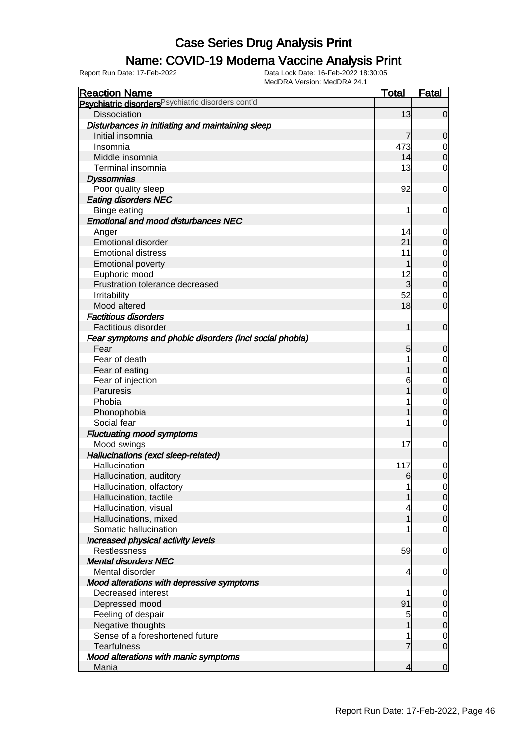### Name: COVID-19 Moderna Vaccine Analysis Print

| <b>Reaction Name</b>                                          | <b>Total</b>   | <b>Fatal</b>   |
|---------------------------------------------------------------|----------------|----------------|
| Psychiatric disorders <sup>Psychiatric disorders cont'd</sup> |                |                |
| <b>Dissociation</b>                                           | 13             | $\overline{0}$ |
| Disturbances in initiating and maintaining sleep              |                |                |
| Initial insomnia                                              | 7              | $\mathbf 0$    |
| Insomnia                                                      | 473            | $\overline{0}$ |
| Middle insomnia                                               | 14             | $\mathbf 0$    |
| Terminal insomnia                                             | 13             | $\overline{0}$ |
| <b>Dyssomnias</b>                                             |                |                |
| Poor quality sleep                                            | 92             | 0              |
| <b>Eating disorders NEC</b>                                   |                |                |
| Binge eating                                                  | 1              | 0              |
| <b>Emotional and mood disturbances NEC</b>                    |                |                |
| Anger                                                         | 14             | $\overline{0}$ |
| <b>Emotional disorder</b>                                     | 21             | $\mathbf 0$    |
| <b>Emotional distress</b>                                     | 11             | $\overline{0}$ |
| <b>Emotional poverty</b>                                      | 1              | $\mathbf 0$    |
| Euphoric mood                                                 | 12             | $\overline{0}$ |
| Frustration tolerance decreased                               | $\overline{3}$ | $\mathbf 0$    |
| Irritability                                                  | 52             | 0              |
| Mood altered                                                  | 18             | $\overline{0}$ |
| <b>Factitious disorders</b>                                   |                |                |
| <b>Factitious disorder</b>                                    | 1              | $\mathbf 0$    |
| Fear symptoms and phobic disorders (incl social phobia)       |                |                |
| Fear                                                          | 5              | $\mathbf 0$    |
| Fear of death                                                 |                | 0              |
| Fear of eating                                                |                | $\mathbf 0$    |
| Fear of injection                                             | 6              | $\overline{0}$ |
| Paruresis                                                     |                | $\overline{0}$ |
| Phobia                                                        |                | $\overline{0}$ |
| Phonophobia                                                   |                | $\mathbf 0$    |
| Social fear                                                   |                | $\overline{0}$ |
| <b>Fluctuating mood symptoms</b>                              |                |                |
| Mood swings                                                   | 17             | 0              |
| Hallucinations (excl sleep-related)                           |                |                |
| Hallucination                                                 | 117            | 0              |
| Hallucination, auditory                                       | 6              | $\overline{0}$ |
| Hallucination, olfactory                                      |                | $\overline{0}$ |
| Hallucination, tactile                                        |                | 0              |
| Hallucination, visual                                         |                | $\overline{0}$ |
| Hallucinations, mixed                                         |                | $\mathbf 0$    |
| Somatic hallucination                                         |                | $\overline{0}$ |
| Increased physical activity levels                            |                |                |
| Restlessness                                                  | 59             | $\mathbf 0$    |
| <b>Mental disorders NEC</b>                                   |                |                |
| Mental disorder                                               | 4              | 0              |
| Mood alterations with depressive symptoms                     |                |                |
| Decreased interest                                            | 1              | $\mathbf 0$    |
| Depressed mood                                                | 91             | $\mathbf 0$    |
| Feeling of despair                                            | 5              | $\overline{0}$ |
| Negative thoughts                                             |                | $\mathbf 0$    |
| Sense of a foreshortened future                               |                | $\overline{0}$ |
| <b>Tearfulness</b>                                            | 7              | $\overline{0}$ |
| Mood alterations with manic symptoms                          |                |                |
| <b>Mania</b>                                                  | 4              | $\overline{0}$ |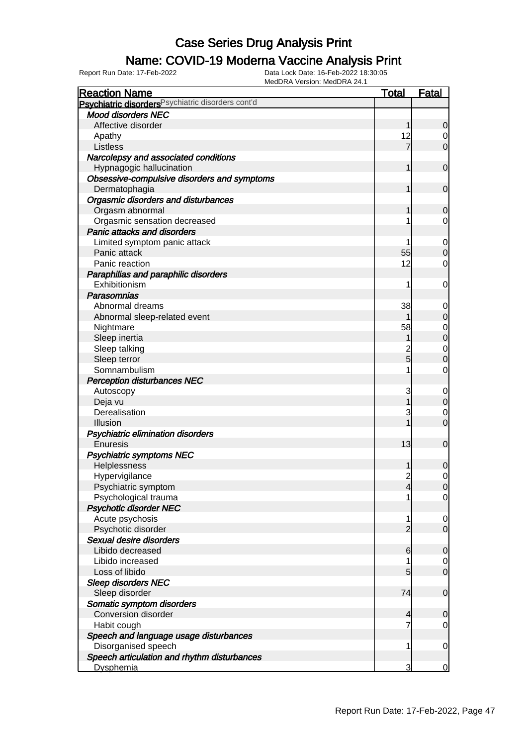## Name: COVID-19 Moderna Vaccine Analysis Print

| <b>Reaction Name</b>                               | <b>Total</b>   | <b>Fatal</b>   |
|----------------------------------------------------|----------------|----------------|
| Psychiatric disorders Psychiatric disorders cont'd |                |                |
| <b>Mood disorders NEC</b>                          |                |                |
| Affective disorder                                 |                | $\overline{0}$ |
| Apathy                                             | 12             | 0              |
| Listless                                           | 7              | $\overline{0}$ |
| Narcolepsy and associated conditions               |                |                |
| Hypnagogic hallucination                           |                | $\mathbf 0$    |
| Obsessive-compulsive disorders and symptoms        |                |                |
| Dermatophagia                                      |                | $\overline{0}$ |
| Orgasmic disorders and disturbances                |                |                |
| Orgasm abnormal                                    |                | $\mathbf 0$    |
| Orgasmic sensation decreased                       |                | 0              |
| <b>Panic attacks and disorders</b>                 |                |                |
| Limited symptom panic attack                       |                | $\overline{0}$ |
| Panic attack                                       | 55             | $\mathbf 0$    |
| Panic reaction                                     | 12             | 0              |
| Paraphilias and paraphilic disorders               |                |                |
| Exhibitionism                                      | 1              | 0              |
| Parasomnias                                        |                |                |
| Abnormal dreams                                    | 38             | 0              |
| Abnormal sleep-related event                       |                | $\mathbf 0$    |
| Nightmare                                          | 58             | $\overline{0}$ |
| Sleep inertia                                      |                | $\overline{0}$ |
| Sleep talking                                      |                | $\mathbf 0$    |
| Sleep terror                                       | $\overline{5}$ | $\overline{0}$ |
| Somnambulism                                       |                | 0              |
| <b>Perception disturbances NEC</b>                 |                |                |
| Autoscopy                                          | 3              | $\mathbf 0$    |
| Deja vu                                            |                | $\overline{0}$ |
| Derealisation                                      | 3              | $\mathbf 0$    |
| Illusion                                           |                | $\overline{0}$ |
| Psychiatric elimination disorders                  |                |                |
| Enuresis                                           | 13             | $\mathbf 0$    |
| <b>Psychiatric symptoms NEC</b>                    |                |                |
| Helplessness                                       |                | $\mathbf 0$    |
| Hypervigilance                                     | $\overline{2}$ | $\overline{0}$ |
| Psychiatric symptom                                |                | 0              |
| Psychological trauma                               |                | $\overline{0}$ |
| <b>Psychotic disorder NEC</b>                      |                |                |
| Acute psychosis                                    | 1              | $\overline{0}$ |
| Psychotic disorder                                 | $\overline{2}$ | $\overline{0}$ |
| Sexual desire disorders                            |                |                |
| Libido decreased                                   | 6              | $\mathbf 0$    |
| Libido increased                                   |                | $\overline{0}$ |
| Loss of libido                                     | 5              | $\overline{0}$ |
| <b>Sleep disorders NEC</b>                         |                |                |
| Sleep disorder                                     | 74             | $\mathbf 0$    |
| Somatic symptom disorders                          |                |                |
| Conversion disorder                                | 4              | $\mathbf 0$    |
| Habit cough                                        |                | 0              |
| Speech and language usage disturbances             |                |                |
| Disorganised speech                                | 1              | $\mathbf 0$    |
| Speech articulation and rhythm disturbances        |                |                |
| <b>Dysphemia</b>                                   | 3              | 0              |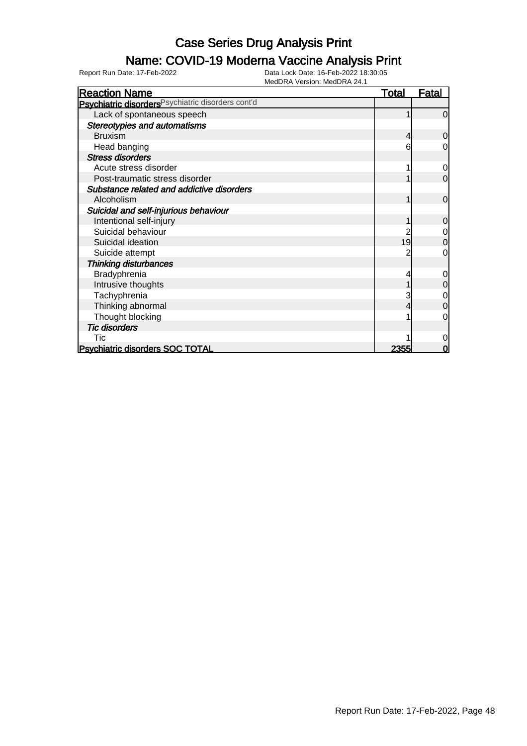## Name: COVID-19 Moderna Vaccine Analysis Print

| <b>Reaction Name</b>                                          | <u>Total</u> | <u>Fatal</u>   |
|---------------------------------------------------------------|--------------|----------------|
| Psychiatric disorders <sup>Psychiatric disorders cont'd</sup> |              |                |
| Lack of spontaneous speech                                    |              | $\Omega$       |
| <b>Stereotypies and automatisms</b>                           |              |                |
| <b>Bruxism</b>                                                | 4            | 0              |
| Head banging                                                  | 6            | 0              |
| <b>Stress disorders</b>                                       |              |                |
| Acute stress disorder                                         |              | 0              |
| Post-traumatic stress disorder                                |              | $\overline{0}$ |
| Substance related and addictive disorders                     |              |                |
| Alcoholism                                                    |              | $\overline{0}$ |
| Suicidal and self-injurious behaviour                         |              |                |
| Intentional self-injury                                       |              | $\mathbf 0$    |
| Suicidal behaviour                                            |              | $\mathbf 0$    |
| Suicidal ideation                                             | 19           | $\mathbf 0$    |
| Suicide attempt                                               |              | 0              |
| <b>Thinking disturbances</b>                                  |              |                |
| Bradyphrenia                                                  |              | 0              |
| Intrusive thoughts                                            |              | 0              |
| Tachyphrenia                                                  |              | $\mathbf 0$    |
| Thinking abnormal                                             |              | $\mathbf 0$    |
| Thought blocking                                              |              | $\Omega$       |
| <b>Tic disorders</b>                                          |              |                |
| Tic                                                           |              | 0              |
| <b>Psychiatric disorders SOC TOTAL</b>                        | <u> 2355</u> | 0              |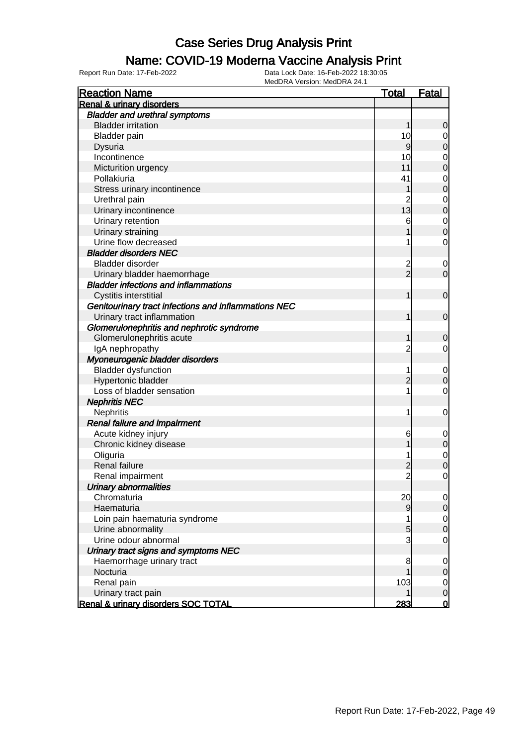#### Name: COVID-19 Moderna Vaccine Analysis Print

| <b>Reaction Name</b>                                 | <u>Total</u>   | <b>Fatal</b>   |
|------------------------------------------------------|----------------|----------------|
| Renal & urinary disorders                            |                |                |
| <b>Bladder and urethral symptoms</b>                 |                |                |
| <b>Bladder irritation</b>                            | 1              | 0              |
| <b>Bladder</b> pain                                  | 10             | 0              |
| Dysuria                                              | 9              | 0              |
| Incontinence                                         | 10             | 0              |
| Micturition urgency                                  | 11             | 0              |
| Pollakiuria                                          | 41             | 0              |
| Stress urinary incontinence                          |                | 0              |
| Urethral pain                                        | $\overline{c}$ | 0              |
| Urinary incontinence                                 | 13             | $\mathbf 0$    |
| Urinary retention                                    | 6              | $\mathbf 0$    |
| Urinary straining                                    |                | 0              |
| Urine flow decreased                                 | 1              | 0              |
| <b>Bladder disorders NEC</b>                         |                |                |
| Bladder disorder                                     |                | $\mathbf 0$    |
| Urinary bladder haemorrhage                          | $\frac{2}{2}$  | $\mathbf 0$    |
| <b>Bladder infections and inflammations</b>          |                |                |
| Cystitis interstitial                                | 1              | 0              |
| Genitourinary tract infections and inflammations NEC |                |                |
| Urinary tract inflammation                           | 1              | $\mathbf 0$    |
| Glomerulonephritis and nephrotic syndrome            |                |                |
| Glomerulonephritis acute                             | 1              | 0              |
| IgA nephropathy                                      | $\overline{c}$ | 0              |
| Myoneurogenic bladder disorders                      |                |                |
| <b>Bladder dysfunction</b>                           | 1              | $\mathbf 0$    |
| Hypertonic bladder                                   | $\overline{c}$ | 0              |
| Loss of bladder sensation                            | 1              | 0              |
| <b>Nephritis NEC</b>                                 |                |                |
| Nephritis                                            | 1              | 0              |
| Renal failure and impairment                         |                |                |
| Acute kidney injury                                  | 6              | $\mathbf 0$    |
| Chronic kidney disease                               |                | $\mathbf 0$    |
| Oliguria                                             | 1              | 0              |
| Renal failure                                        | 2              | 0              |
| Renal impairment                                     | $\overline{c}$ | 0              |
| Urinary abnormalities                                |                |                |
| Chromaturia                                          | 20             | $\overline{0}$ |
| Haematuria                                           | 9              | $\mathbf 0$    |
| Loin pain haematuria syndrome                        | 1              | $\overline{0}$ |
| Urine abnormality                                    | 5              | $\mathbf 0$    |
| Urine odour abnormal                                 | 3              | $\mathbf 0$    |
| Urinary tract signs and symptoms NEC                 |                |                |
| Haemorrhage urinary tract                            | 8              | 0              |
| Nocturia                                             |                | 0              |
| Renal pain                                           | 103            | $\overline{0}$ |
| Urinary tract pain                                   |                | 0              |
| Renal & urinary disorders SOC TOTAL                  | 283            | $\bf{0}$       |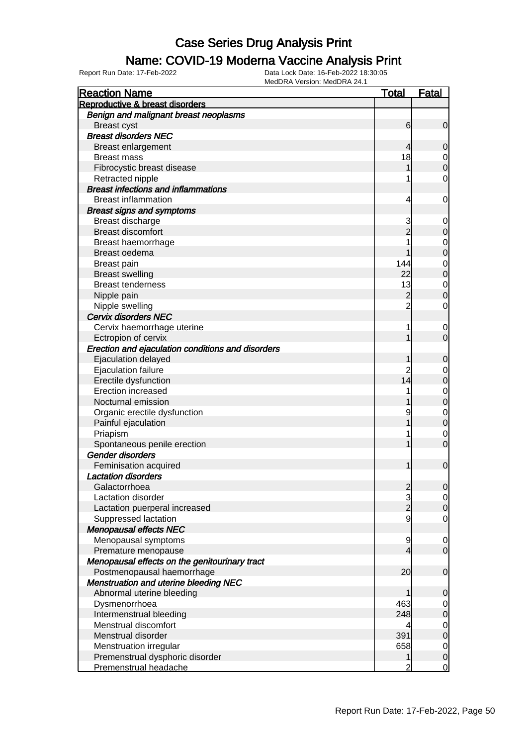#### Name: COVID-19 Moderna Vaccine Analysis Print

| <b>Reaction Name</b>                              | <u>Total</u>   | <u>Fatal</u> |
|---------------------------------------------------|----------------|--------------|
| Reproductive & breast disorders                   |                |              |
| Benign and malignant breast neoplasms             |                |              |
| <b>Breast cyst</b>                                | 6              | 0            |
| <b>Breast disorders NEC</b>                       |                |              |
| <b>Breast enlargement</b>                         | 4              | 0            |
| <b>Breast mass</b>                                | 18             | 0            |
| Fibrocystic breast disease                        |                | 0            |
| Retracted nipple                                  |                | 0            |
| <b>Breast infections and inflammations</b>        |                |              |
| <b>Breast inflammation</b>                        | 4              | 0            |
| <b>Breast signs and symptoms</b>                  |                |              |
| Breast discharge                                  | 3              | 0            |
| <b>Breast discomfort</b>                          |                | 0            |
| Breast haemorrhage                                |                | 0            |
| Breast oedema                                     |                | 0            |
| Breast pain                                       | 144            | 0            |
| <b>Breast swelling</b>                            | 22             | 0            |
| <b>Breast tenderness</b>                          | 13             | 0            |
| Nipple pain                                       | $\overline{c}$ | 0            |
| Nipple swelling                                   | $\overline{c}$ | 0            |
| Cervix disorders NEC                              |                |              |
| Cervix haemorrhage uterine                        | 1              | 0            |
| Ectropion of cervix                               |                | 0            |
| Erection and ejaculation conditions and disorders |                |              |
| Ejaculation delayed                               |                | 0            |
| Ejaculation failure                               | $\mathbf 2$    | 0            |
| Erectile dysfunction                              | 14             | 0            |
| <b>Erection increased</b>                         |                | 0            |
| Nocturnal emission                                |                | 0            |
| Organic erectile dysfunction                      | 9              | 0            |
| Painful ejaculation                               |                | 0            |
| Priapism                                          |                | 0            |
| Spontaneous penile erection                       |                | 0            |
| Gender disorders                                  |                |              |
| Feminisation acquired                             |                | $\mathbf 0$  |
| <b>Lactation disorders</b>                        |                |              |
| Galactorrhoea                                     |                | U            |
| <b>Lactation disorder</b>                         |                | 0            |
| Lactation puerperal increased                     | $\frac{2}{2}$  | 0            |
| Suppressed lactation                              | 9              | 0            |
| <b>Menopausal effects NEC</b>                     |                |              |
| Menopausal symptoms                               | 9              | 0            |
| Premature menopause                               | 4              | 0            |
| Menopausal effects on the genitourinary tract     |                |              |
| Postmenopausal haemorrhage                        | 20             | 0            |
| <b>Menstruation and uterine bleeding NEC</b>      |                |              |
| Abnormal uterine bleeding                         |                | 0            |
| Dysmenorrhoea                                     | 463            | 0            |
| Intermenstrual bleeding                           | 248            | 0            |
| Menstrual discomfort                              | 4              | 0            |
| Menstrual disorder                                | 391            | 0            |
| Menstruation irregular                            | 658            | 0            |
| Premenstrual dysphoric disorder                   | 1              | 0            |
| Premenstrual headache                             | 2              | 0            |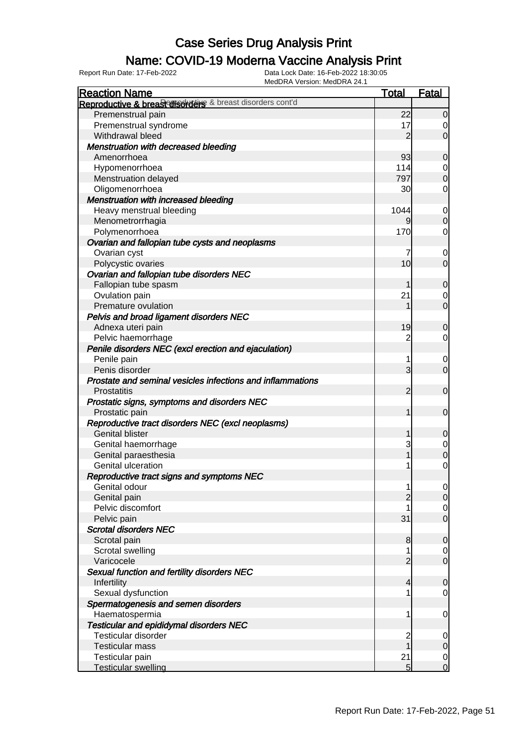## Name: COVID-19 Moderna Vaccine Analysis Print

| <b>Reaction Name</b>                                       | <b>Total</b>    | <b>Fatal</b>     |
|------------------------------------------------------------|-----------------|------------------|
| Reproductive & breast disorders & breast disorders cont'd  |                 |                  |
| Premenstrual pain                                          | 22              | $\overline{0}$   |
| Premenstrual syndrome                                      | 17              | 0                |
| Withdrawal bleed                                           | $\overline{2}$  | $\overline{0}$   |
| Menstruation with decreased bleeding                       |                 |                  |
| Amenorrhoea                                                | 93              | $\mathbf 0$      |
| Hypomenorrhoea                                             | 114             | $\mathbf 0$      |
| Menstruation delayed                                       | 797             | $\overline{0}$   |
| Oligomenorrhoea                                            | 30              | 0                |
| <b>Menstruation with increased bleeding</b>                |                 |                  |
| Heavy menstrual bleeding                                   | 1044            | $\overline{0}$   |
| Menometrorrhagia                                           | 9               | $\overline{0}$   |
| Polymenorrhoea                                             | 170             | 0                |
| Ovarian and fallopian tube cysts and neoplasms             |                 |                  |
| Ovarian cyst                                               | 7               | $\mathbf 0$      |
| Polycystic ovaries                                         | 10 <sub>l</sub> | $\overline{0}$   |
| Ovarian and fallopian tube disorders NEC                   |                 |                  |
| Fallopian tube spasm                                       |                 | $\mathbf 0$      |
| Ovulation pain                                             | 21              | $\mathbf 0$      |
| Premature ovulation                                        |                 | $\overline{O}$   |
| Pelvis and broad ligament disorders NEC                    |                 |                  |
| Adnexa uteri pain                                          | 19              | $\mathbf 0$      |
| Pelvic haemorrhage                                         | 2               | 0                |
| Penile disorders NEC (excl erection and ejaculation)       |                 |                  |
| Penile pain                                                | 1               | $\mathbf 0$      |
| Penis disorder                                             | $\overline{3}$  | $\overline{0}$   |
| Prostate and seminal vesicles infections and inflammations |                 |                  |
| <b>Prostatitis</b>                                         | $\overline{2}$  | $\overline{0}$   |
| Prostatic signs, symptoms and disorders NEC                |                 |                  |
| Prostatic pain                                             | 1               | $\overline{0}$   |
| Reproductive tract disorders NEC (excl neoplasms)          |                 |                  |
| <b>Genital blister</b>                                     | 1               | $\mathbf 0$      |
| Genital haemorrhage                                        | 3               | $\mathbf 0$      |
| Genital paraesthesia                                       | 1               | $\overline{0}$   |
| Genital ulceration                                         |                 | $\mathbf 0$      |
| Reproductive tract signs and symptoms NEC                  |                 |                  |
| Genital odour                                              | 1               | 0                |
| Genital pain                                               | $\overline{2}$  | $\overline{0}$   |
| Pelvic discomfort                                          |                 | $\overline{0}$   |
| Pelvic pain                                                | 31              | $\overline{0}$   |
| <b>Scrotal disorders NEC</b>                               |                 |                  |
| Scrotal pain                                               | 8               | $\mathbf 0$      |
| Scrotal swelling                                           | 1               | $\overline{0}$   |
| Varicocele                                                 | $\overline{2}$  | $\overline{O}$   |
| Sexual function and fertility disorders NEC                |                 |                  |
| Infertility                                                | 4               | $\mathbf 0$      |
| Sexual dysfunction                                         |                 | $\mathbf 0$      |
| Spermatogenesis and semen disorders                        |                 |                  |
| Haematospermia                                             | 1               | $\mathbf 0$      |
| <b>Testicular and epididymal disorders NEC</b>             |                 |                  |
| Testicular disorder                                        | $\overline{c}$  | $\overline{0}$   |
| <b>Testicular mass</b>                                     | 1               | $\boldsymbol{0}$ |
| Testicular pain                                            | 21              | $\mathbf 0$      |
| <b>Testicular swelling</b>                                 | 5               | $\mathbf 0$      |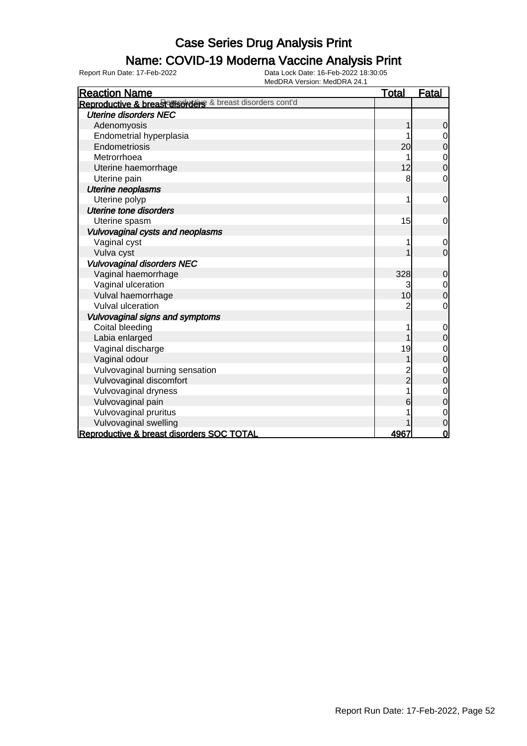### Name: COVID-19 Moderna Vaccine Analysis Print

| <b>Reaction Name</b>                                      | <u>Total</u>   | <b>Fatal</b>   |
|-----------------------------------------------------------|----------------|----------------|
| Reproductive & breast disorders & breast disorders cont'd |                |                |
| <b>Uterine disorders NEC</b>                              |                |                |
| Adenomyosis                                               | 1              | $\mathbf 0$    |
| Endometrial hyperplasia                                   |                | $\mathbf 0$    |
| Endometriosis                                             | 20             | $\overline{0}$ |
| Metrorrhoea                                               |                | $\mathbf 0$    |
| Uterine haemorrhage                                       | 12             | $\overline{0}$ |
| Uterine pain                                              | 8              | 0              |
| Uterine neoplasms                                         |                |                |
| Uterine polyp                                             |                | $\mathbf 0$    |
| <b>Uterine tone disorders</b>                             |                |                |
| Uterine spasm                                             | 15             | 0              |
| Vulvovaginal cysts and neoplasms                          |                |                |
| Vaginal cyst                                              |                | $\mathbf 0$    |
| Vulva cyst                                                |                | $\mathbf 0$    |
| <b>Vulvovaginal disorders NEC</b>                         |                |                |
| Vaginal haemorrhage                                       | 328            | $\mathbf 0$    |
| Vaginal ulceration                                        | 3              | $\mathbf 0$    |
| Vulval haemorrhage                                        | 10             | $\mathbf 0$    |
| <b>Vulval ulceration</b>                                  | 2              | $\mathbf 0$    |
| Vulvovaginal signs and symptoms                           |                |                |
| Coital bleeding                                           |                | $\mathbf 0$    |
| Labia enlarged                                            |                | 0              |
| Vaginal discharge                                         | 19             | $\mathbf 0$    |
| Vaginal odour                                             |                | $\mathbf 0$    |
| Vulvovaginal burning sensation                            |                | $\mathbf{0}$   |
| Vulvovaginal discomfort                                   | $\overline{2}$ | 0              |
| Vulvovaginal dryness                                      | 1              | $\mathbf 0$    |
| Vulvovaginal pain                                         | 6              | $\overline{0}$ |
| Vulvovaginal pruritus                                     |                | $\mathbf 0$    |
| Vulvovaginal swelling                                     |                | $\overline{0}$ |
| Reproductive & breast disorders SOC TOTAL                 | 4967           | $\mathbf 0$    |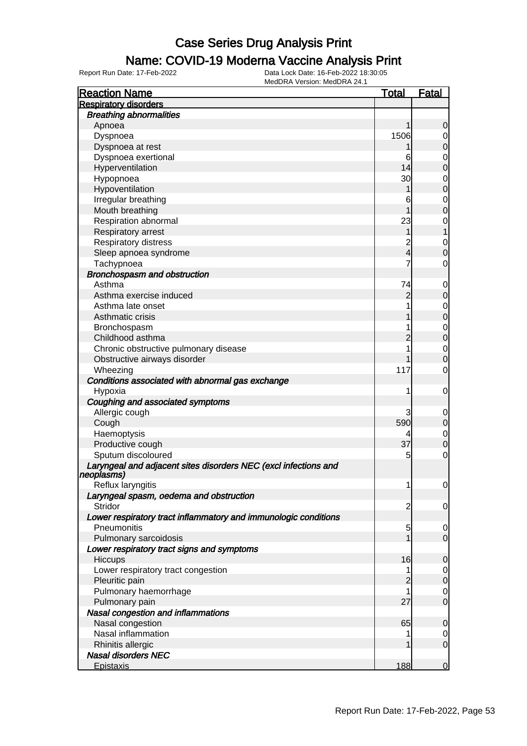### Name: COVID-19 Moderna Vaccine Analysis Print

| <b>Reaction Name</b>                                            | <u>Total</u>            | <u>Fatal</u>   |
|-----------------------------------------------------------------|-------------------------|----------------|
| <b>Respiratory disorders</b>                                    |                         |                |
| <b>Breathing abnormalities</b>                                  |                         |                |
| Apnoea                                                          |                         | 0              |
| Dyspnoea                                                        | 1506                    | 0              |
| Dyspnoea at rest                                                |                         | 0              |
| Dyspnoea exertional                                             | 6                       | 0              |
| Hyperventilation                                                | 14                      | 0              |
| Hypopnoea                                                       | 30                      | 0              |
| Hypoventilation                                                 |                         | 0              |
| Irregular breathing                                             | 6                       | 0              |
| Mouth breathing                                                 |                         | 0              |
| Respiration abnormal                                            | 23                      | 0              |
| Respiratory arrest                                              |                         |                |
| Respiratory distress                                            | $\overline{\mathbf{c}}$ | 0              |
| Sleep apnoea syndrome                                           | 4                       | 0              |
| Tachypnoea                                                      | 7                       | 0              |
| Bronchospasm and obstruction                                    |                         |                |
| Asthma                                                          | 74                      | 0              |
| Asthma exercise induced                                         | 2                       | 0              |
| Asthma late onset                                               |                         | 0              |
| Asthmatic crisis                                                |                         | 0              |
| Bronchospasm                                                    | 1                       | 0              |
| Childhood asthma                                                |                         | 0              |
| Chronic obstructive pulmonary disease                           |                         | 0              |
| Obstructive airways disorder                                    |                         | 0              |
| Wheezing                                                        | 117                     | 0              |
| Conditions associated with abnormal gas exchange                |                         |                |
| Hypoxia                                                         | 1                       | 0              |
| Coughing and associated symptoms                                |                         |                |
| Allergic cough                                                  | 3                       | 0              |
| Cough                                                           | 590                     | 0              |
| Haemoptysis                                                     | 4                       | 0              |
| Productive cough                                                | 37                      | 0              |
| Sputum discoloured                                              | 5                       | 0              |
| Laryngeal and adjacent sites disorders NEC (excl infections and |                         |                |
| neoplasms)                                                      |                         |                |
| Reflux laryngitis                                               |                         | $\overline{0}$ |
| Laryngeal spasm, oedema and obstruction                         |                         |                |
| Stridor                                                         | $\overline{c}$          | $\overline{0}$ |
| Lower respiratory tract inflammatory and immunologic conditions |                         |                |
| Pneumonitis                                                     | 5                       | $\mathbf 0$    |
| Pulmonary sarcoidosis                                           |                         | $\overline{0}$ |
| Lower respiratory tract signs and symptoms                      |                         |                |
| Hiccups                                                         | 16                      | $\overline{0}$ |
| Lower respiratory tract congestion                              |                         | 0              |
| Pleuritic pain                                                  | $\overline{2}$          | $\overline{0}$ |
| Pulmonary haemorrhage                                           |                         | 0              |
| Pulmonary pain                                                  | 27                      | $\mathbf 0$    |
| Nasal congestion and inflammations                              |                         |                |
| Nasal congestion                                                | 65                      | $\overline{0}$ |
| Nasal inflammation                                              |                         | 0              |
| Rhinitis allergic                                               |                         | $\overline{0}$ |
| <b>Nasal disorders NEC</b>                                      |                         |                |
| <b>Epistaxis</b>                                                | 188                     | $\overline{0}$ |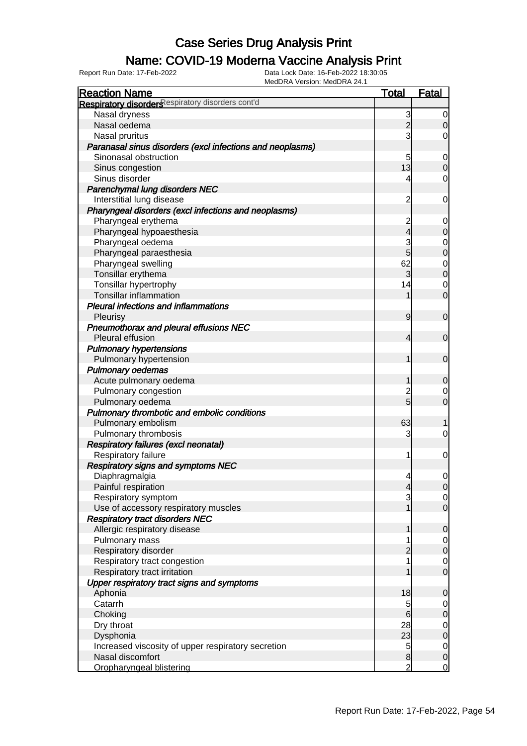## Name: COVID-19 Moderna Vaccine Analysis Print

| <b>Reaction Name</b>                                      | <b>Total</b>             | <b>Fatal</b>                     |
|-----------------------------------------------------------|--------------------------|----------------------------------|
| Respiratory disorders espiratory disorders cont'd         |                          |                                  |
| Nasal dryness                                             | 3                        | $\overline{0}$                   |
| Nasal oedema                                              | $\overline{2}$           | $\overline{0}$                   |
| Nasal pruritus                                            | 3                        | $\overline{0}$                   |
| Paranasal sinus disorders (excl infections and neoplasms) |                          |                                  |
| Sinonasal obstruction                                     | 5                        | $\overline{0}$                   |
| Sinus congestion                                          | 13                       | $\mathbf 0$                      |
| Sinus disorder                                            | 4                        | $\overline{0}$                   |
| Parenchymal lung disorders NEC                            |                          |                                  |
| Interstitial lung disease                                 | $\overline{2}$           | $\mathbf 0$                      |
| Pharyngeal disorders (excl infections and neoplasms)      |                          |                                  |
| Pharyngeal erythema                                       | $\overline{c}$           | $\overline{0}$                   |
| Pharyngeal hypoaesthesia                                  | 4                        | $\mathbf 0$                      |
| Pharyngeal oedema                                         | 3                        | $\overline{0}$                   |
| Pharyngeal paraesthesia                                   | $\overline{5}$           | $\mathbf 0$                      |
| Pharyngeal swelling                                       | 62                       | $\mathbf 0$                      |
| Tonsillar erythema                                        | 3                        | $\mathbf 0$                      |
| Tonsillar hypertrophy                                     | 14                       | $\overline{0}$                   |
| <b>Tonsillar inflammation</b>                             | 1                        | $\overline{0}$                   |
| <b>Pleural infections and inflammations</b>               |                          |                                  |
| Pleurisy                                                  | $\overline{9}$           | $\mathbf 0$                      |
| Pneumothorax and pleural effusions NEC                    |                          |                                  |
| Pleural effusion                                          | 4                        | $\mathbf 0$                      |
| <b>Pulmonary hypertensions</b>                            |                          |                                  |
| Pulmonary hypertension                                    |                          | $\mathbf 0$                      |
| <b>Pulmonary oedemas</b>                                  |                          |                                  |
| Acute pulmonary oedema                                    | 1                        | $\mathbf 0$                      |
| Pulmonary congestion                                      | $\overline{c}$           | 0                                |
| Pulmonary oedema                                          | 5                        | $\overline{0}$                   |
| Pulmonary thrombotic and embolic conditions               |                          |                                  |
| Pulmonary embolism                                        | 63                       | 1                                |
| Pulmonary thrombosis                                      | 3                        | $\overline{0}$                   |
| Respiratory failures (excl neonatal)                      |                          |                                  |
| Respiratory failure                                       | 1                        | $\mathbf 0$                      |
| <b>Respiratory signs and symptoms NEC</b>                 |                          |                                  |
| Diaphragmalgia                                            | 4                        | $\overline{0}$                   |
| Painful respiration                                       | $\overline{\mathcal{A}}$ | 0                                |
| Respiratory symptom                                       | 3                        | $\overline{0}$                   |
| Use of accessory respiratory muscles                      |                          | $\overline{O}$                   |
| <b>Respiratory tract disorders NEC</b>                    |                          |                                  |
| Allergic respiratory disease                              | 1                        | $\mathbf 0$                      |
| Pulmonary mass                                            |                          | $\overline{0}$                   |
| Respiratory disorder                                      | $\overline{2}$           | $\mathbf 0$                      |
| Respiratory tract congestion                              | 1                        | $\overline{0}$<br>$\overline{O}$ |
| Respiratory tract irritation                              |                          |                                  |
| Upper respiratory tract signs and symptoms                | 18                       |                                  |
| Aphonia<br>Catarrh                                        |                          | $\mathbf 0$                      |
| Choking                                                   | 5<br>$6 \overline{}$     | $\overline{0}$<br>$\mathbf 0$    |
| Dry throat                                                | 28                       |                                  |
| Dysphonia                                                 | 23                       | $\overline{0}$<br>$\mathbf 0$    |
| Increased viscosity of upper respiratory secretion        | 5                        | $\overline{0}$                   |
| Nasal discomfort                                          | $\bf{8}$                 | $\mathbf 0$                      |
| Oropharyngeal blistering                                  | $\overline{2}$           | $\mathbf 0$                      |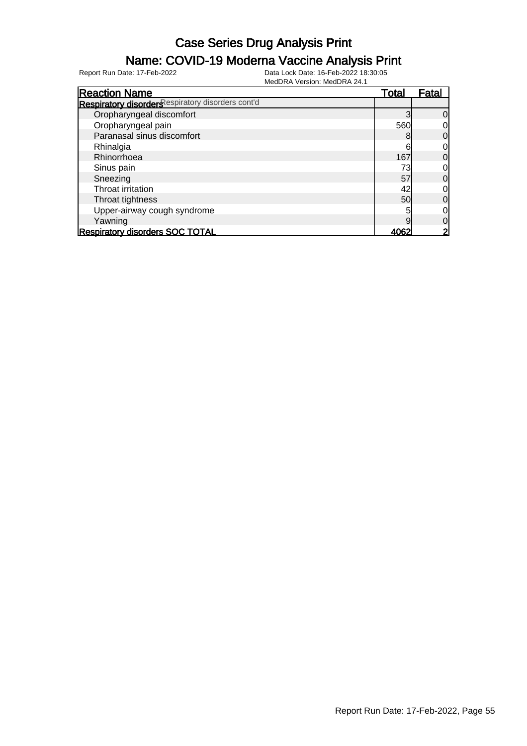### Name: COVID-19 Moderna Vaccine Analysis Print

| <b>Reaction Name</b>                              | Total | <u>Fatal</u> |
|---------------------------------------------------|-------|--------------|
| Respiratory disorders espiratory disorders cont'd |       |              |
| Oropharyngeal discomfort                          |       | 0            |
| Oropharyngeal pain                                | 560   |              |
| Paranasal sinus discomfort                        |       | 0            |
| Rhinalgia                                         | 6     | 0            |
| Rhinorrhoea                                       | 167   | 0            |
| Sinus pain                                        | 73    |              |
| Sneezing                                          | 57    | 0            |
| Throat irritation                                 | 42    | 0            |
| Throat tightness                                  | 50    | 0            |
| Upper-airway cough syndrome                       |       | 0            |
| Yawning                                           | 9     | 0            |
| <b>Respiratory disorders SOC TOTAL</b>            |       |              |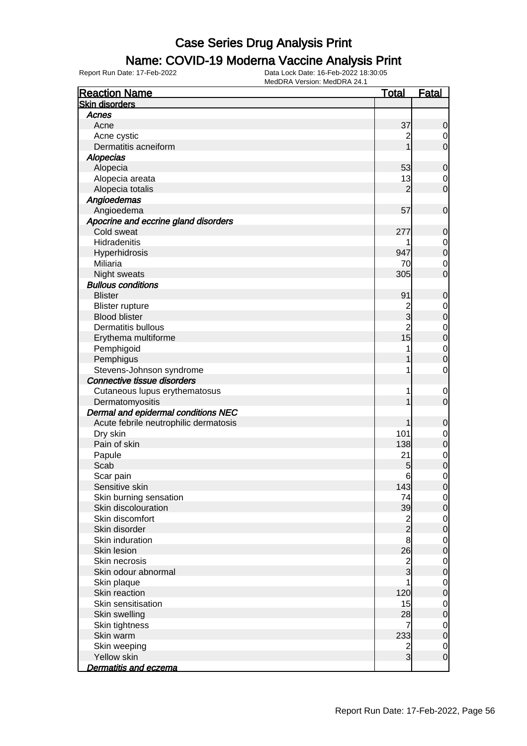## Name: COVID-19 Moderna Vaccine Analysis Print

| <b>Reaction Name</b>                  | <b>Total</b>                               | <b>Fatal</b>     |
|---------------------------------------|--------------------------------------------|------------------|
| <b>Skin disorders</b>                 |                                            |                  |
| Acnes                                 |                                            |                  |
| Acne                                  | 37                                         | $\mathbf 0$      |
| Acne cystic                           | $\overline{c}$                             | $\overline{0}$   |
| Dermatitis acneiform                  |                                            | $\overline{0}$   |
| <b>Alopecias</b>                      |                                            |                  |
| Alopecia                              | 53                                         | $\mathbf 0$      |
| Alopecia areata                       | 13                                         | $\overline{0}$   |
| Alopecia totalis                      | $\overline{2}$                             | $\overline{0}$   |
| Angioedemas                           |                                            |                  |
| Angioedema                            | 57                                         | $\boldsymbol{0}$ |
| Apocrine and eccrine gland disorders  |                                            |                  |
| Cold sweat                            | 277                                        | $\mathbf 0$      |
| Hidradenitis                          |                                            | $\overline{0}$   |
| Hyperhidrosis                         | 947                                        | $\overline{0}$   |
| Miliaria                              | 70                                         | $\mathbf 0$      |
| Night sweats                          | 305                                        | $\mathbf 0$      |
| <b>Bullous conditions</b>             |                                            |                  |
| <b>Blister</b>                        | 91                                         | $\mathbf 0$      |
| <b>Blister rupture</b>                |                                            | $\mathbf 0$      |
| <b>Blood blister</b>                  | 2<br>3                                     | $\mathbf 0$      |
| <b>Dermatitis bullous</b>             | $\overline{c}$                             | $\mathbf{0}$     |
| Erythema multiforme                   | 15                                         | $\overline{0}$   |
| Pemphigoid                            |                                            | $\mathbf{0}$     |
| Pemphigus                             |                                            | $\overline{0}$   |
| Stevens-Johnson syndrome              | 1                                          | $\mathbf 0$      |
| Connective tissue disorders           |                                            |                  |
| Cutaneous lupus erythematosus         | 1                                          | $\mathbf 0$      |
| Dermatomyositis                       |                                            | $\mathbf 0$      |
| Dermal and epidermal conditions NEC   |                                            |                  |
| Acute febrile neutrophilic dermatosis | 1                                          | $\mathbf 0$      |
| Dry skin                              | 101                                        | $\mathbf 0$      |
| Pain of skin                          | 138                                        | $\mathbf 0$      |
| Papule                                | 21                                         | $\mathbf 0$      |
| Scab                                  | 5                                          | $\overline{0}$   |
| Scar pain                             | $6 \,$                                     | $\mathbf 0$      |
| Sensitive skin                        | 143                                        | 0                |
| Skin burning sensation                | 74                                         | $\overline{0}$   |
| Skin discolouration                   | 39                                         | $\mathbf 0$      |
| Skin discomfort                       |                                            | $\boldsymbol{0}$ |
| Skin disorder                         | $\begin{array}{c} 2 \\ 2 \\ 8 \end{array}$ | $\mathbf 0$      |
| Skin induration                       |                                            | $\overline{0}$   |
| Skin lesion                           | 26                                         | $\mathbf 0$      |
| Skin necrosis                         |                                            | $\boldsymbol{0}$ |
| Skin odour abnormal                   | $\frac{2}{3}$                              | $\mathbf 0$      |
| Skin plaque                           |                                            | $\boldsymbol{0}$ |
| Skin reaction                         | 120                                        | $\overline{0}$   |
| Skin sensitisation                    | 15                                         | $\boldsymbol{0}$ |
| Skin swelling                         | 28                                         | $\mathbf 0$      |
| Skin tightness                        | 7                                          | $\mathbf 0$      |
| Skin warm                             | 233                                        | $\pmb{0}$        |
| Skin weeping                          |                                            | $\overline{0}$   |
| Yellow skin                           | $\frac{2}{3}$                              | $\mathbf 0$      |
| Dermatitis and eczema                 |                                            |                  |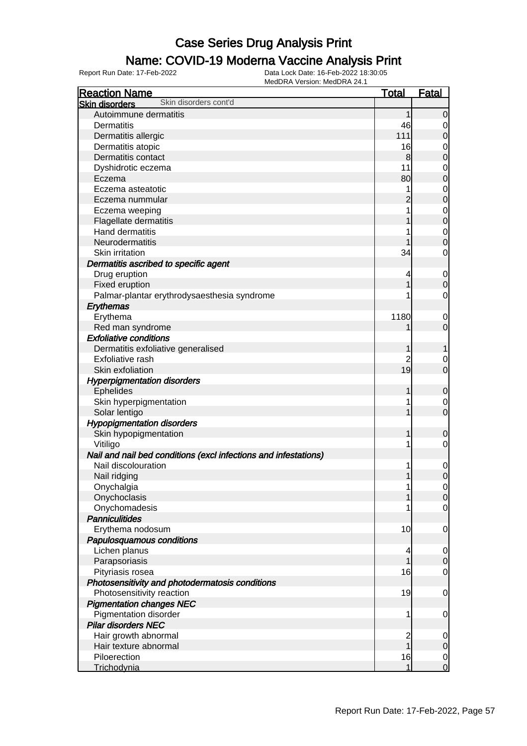#### Name: COVID-19 Moderna Vaccine Analysis Print

| <b>Reaction Name</b>                                            | <b>Total</b>   | <b>Fatal</b>   |
|-----------------------------------------------------------------|----------------|----------------|
| Skin disorders cont'd<br><b>Skin disorders</b>                  |                |                |
| Autoimmune dermatitis                                           | 1              | $\overline{0}$ |
| Dermatitis                                                      | 46             | 0              |
| Dermatitis allergic                                             | 111            | $\mathbf 0$    |
| Dermatitis atopic                                               | 16             | 0              |
| Dermatitis contact                                              | 8              | $\mathbf 0$    |
| Dyshidrotic eczema                                              | 11             | $\mathbf 0$    |
| Eczema                                                          | 80             | 0              |
| Eczema asteatotic                                               |                | $\mathbf 0$    |
| Eczema nummular                                                 |                | $\mathbf 0$    |
| Eczema weeping                                                  |                | $\mathbf 0$    |
| Flagellate dermatitis                                           |                | $\mathbf 0$    |
| <b>Hand dermatitis</b>                                          |                | $\mathbf 0$    |
| Neurodermatitis                                                 |                | $\mathbf 0$    |
| Skin irritation                                                 | 34             | $\mathbf 0$    |
| Dermatitis ascribed to specific agent                           |                |                |
| Drug eruption                                                   | 4              | $\mathbf 0$    |
| Fixed eruption                                                  |                | $\mathbf 0$    |
| Palmar-plantar erythrodysaesthesia syndrome                     |                | $\mathbf 0$    |
|                                                                 |                |                |
| Erythemas<br>Erythema                                           | 1180           |                |
|                                                                 |                | 0              |
| Red man syndrome<br><b>Exfoliative conditions</b>               |                | $\mathbf 0$    |
|                                                                 |                |                |
| Dermatitis exfoliative generalised                              | 1              | 1              |
| Exfoliative rash                                                | 2              | 0              |
| Skin exfoliation                                                | 19             | $\mathbf 0$    |
| <b>Hyperpigmentation disorders</b>                              |                |                |
| <b>Ephelides</b>                                                | 1              | $\mathbf 0$    |
| Skin hyperpigmentation                                          |                | 0              |
| Solar lentigo                                                   |                | $\mathbf 0$    |
| <b>Hypopigmentation disorders</b>                               |                |                |
| Skin hypopigmentation                                           | 1              | 0              |
| Vitiligo                                                        |                | $\mathbf 0$    |
| Nail and nail bed conditions (excl infections and infestations) |                |                |
| Nail discolouration                                             |                | $\mathbf 0$    |
| Nail ridging                                                    |                | $\mathbf 0$    |
| Onychalgia                                                      | 1              | $\overline{0}$ |
| Onychoclasis                                                    |                | $\overline{0}$ |
| Onychomadesis                                                   |                | $\overline{0}$ |
| <b>Panniculitides</b>                                           |                |                |
| Erythema nodosum                                                | 10             | $\mathbf 0$    |
| Papulosquamous conditions                                       |                |                |
| Lichen planus                                                   | 4              | $\overline{0}$ |
| Parapsoriasis                                                   |                | $\mathbf 0$    |
| Pityriasis rosea                                                | 16             | $\overline{0}$ |
| Photosensitivity and photodermatosis conditions                 |                |                |
| Photosensitivity reaction                                       | 19             | $\mathbf 0$    |
| <b>Pigmentation changes NEC</b>                                 |                |                |
| <b>Pigmentation disorder</b>                                    | 1              | $\mathbf 0$    |
| <b>Pilar disorders NEC</b>                                      |                |                |
| Hair growth abnormal                                            | $\overline{c}$ | 0              |
| Hair texture abnormal                                           | $\overline{1}$ | $\mathbf 0$    |
| Piloerection                                                    | 16             | $\overline{0}$ |
| Trichodynia                                                     | 1              | $\mathbf 0$    |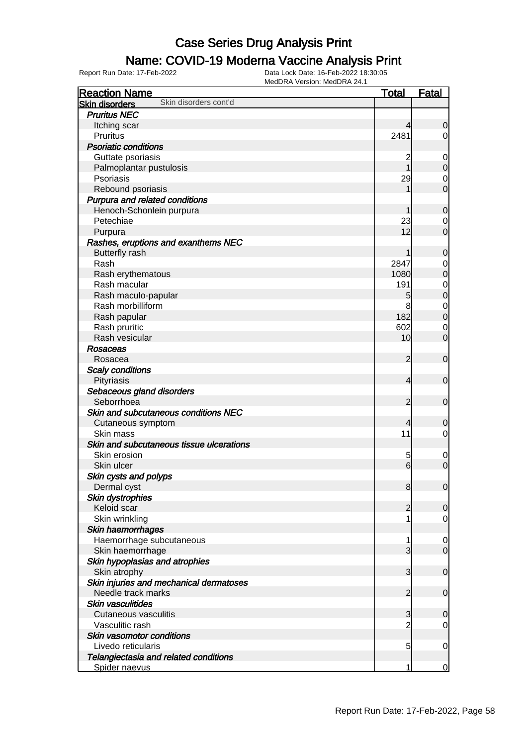### Name: COVID-19 Moderna Vaccine Analysis Print

| <b>Reaction Name</b>                           | <b>Total</b>    | <b>Fatal</b>                         |
|------------------------------------------------|-----------------|--------------------------------------|
| Skin disorders cont'd<br><b>Skin disorders</b> |                 |                                      |
| <b>Pruritus NEC</b>                            |                 |                                      |
| Itching scar                                   | 4               | $\mathbf 0$                          |
| <b>Pruritus</b>                                | 2481            | $\overline{0}$                       |
| <b>Psoriatic conditions</b>                    |                 |                                      |
| Guttate psoriasis                              | 2               | $\mathbf 0$                          |
| Palmoplantar pustulosis                        | 1               | $\mathbf 0$                          |
| Psoriasis                                      | 29              | $\overline{0}$                       |
| Rebound psoriasis                              |                 | $\overline{0}$                       |
| Purpura and related conditions                 |                 |                                      |
| Henoch-Schonlein purpura                       |                 | $\mathbf 0$                          |
| Petechiae                                      | 23              | $\mathbf 0$                          |
| Purpura                                        | 12              | $\overline{0}$                       |
| Rashes, eruptions and exanthems NEC            |                 |                                      |
| <b>Butterfly rash</b>                          |                 | $\mathbf 0$                          |
| Rash                                           | 2847            | $\overline{0}$                       |
| Rash erythematous                              | 1080            | $\overline{0}$                       |
| Rash macular                                   | 191             |                                      |
| Rash maculo-papular                            | 5               | $\begin{matrix} 0 \\ 0 \end{matrix}$ |
| Rash morbilliform                              | 8               | $\mathbf{0}$                         |
| Rash papular                                   | 182             | $\overline{0}$                       |
| Rash pruritic                                  | 602             | $\mathbf 0$                          |
| Rash vesicular                                 | 10              | $\mathbf 0$                          |
| <b>Rosaceas</b>                                |                 |                                      |
| Rosacea                                        | $\overline{2}$  | $\mathbf 0$                          |
| <b>Scaly conditions</b>                        |                 |                                      |
| Pityriasis                                     | 4               | $\mathbf 0$                          |
| Sebaceous gland disorders                      |                 |                                      |
| Seborrhoea                                     | $\overline{2}$  | $\mathbf 0$                          |
| Skin and subcutaneous conditions NEC           |                 |                                      |
| Cutaneous symptom                              | 4               | $\mathbf 0$                          |
| Skin mass                                      | 11              | $\mathbf 0$                          |
| Skin and subcutaneous tissue ulcerations       |                 |                                      |
| Skin erosion                                   | 5               | $\mathbf 0$                          |
| Skin ulcer                                     | $6 \overline{}$ | $\mathbf 0$                          |
| Skin cysts and polyps                          |                 |                                      |
| Dermal cyst                                    | 8               | $\overline{0}$                       |
| Skin dystrophies                               |                 |                                      |
| Keloid scar                                    | $\overline{c}$  | $\mathbf 0$                          |
| Skin wrinkling                                 |                 | $\mathbf 0$                          |
| Skin haemorrhages                              |                 |                                      |
| Haemorrhage subcutaneous                       | 1               | $\mathbf 0$                          |
| Skin haemorrhage                               | 3               | $\overline{0}$                       |
| Skin hypoplasias and atrophies                 |                 |                                      |
| Skin atrophy                                   | 3               | $\mathbf 0$                          |
| Skin injuries and mechanical dermatoses        |                 |                                      |
| Needle track marks                             | $\overline{2}$  | $\mathbf 0$                          |
| <b>Skin vasculitides</b>                       |                 |                                      |
| <b>Cutaneous vasculitis</b>                    | 3               | $\mathbf 0$                          |
| Vasculitic rash                                | $\overline{c}$  | $\mathbf 0$                          |
| Skin vasomotor conditions                      |                 |                                      |
| Livedo reticularis                             | 5               | $\mathbf 0$                          |
| Telangiectasia and related conditions          |                 |                                      |
| Spider naevus                                  | 1               | $\mathbf 0$                          |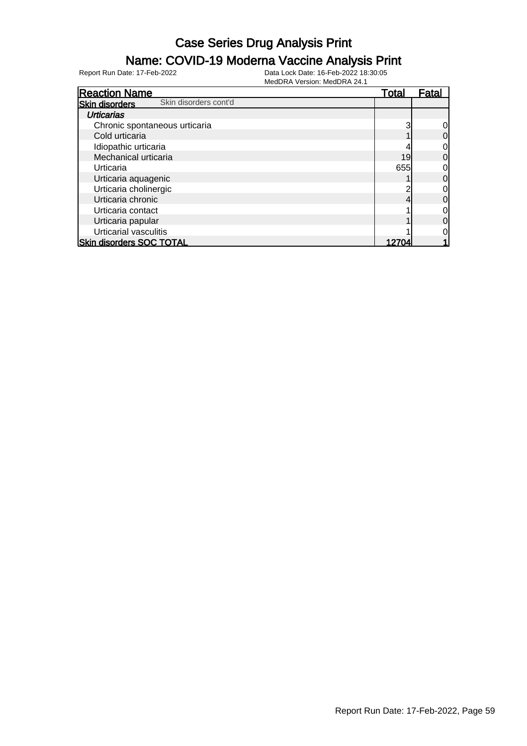### Name: COVID-19 Moderna Vaccine Analysis Print

| <b>Reaction Name</b>                           | <u>Total</u> | <u>Fatal</u> |
|------------------------------------------------|--------------|--------------|
| Skin disorders cont'd<br><b>Skin disorders</b> |              |              |
| <b>Urticarias</b>                              |              |              |
| Chronic spontaneous urticaria                  | 3            |              |
| Cold urticaria                                 |              | 0            |
| Idiopathic urticaria                           |              |              |
| Mechanical urticaria                           | 19           | 0            |
| Urticaria                                      | 655          |              |
| Urticaria aquagenic                            |              | 0            |
| Urticaria cholinergic                          |              |              |
| Urticaria chronic                              |              | 0            |
| Urticaria contact                              |              | 0            |
| Urticaria papular                              |              | 0            |
| Urticarial vasculitis                          |              |              |
| <b>Skin disorders SOC TOTAL</b>                |              |              |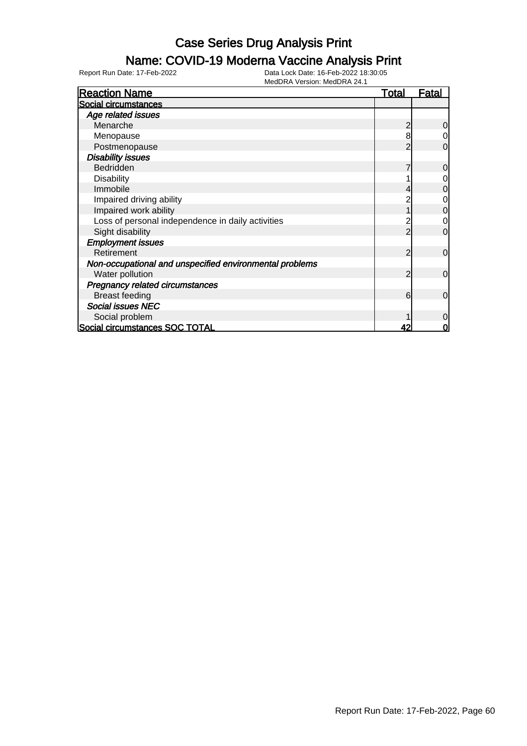## Name: COVID-19 Moderna Vaccine Analysis Print

| <b>Reaction Name</b>                                    | <u>Total</u> | Fatal       |
|---------------------------------------------------------|--------------|-------------|
| Social circumstances                                    |              |             |
| Age related issues                                      |              |             |
| Menarche                                                |              | 0           |
| Menopause                                               | 8            | 0           |
| Postmenopause                                           |              | 0           |
| <b>Disability issues</b>                                |              |             |
| Bedridden                                               |              | 0           |
| <b>Disability</b>                                       |              | 0           |
| Immobile                                                |              | 0           |
| Impaired driving ability                                |              | 0           |
| Impaired work ability                                   |              | 0           |
| Loss of personal independence in daily activities       |              | 0           |
| Sight disability                                        |              | $\Omega$    |
| <b>Employment issues</b>                                |              |             |
| Retirement                                              | 2            | $\Omega$    |
| Non-occupational and unspecified environmental problems |              |             |
| Water pollution                                         | っ            | $\mathbf 0$ |
| <b>Pregnancy related circumstances</b>                  |              |             |
| <b>Breast feeding</b>                                   | 6            | $\mathbf 0$ |
| <b>Social issues NEC</b>                                |              |             |
| Social problem                                          |              | 0           |
| Social circumstances SOC TOTAL                          | 42           | 0           |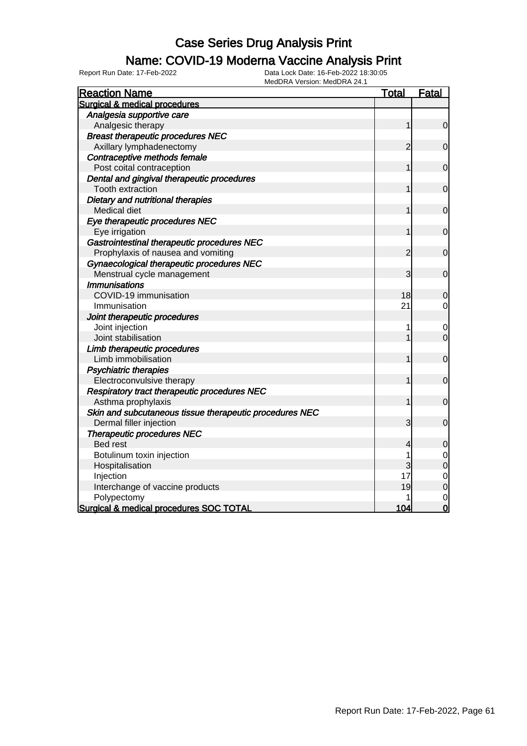### Name: COVID-19 Moderna Vaccine Analysis Print

| <b>Reaction Name</b>                                    | <b>Total</b>   | <b>Fatal</b>   |
|---------------------------------------------------------|----------------|----------------|
| Surgical & medical procedures                           |                |                |
| Analgesia supportive care                               |                |                |
| Analgesic therapy                                       | 1              | $\mathbf 0$    |
| <b>Breast therapeutic procedures NEC</b>                |                |                |
| Axillary lymphadenectomy                                | $\overline{2}$ | $\overline{0}$ |
| Contraceptive methods female                            |                |                |
| Post coital contraception                               | 1              | $\mathbf 0$    |
| Dental and gingival therapeutic procedures              |                |                |
| <b>Tooth extraction</b>                                 |                | $\mathbf 0$    |
| Dietary and nutritional therapies                       |                |                |
| Medical diet                                            |                | $\mathbf 0$    |
| Eye therapeutic procedures NEC                          |                |                |
| Eye irrigation                                          | 1              | $\mathbf 0$    |
| Gastrointestinal therapeutic procedures NEC             |                |                |
| Prophylaxis of nausea and vomiting                      | $\overline{c}$ | $\mathbf 0$    |
| Gynaecological therapeutic procedures NEC               |                |                |
| Menstrual cycle management                              | 3              | $\overline{0}$ |
| <b>Immunisations</b>                                    |                |                |
| COVID-19 immunisation                                   | 18             | 0              |
| Immunisation                                            | 21             | $\mathbf 0$    |
| Joint therapeutic procedures                            |                |                |
| Joint injection                                         | 1              | 0              |
| Joint stabilisation                                     |                | $\overline{0}$ |
| Limb therapeutic procedures                             |                |                |
| Limb immobilisation                                     | 1              | $\mathbf 0$    |
| <b>Psychiatric therapies</b>                            |                |                |
| Electroconvulsive therapy                               |                | $\overline{0}$ |
| Respiratory tract therapeutic procedures NEC            |                |                |
| Asthma prophylaxis                                      | 1              | $\mathbf 0$    |
| Skin and subcutaneous tissue therapeutic procedures NEC |                |                |
| Dermal filler injection                                 | 3              | $\mathbf 0$    |
| <b>Therapeutic procedures NEC</b>                       |                |                |
| <b>Bed rest</b>                                         | 4              | 0              |
| Botulinum toxin injection                               | 1              | 0              |
| Hospitalisation                                         | 3              | $\mathbf 0$    |
| Injection                                               | 17             | $\mathbf 0$    |
| Interchange of vaccine products                         | 19             | $\overline{0}$ |
| Polypectomy                                             |                | $\mathbf 0$    |
| Surgical & medical procedures SOC TOTAL                 | 104            | $\overline{0}$ |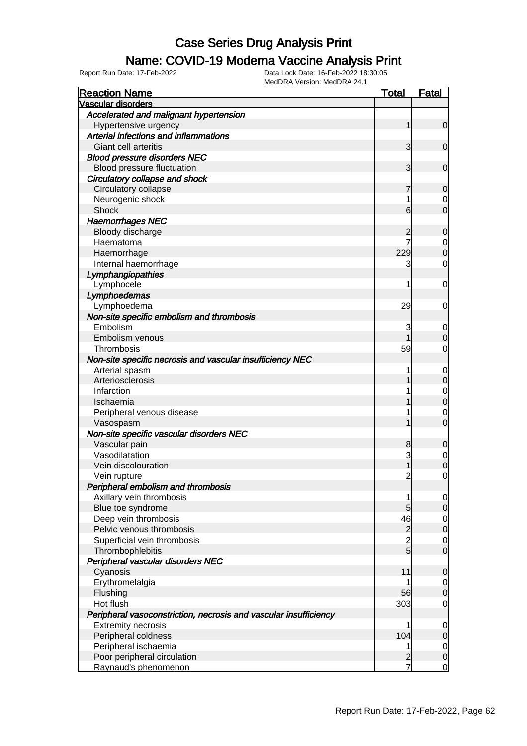### Name: COVID-19 Moderna Vaccine Analysis Print

| <b>Reaction Name</b>                                             | <u>Total</u>   | <b>Fatal</b>     |
|------------------------------------------------------------------|----------------|------------------|
| <b>Vascular disorders</b>                                        |                |                  |
| Accelerated and malignant hypertension                           |                |                  |
| Hypertensive urgency                                             | 1              | 0                |
| Arterial infections and inflammations                            |                |                  |
| Giant cell arteritis                                             | 3              | $\mathbf 0$      |
| <b>Blood pressure disorders NEC</b>                              |                |                  |
| Blood pressure fluctuation                                       | 3              | $\mathbf 0$      |
| Circulatory collapse and shock                                   |                |                  |
| Circulatory collapse                                             |                | 0                |
| Neurogenic shock                                                 | 1              | 0                |
| Shock                                                            | 6              | 0                |
| <b>Haemorrhages NEC</b>                                          |                |                  |
| Bloody discharge                                                 |                | 0                |
| Haematoma                                                        |                | 0                |
| Haemorrhage                                                      | 229            | 0                |
| Internal haemorrhage                                             | 3              | 0                |
| Lymphangiopathies                                                |                |                  |
| Lymphocele                                                       | 1              | 0                |
| Lymphoedemas                                                     |                |                  |
| Lymphoedema                                                      | 29             | 0                |
| Non-site specific embolism and thrombosis                        |                |                  |
| Embolism                                                         | 3              | $\mathbf 0$      |
| Embolism venous                                                  |                | 0                |
| Thrombosis                                                       | 59             | 0                |
| Non-site specific necrosis and vascular insufficiency NEC        |                |                  |
| Arterial spasm                                                   | 1              | 0                |
| Arteriosclerosis                                                 |                | 0                |
| Infarction                                                       |                | 0                |
| Ischaemia                                                        |                | 0                |
| Peripheral venous disease                                        |                | 0                |
| Vasospasm                                                        |                | 0                |
| Non-site specific vascular disorders NEC                         |                |                  |
| Vascular pain                                                    | 8              | 0                |
| Vasodilatation                                                   | 3              | 0                |
| Vein discolouration                                              |                | 0                |
| Vein rupture                                                     | $\overline{c}$ | 0                |
| Peripheral embolism and thrombosis                               |                |                  |
| Axillary vein thrombosis                                         | 1              | $\overline{0}$   |
| Blue toe syndrome                                                | 5              | $\overline{0}$   |
| Deep vein thrombosis                                             | 46             | $\overline{0}$   |
| Pelvic venous thrombosis                                         | $\overline{c}$ | $\boldsymbol{0}$ |
| Superficial vein thrombosis                                      | $\overline{c}$ | $\mathbf 0$      |
| Thrombophlebitis                                                 | $\overline{5}$ | $\mathbf 0$      |
| Peripheral vascular disorders NEC                                |                |                  |
| Cyanosis                                                         | 11             | 0                |
| Erythromelalgia                                                  |                | $\mathbf 0$      |
| Flushing                                                         | 56             | $\mathbf 0$      |
| Hot flush                                                        | 303            | 0                |
| Peripheral vasoconstriction, necrosis and vascular insufficiency |                |                  |
| <b>Extremity necrosis</b>                                        | 1              | 0                |
| Peripheral coldness                                              | 104            | 0                |
| Peripheral ischaemia                                             | 1              | $\mathbf 0$      |
| Poor peripheral circulation                                      | $\overline{c}$ | $\mathbf 0$      |
| Raynaud's phenomenon                                             | 7              | $\mathbf 0$      |